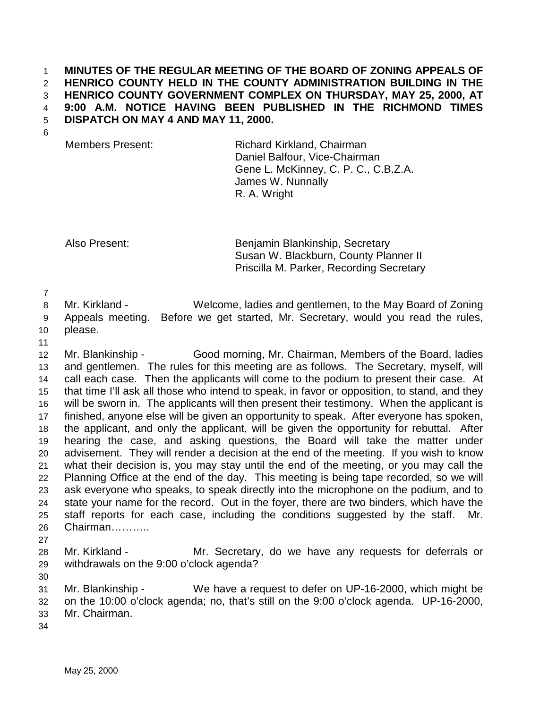## 1 **MINUTES OF THE REGULAR MEETING OF THE BOARD OF ZONING APPEALS OF**  2 **HENRICO COUNTY HELD IN THE COUNTY ADMINISTRATION BUILDING IN THE**  3 **HENRICO COUNTY GOVERNMENT COMPLEX ON THURSDAY, MAY 25, 2000, AT**  4 **9:00 A.M. NOTICE HAVING BEEN PUBLISHED IN THE RICHMOND TIMES**  5 **DISPATCH ON MAY 4 AND MAY 11, 2000.**

6

Members Present: Richard Kirkland, Chairman Daniel Balfour, Vice-Chairman Gene L. McKinney, C. P. C., C.B.Z.A. James W. Nunnally R. A. Wright

Also Present: Benjamin Blankinship, Secretary Susan W. Blackburn, County Planner II Priscilla M. Parker, Recording Secretary

7

8 Mr. Kirkland - Welcome, ladies and gentlemen, to the May Board of Zoning 9 Appeals meeting. Before we get started, Mr. Secretary, would you read the rules,

10 please.

11

12 Mr. Blankinship - Good morning, Mr. Chairman, Members of the Board, ladies 13 and gentlemen. The rules for this meeting are as follows. The Secretary, myself, will 14 call each case. Then the applicants will come to the podium to present their case. At 15 that time I'll ask all those who intend to speak, in favor or opposition, to stand, and they 16 will be sworn in. The applicants will then present their testimony. When the applicant is 17 finished, anyone else will be given an opportunity to speak. After everyone has spoken, 18 the applicant, and only the applicant, will be given the opportunity for rebuttal. After 19 hearing the case, and asking questions, the Board will take the matter under 20 advisement. They will render a decision at the end of the meeting. If you wish to know 21 what their decision is, you may stay until the end of the meeting, or you may call the 22 Planning Office at the end of the day. This meeting is being tape recorded, so we will 23 ask everyone who speaks, to speak directly into the microphone on the podium, and to 24 state your name for the record. Out in the foyer, there are two binders, which have the 25 staff reports for each case, including the conditions suggested by the staff. Mr. 26 Chairman………..

27

30

28 Mr. Kirkland - Mr. Secretary, do we have any requests for deferrals or 29 withdrawals on the 9:00 o'clock agenda?

31 Mr. Blankinship - We have a request to defer on UP-16-2000, which might be 32 on the 10:00 o'clock agenda; no, that's still on the 9:00 o'clock agenda. UP-16-2000, 33 Mr. Chairman.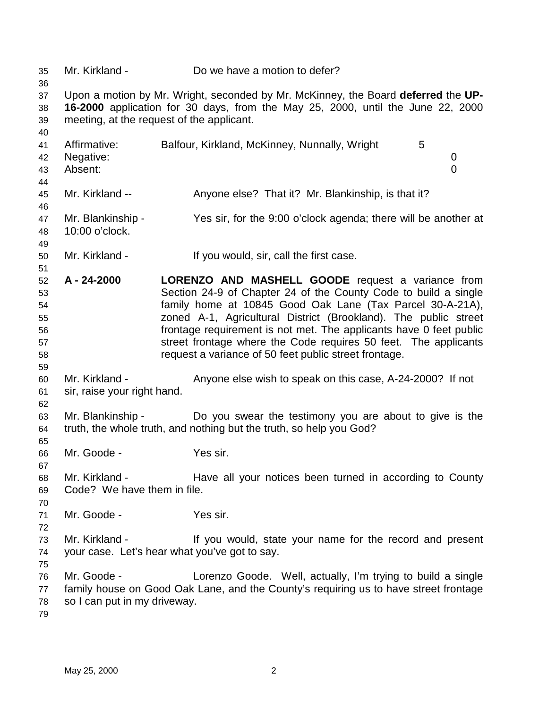35 Mr. Kirkland - Do we have a motion to defer? 36 37 Upon a motion by Mr. Wright, seconded by Mr. McKinney, the Board **deferred** the **UP-**38 **16-2000** application for 30 days, from the May 25, 2000, until the June 22, 2000 39 meeting, at the request of the applicant. 40 41 Affirmative: Balfour, Kirkland, McKinney, Nunnally, Wright 5 42 Negative: 0 43 Absent: 0 44 45 Mr. Kirkland -- Anyone else? That it? Mr. Blankinship, is that it? 46 47 Mr. Blankinship - Yes sir, for the 9:00 o'clock agenda; there will be another at 48 10:00 o'clock. 49 50 Mr. Kirkland - If you would, sir, call the first case. 51 52 **A - 24-2000 LORENZO AND MASHELL GOODE** request a variance from 53 Section 24-9 of Chapter 24 of the County Code to build a single 54 family home at 10845 Good Oak Lane (Tax Parcel 30-A-21A), 55 zoned A-1, Agricultural District (Brookland). The public street 56 frontage requirement is not met. The applicants have 0 feet public 57 street frontage where the Code requires 50 feet. The applicants 58 request a variance of 50 feet public street frontage. 59 60 Mr. Kirkland - Anyone else wish to speak on this case, A-24-2000? If not 61 sir, raise your right hand. 62 63 Mr. Blankinship - Do you swear the testimony you are about to give is the 64 truth, the whole truth, and nothing but the truth, so help you God? 65 66 Mr. Goode - Yes sir. 67 68 Mr. Kirkland - Have all your notices been turned in according to County 69 Code? We have them in file. 70 71 Mr. Goode - Yes sir. 72 73 Mr. Kirkland - If you would, state your name for the record and present 74 your case. Let's hear what you've got to say. 75 76 Mr. Goode - Lorenzo Goode. Well, actually, I'm trying to build a single 77 family house on Good Oak Lane, and the County's requiring us to have street frontage 78 so I can put in my driveway. 79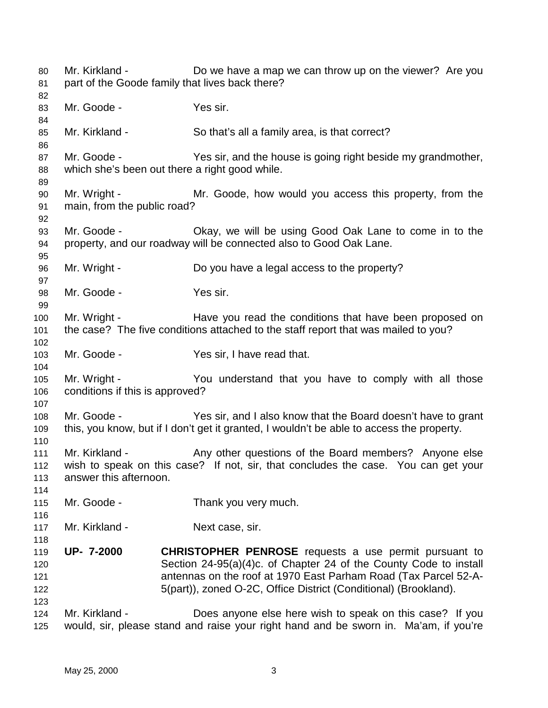80 Mr. Kirkland - Do we have a map we can throw up on the viewer? Are you 81 part of the Goode family that lives back there? 82 83 Mr. Goode - Yes sir. 84 85 Mr. Kirkland - So that's all a family area, is that correct? 86 87 Mr. Goode - Yes sir, and the house is going right beside my grandmother, 88 which she's been out there a right good while. 89 90 Mr. Wright - Mr. Goode, how would you access this property, from the 91 main, from the public road? 92 93 Mr. Goode - Okay, we will be using Good Oak Lane to come in to the 94 property, and our roadway will be connected also to Good Oak Lane. 95 96 Mr. Wright - Do you have a legal access to the property? 97 98 Mr. Goode - Yes sir. 99 100 Mr. Wright - Have you read the conditions that have been proposed on 101 the case? The five conditions attached to the staff report that was mailed to you? 102 103 Mr. Goode - Yes sir, I have read that. 104 105 Mr. Wright - You understand that you have to comply with all those 106 conditions if this is approved? 107 108 Mr. Goode - Yes sir, and I also know that the Board doesn't have to grant 109 this, you know, but if I don't get it granted, I wouldn't be able to access the property. 110 111 Mr. Kirkland - Any other questions of the Board members? Anyone else 112 wish to speak on this case? If not, sir, that concludes the case. You can get your 113 answer this afternoon. 114 115 Mr. Goode - Thank you very much. 116 117 Mr. Kirkland - Next case, sir. 118 119 **UP- 7-2000 CHRISTOPHER PENROSE** requests a use permit pursuant to 120 Section 24-95(a)(4)c. of Chapter 24 of the County Code to install 121 antennas on the roof at 1970 East Parham Road (Tax Parcel 52-A-122 5(part)), zoned O-2C, Office District (Conditional) (Brookland). 123 124 Mr. Kirkland - Does anyone else here wish to speak on this case? If you 125 would, sir, please stand and raise your right hand and be sworn in. Ma'am, if you're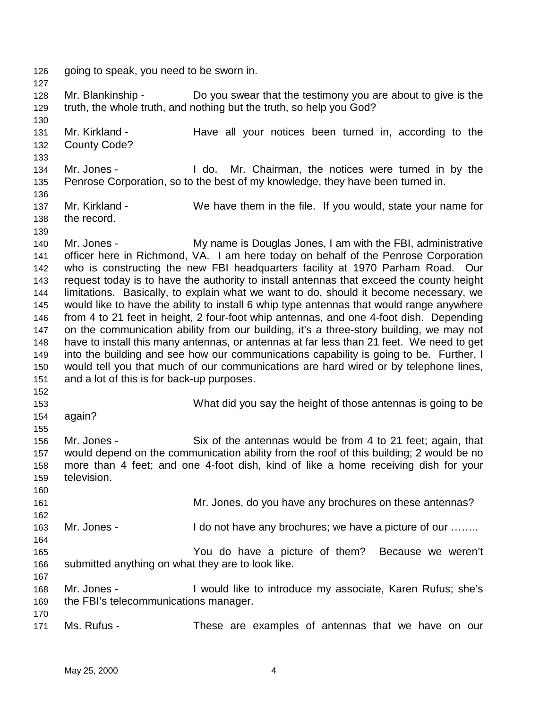126 going to speak, you need to be sworn in. 127 128 Mr. Blankinship - Do you swear that the testimony you are about to give is the 129 truth, the whole truth, and nothing but the truth, so help you God? 130 131 Mr. Kirkland - Have all your notices been turned in, according to the 132 County Code? 133 134 Mr. Jones - I do. Mr. Chairman, the notices were turned in by the 135 Penrose Corporation, so to the best of my knowledge, they have been turned in. 136 137 Mr. Kirkland - We have them in the file. If you would, state your name for 138 the record. 139 140 Mr. Jones - My name is Douglas Jones, I am with the FBI, administrative 141 officer here in Richmond, VA. I am here today on behalf of the Penrose Corporation 142 who is constructing the new FBI headquarters facility at 1970 Parham Road. Our 143 request today is to have the authority to install antennas that exceed the county height 144 limitations. Basically, to explain what we want to do, should it become necessary, we 145 would like to have the ability to install 6 whip type antennas that would range anywhere 146 from 4 to 21 feet in height, 2 four-foot whip antennas, and one 4-foot dish. Depending 147 on the communication ability from our building, it's a three-story building, we may not 148 have to install this many antennas, or antennas at far less than 21 feet. We need to get 149 into the building and see how our communications capability is going to be. Further, I 150 would tell you that much of our communications are hard wired or by telephone lines, 151 and a lot of this is for back-up purposes. 152 153 What did you say the height of those antennas is going to be 154 again? 155 156 Mr. Jones - Six of the antennas would be from 4 to 21 feet; again, that 157 would depend on the communication ability from the roof of this building; 2 would be no 158 more than 4 feet; and one 4-foot dish, kind of like a home receiving dish for your 159 television. 160 161 Mr. Jones, do you have any brochures on these antennas? 162 163 Mr. Jones - I do not have any brochures; we have a picture of our ....... 164 165 You do have a picture of them? Because we weren't 166 submitted anything on what they are to look like. 167 168 Mr. Jones - I would like to introduce my associate, Karen Rufus; she's 169 the FBI's telecommunications manager. 170 171 Ms. Rufus - These are examples of antennas that we have on our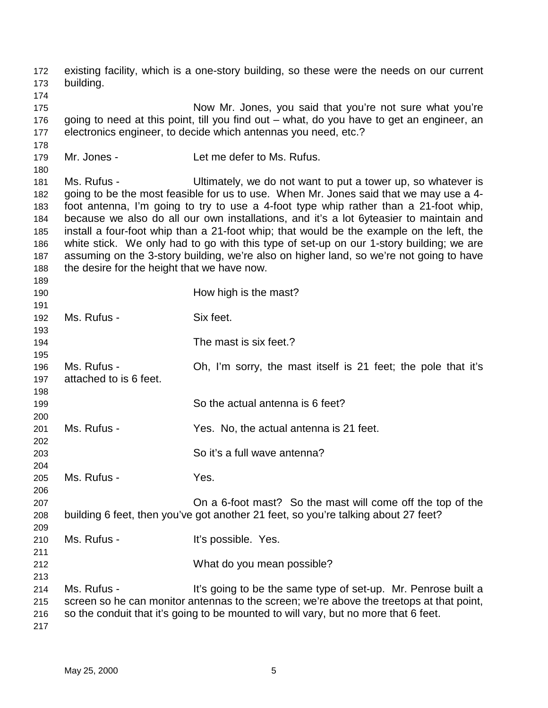172 existing facility, which is a one-story building, so these were the needs on our current 173 building. 174 175 Now Mr. Jones, you said that you're not sure what you're 176 going to need at this point, till you find out – what, do you have to get an engineer, an 177 electronics engineer, to decide which antennas you need, etc.? 178 179 Mr. Jones - Let me defer to Ms. Rufus. 180 181 Ms. Rufus - Ultimately, we do not want to put a tower up, so whatever is 182 going to be the most feasible for us to use. When Mr. Jones said that we may use a 4- 183 foot antenna, I'm going to try to use a 4-foot type whip rather than a 21-foot whip, 184 because we also do all our own installations, and it's a lot 6yteasier to maintain and 185 install a four-foot whip than a 21-foot whip; that would be the example on the left, the 186 white stick. We only had to go with this type of set-up on our 1-story building; we are 187 assuming on the 3-story building, we're also on higher land, so we're not going to have 188 the desire for the height that we have now. 189 190 **How high is the mast?** 191 192 Ms. Rufus - Six feet. 193 194 The mast is six feet.? 195 196 Ms. Rufus - Oh, I'm sorry, the mast itself is 21 feet; the pole that it's 197 attached to is 6 feet. 198 199 So the actual antenna is 6 feet? 200 201 Ms. Rufus - Yes. No, the actual antenna is 21 feet. 202 203 So it's a full wave antenna? 204 205 Ms. Rufus - Yes. 206 207 On a 6-foot mast? So the mast will come off the top of the 208 building 6 feet, then you've got another 21 feet, so you're talking about 27 feet? 209 210 Ms. Rufus - The Mustaff's possible. Yes. 211 212 What do you mean possible? 213 214 Ms. Rufus - It's going to be the same type of set-up. Mr. Penrose built a 215 screen so he can monitor antennas to the screen; we're above the treetops at that point, 216 so the conduit that it's going to be mounted to will vary, but no more that 6 feet. 217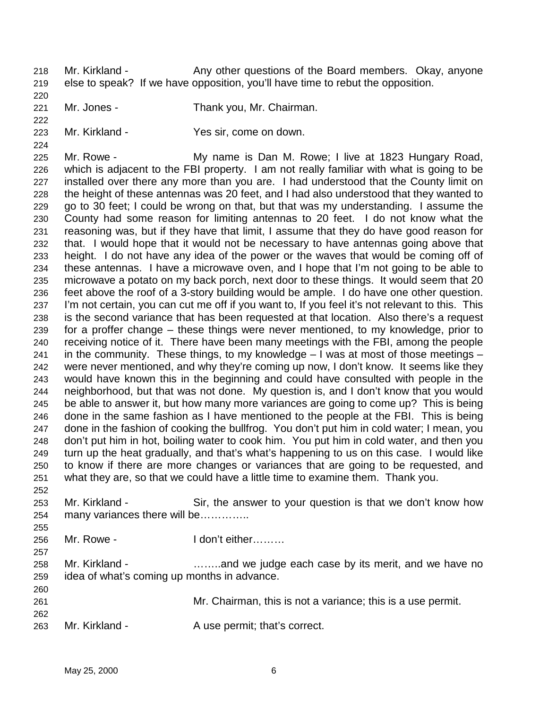- 218 Mr. Kirkland Any other questions of the Board members. Okay, anyone 219 else to speak? If we have opposition, you'll have time to rebut the opposition.
- 221 Mr. Jones Thank you, Mr. Chairman.
- 222

224

252

255

257

260

220

223 Mr. Kirkland - Yes sir, come on down.

225 Mr. Rowe - My name is Dan M. Rowe; I live at 1823 Hungary Road, 226 which is adjacent to the FBI property. I am not really familiar with what is going to be 227 installed over there any more than you are. I had understood that the County limit on 228 the height of these antennas was 20 feet, and I had also understood that they wanted to 229 go to 30 feet; I could be wrong on that, but that was my understanding. I assume the 230 County had some reason for limiting antennas to 20 feet. I do not know what the 231 reasoning was, but if they have that limit, I assume that they do have good reason for 232 that. I would hope that it would not be necessary to have antennas going above that 233 height. I do not have any idea of the power or the waves that would be coming off of 234 these antennas. I have a microwave oven, and I hope that I'm not going to be able to 235 microwave a potato on my back porch, next door to these things. It would seem that 20 236 feet above the roof of a 3-story building would be ample. I do have one other question. 237 I'm not certain, you can cut me off if you want to, If you feel it's not relevant to this. This 238 is the second variance that has been requested at that location. Also there's a request 239 for a proffer change – these things were never mentioned, to my knowledge, prior to 240 receiving notice of it. There have been many meetings with the FBI, among the people 241 in the community. These things, to my knowledge  $-1$  was at most of those meetings  $-$ 242 were never mentioned, and why they're coming up now, I don't know. It seems like they 243 would have known this in the beginning and could have consulted with people in the 244 neighborhood, but that was not done. My question is, and I don't know that you would 245 be able to answer it, but how many more variances are going to come up? This is being 246 done in the same fashion as I have mentioned to the people at the FBI. This is being 247 done in the fashion of cooking the bullfrog. You don't put him in cold water; I mean, you 248 don't put him in hot, boiling water to cook him. You put him in cold water, and then you 249 turn up the heat gradually, and that's what's happening to us on this case. I would like 250 to know if there are more changes or variances that are going to be requested, and 251 what they are, so that we could have a little time to examine them. Thank you.

- 253 Mr. Kirkland Sir, the answer to your question is that we don't know how 254 many variances there will be…………..
- 256 Mr. Rowe I don't either………
- 258 Mr. Kirkland ……..and we judge each case by its merit, and we have no 259 idea of what's coming up months in advance.
- 261 Mr. Chairman, this is not a variance; this is a use permit. 262
- 263 Mr. Kirkland A use permit; that's correct.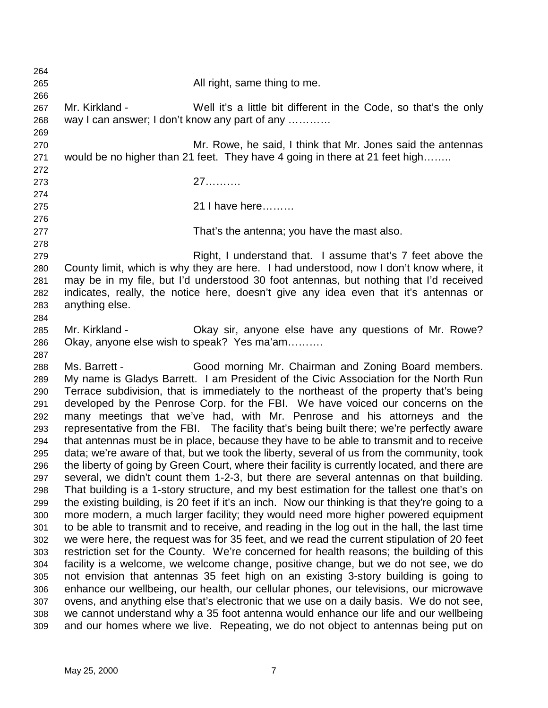264 265 All right, same thing to me. 266 267 Mr. Kirkland - Well it's a little bit different in the Code, so that's the only 268 way I can answer; I don't know any part of any ………… 269 270 Mr. Rowe, he said, I think that Mr. Jones said the antennas 271 would be no higher than 21 feet. They have 4 going in there at 21 feet high…….. 272 273 27………. 274 275 21 I have here……… 276 277 That's the antenna; you have the mast also. 278 279 Right, I understand that. I assume that's 7 feet above the 280 County limit, which is why they are here. I had understood, now I don't know where, it 281 may be in my file, but I'd understood 30 foot antennas, but nothing that I'd received 282 indicates, really, the notice here, doesn't give any idea even that it's antennas or 283 anything else. 284 285 Mr. Kirkland - Okay sir, anyone else have any questions of Mr. Rowe? 286 Okay, anyone else wish to speak? Yes ma'am………. 287 288 Ms. Barrett - Good morning Mr. Chairman and Zoning Board members. 289 My name is Gladys Barrett. I am President of the Civic Association for the North Run 290 Terrace subdivision, that is immediately to the northeast of the property that's being 291 developed by the Penrose Corp. for the FBI. We have voiced our concerns on the 292 many meetings that we've had, with Mr. Penrose and his attorneys and the 293 representative from the FBI. The facility that's being built there; we're perfectly aware 294 that antennas must be in place, because they have to be able to transmit and to receive 295 data; we're aware of that, but we took the liberty, several of us from the community, took 296 the liberty of going by Green Court, where their facility is currently located, and there are 297 several, we didn't count them 1-2-3, but there are several antennas on that building. 298 That building is a 1-story structure, and my best estimation for the tallest one that's on 299 the existing building, is 20 feet if it's an inch. Now our thinking is that they're going to a 300 more modern, a much larger facility; they would need more higher powered equipment 301 to be able to transmit and to receive, and reading in the log out in the hall, the last time 302 we were here, the request was for 35 feet, and we read the current stipulation of 20 feet 303 restriction set for the County. We're concerned for health reasons; the building of this 304 facility is a welcome, we welcome change, positive change, but we do not see, we do 305 not envision that antennas 35 feet high on an existing 3-story building is going to 306 enhance our wellbeing, our health, our cellular phones, our televisions, our microwave 307 ovens, and anything else that's electronic that we use on a daily basis. We do not see, 308 we cannot understand why a 35 foot antenna would enhance our life and our wellbeing 309 and our homes where we live. Repeating, we do not object to antennas being put on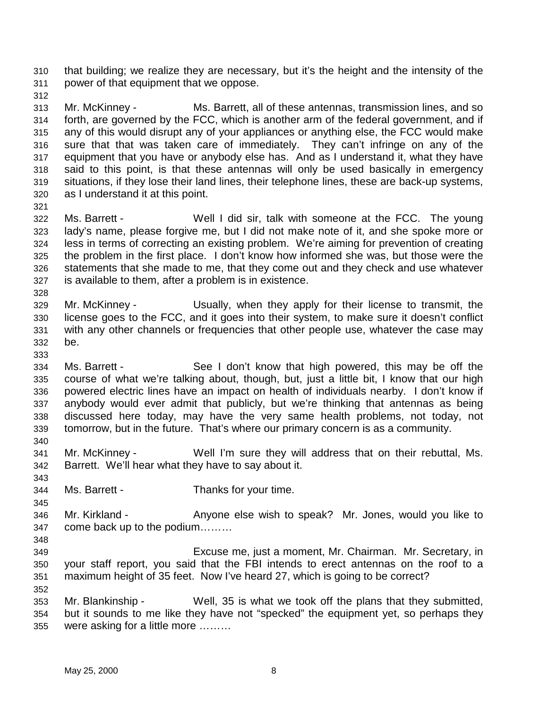310 that building; we realize they are necessary, but it's the height and the intensity of the 311 power of that equipment that we oppose.

312

313 Mr. McKinney - Ms. Barrett, all of these antennas, transmission lines, and so 314 forth, are governed by the FCC, which is another arm of the federal government, and if 315 any of this would disrupt any of your appliances or anything else, the FCC would make 316 sure that that was taken care of immediately. They can't infringe on any of the 317 equipment that you have or anybody else has. And as I understand it, what they have 318 said to this point, is that these antennas will only be used basically in emergency 319 situations, if they lose their land lines, their telephone lines, these are back-up systems, 320 as I understand it at this point.

321

328

333

340

343

345

348

352

322 Ms. Barrett - Well I did sir, talk with someone at the FCC. The young 323 lady's name, please forgive me, but I did not make note of it, and she spoke more or 324 less in terms of correcting an existing problem. We're aiming for prevention of creating 325 the problem in the first place. I don't know how informed she was, but those were the 326 statements that she made to me, that they come out and they check and use whatever 327 is available to them, after a problem is in existence.

- 329 Mr. McKinney Usually, when they apply for their license to transmit, the 330 license goes to the FCC, and it goes into their system, to make sure it doesn't conflict 331 with any other channels or frequencies that other people use, whatever the case may 332 be.
- 334 Ms. Barrett See I don't know that high powered, this may be off the 335 course of what we're talking about, though, but, just a little bit, I know that our high 336 powered electric lines have an impact on health of individuals nearby. I don't know if 337 anybody would ever admit that publicly, but we're thinking that antennas as being 338 discussed here today, may have the very same health problems, not today, not 339 tomorrow, but in the future. That's where our primary concern is as a community.
- 341 Mr. McKinney Well I'm sure they will address that on their rebuttal, Ms. 342 Barrett. We'll hear what they have to say about it.
- 344 Ms. Barrett Thanks for your time.
- 346 Mr. Kirkland Anyone else wish to speak? Mr. Jones, would you like to 347 come back up to the podium………
- 349 Excuse me, just a moment, Mr. Chairman. Mr. Secretary, in 350 your staff report, you said that the FBI intends to erect antennas on the roof to a 351 maximum height of 35 feet. Now I've heard 27, which is going to be correct?
- 353 Mr. Blankinship Well, 35 is what we took off the plans that they submitted, 354 but it sounds to me like they have not "specked" the equipment yet, so perhaps they 355 were asking for a little more ………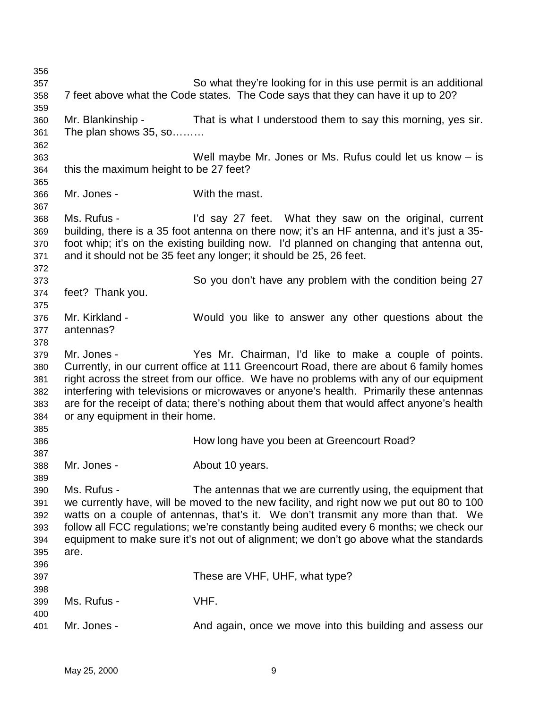| 356 |                                        |                                                                                            |
|-----|----------------------------------------|--------------------------------------------------------------------------------------------|
| 357 |                                        | So what they're looking for in this use permit is an additional                            |
| 358 |                                        | 7 feet above what the Code states. The Code says that they can have it up to 20?           |
| 359 |                                        |                                                                                            |
| 360 | Mr. Blankinship -                      | That is what I understood them to say this morning, yes sir.                               |
| 361 | The plan shows 35, so                  |                                                                                            |
| 362 |                                        |                                                                                            |
| 363 |                                        | Well maybe Mr. Jones or Ms. Rufus could let us know $-$ is                                 |
|     |                                        |                                                                                            |
| 364 | this the maximum height to be 27 feet? |                                                                                            |
| 365 |                                        |                                                                                            |
| 366 | Mr. Jones -                            | With the mast.                                                                             |
| 367 |                                        |                                                                                            |
| 368 | Ms. Rufus -                            | I'd say 27 feet. What they saw on the original, current                                    |
| 369 |                                        | building, there is a 35 foot antenna on there now; it's an HF antenna, and it's just a 35- |
| 370 |                                        | foot whip; it's on the existing building now. I'd planned on changing that antenna out,    |
| 371 |                                        | and it should not be 35 feet any longer; it should be 25, 26 feet.                         |
| 372 |                                        |                                                                                            |
| 373 |                                        | So you don't have any problem with the condition being 27                                  |
| 374 | feet? Thank you.                       |                                                                                            |
| 375 |                                        |                                                                                            |
| 376 | Mr. Kirkland -                         | Would you like to answer any other questions about the                                     |
| 377 | antennas?                              |                                                                                            |
| 378 |                                        |                                                                                            |
| 379 | Mr. Jones -                            | Yes Mr. Chairman, I'd like to make a couple of points.                                     |
|     |                                        | Currently, in our current office at 111 Greencourt Road, there are about 6 family homes    |
| 380 |                                        |                                                                                            |
| 381 |                                        | right across the street from our office. We have no problems with any of our equipment     |
| 382 |                                        | interfering with televisions or microwaves or anyone's health. Primarily these antennas    |
| 383 |                                        | are for the receipt of data; there's nothing about them that would affect anyone's health  |
| 384 | or any equipment in their home.        |                                                                                            |
| 385 |                                        |                                                                                            |
| 386 |                                        | How long have you been at Greencourt Road?                                                 |
| 387 |                                        |                                                                                            |
| 388 | Mr. Jones -                            | About 10 years.                                                                            |
| 389 |                                        |                                                                                            |
| 390 | Ms. Rufus -                            | The antennas that we are currently using, the equipment that                               |
| 391 |                                        | we currently have, will be moved to the new facility, and right now we put out 80 to 100   |
| 392 |                                        | watts on a couple of antennas, that's it. We don't transmit any more than that. We         |
| 393 |                                        | follow all FCC regulations; we're constantly being audited every 6 months; we check our    |
| 394 |                                        | equipment to make sure it's not out of alignment; we don't go above what the standards     |
| 395 | are.                                   |                                                                                            |
| 396 |                                        |                                                                                            |
| 397 |                                        | These are VHF, UHF, what type?                                                             |
|     |                                        |                                                                                            |
| 398 |                                        |                                                                                            |
| 399 | Ms. Rufus -                            | VHF.                                                                                       |
| 400 |                                        |                                                                                            |
| 401 | Mr. Jones -                            | And again, once we move into this building and assess our                                  |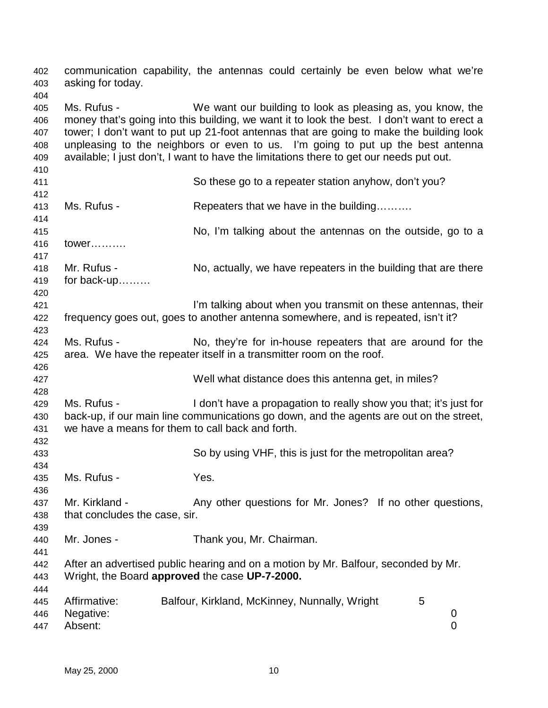| 402<br>403        | asking for today.                                                               | communication capability, the antennas could certainly be even below what we're                                                                           |   |
|-------------------|---------------------------------------------------------------------------------|-----------------------------------------------------------------------------------------------------------------------------------------------------------|---|
| 404<br>405<br>406 | Ms. Rufus -                                                                     | We want our building to look as pleasing as, you know, the<br>money that's going into this building, we want it to look the best. I don't want to erect a |   |
| 407               |                                                                                 | tower; I don't want to put up 21-foot antennas that are going to make the building look                                                                   |   |
| 408               | unpleasing to the neighbors or even to us. I'm going to put up the best antenna |                                                                                                                                                           |   |
| 409               |                                                                                 | available; I just don't, I want to have the limitations there to get our needs put out.                                                                   |   |
| 410               |                                                                                 |                                                                                                                                                           |   |
| 411               |                                                                                 | So these go to a repeater station anyhow, don't you?                                                                                                      |   |
| 412               |                                                                                 |                                                                                                                                                           |   |
| 413               | Ms. Rufus -                                                                     | Repeaters that we have in the building                                                                                                                    |   |
| 414               |                                                                                 |                                                                                                                                                           |   |
| 415               |                                                                                 | No, I'm talking about the antennas on the outside, go to a                                                                                                |   |
| 416               | tower                                                                           |                                                                                                                                                           |   |
| 417               |                                                                                 |                                                                                                                                                           |   |
| 418               | Mr. Rufus -                                                                     | No, actually, we have repeaters in the building that are there                                                                                            |   |
| 419               | for back-up                                                                     |                                                                                                                                                           |   |
| 420               |                                                                                 |                                                                                                                                                           |   |
| 421               |                                                                                 | I'm talking about when you transmit on these antennas, their                                                                                              |   |
| 422               |                                                                                 | frequency goes out, goes to another antenna somewhere, and is repeated, isn't it?                                                                         |   |
| 423               |                                                                                 |                                                                                                                                                           |   |
| 424               | Ms. Rufus -                                                                     | No, they're for in-house repeaters that are around for the                                                                                                |   |
| 425               |                                                                                 | area. We have the repeater itself in a transmitter room on the roof.                                                                                      |   |
| 426               |                                                                                 |                                                                                                                                                           |   |
| 427               |                                                                                 | Well what distance does this antenna get, in miles?                                                                                                       |   |
| 428               |                                                                                 |                                                                                                                                                           |   |
| 429               | Ms. Rufus -                                                                     | I don't have a propagation to really show you that; it's just for                                                                                         |   |
| 430               |                                                                                 | back-up, if our main line communications go down, and the agents are out on the street,                                                                   |   |
| 431               | we have a means for them to call back and forth.                                |                                                                                                                                                           |   |
| 432               |                                                                                 |                                                                                                                                                           |   |
| 433               |                                                                                 | So by using VHF, this is just for the metropolitan area?                                                                                                  |   |
| 434               |                                                                                 |                                                                                                                                                           |   |
| 435               | Ms. Rufus -                                                                     | Yes.                                                                                                                                                      |   |
| 436               |                                                                                 |                                                                                                                                                           |   |
|                   | Mr. Kirkland -                                                                  | Any other questions for Mr. Jones? If no other questions,                                                                                                 |   |
| 437               |                                                                                 |                                                                                                                                                           |   |
| 438               | that concludes the case, sir.                                                   |                                                                                                                                                           |   |
| 439               |                                                                                 |                                                                                                                                                           |   |
| 440               | Mr. Jones -                                                                     | Thank you, Mr. Chairman.                                                                                                                                  |   |
| 441               |                                                                                 |                                                                                                                                                           |   |
| 442               |                                                                                 | After an advertised public hearing and on a motion by Mr. Balfour, seconded by Mr.                                                                        |   |
| 443               | Wright, the Board approved the case UP-7-2000.                                  |                                                                                                                                                           |   |
| 444               |                                                                                 |                                                                                                                                                           |   |
| 445               | Affirmative:                                                                    | Balfour, Kirkland, McKinney, Nunnally, Wright<br>5                                                                                                        |   |
| 446               | Negative:                                                                       |                                                                                                                                                           | 0 |
| 447               | Absent:                                                                         |                                                                                                                                                           | 0 |
|                   |                                                                                 |                                                                                                                                                           |   |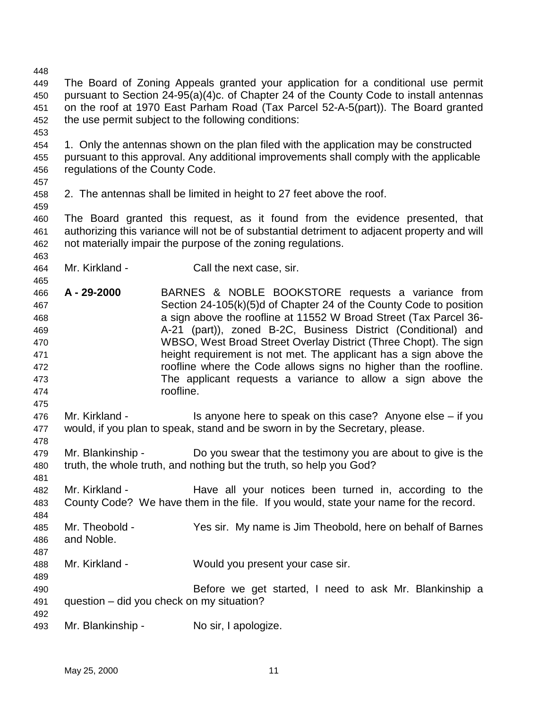448 449 The Board of Zoning Appeals granted your application for a conditional use permit 450 pursuant to Section 24-95(a)(4)c. of Chapter 24 of the County Code to install antennas 451 on the roof at 1970 East Parham Road (Tax Parcel 52-A-5(part)). The Board granted 452 the use permit subject to the following conditions: 453 454 1. Only the antennas shown on the plan filed with the application may be constructed 455 pursuant to this approval. Any additional improvements shall comply with the applicable 456 regulations of the County Code. 457 458 2. The antennas shall be limited in height to 27 feet above the roof. 459 460 The Board granted this request, as it found from the evidence presented, that 461 authorizing this variance will not be of substantial detriment to adjacent property and will 462 not materially impair the purpose of the zoning regulations. 463 464 Mr. Kirkland - Call the next case, sir. 465 466 **A - 29-2000** BARNES & NOBLE BOOKSTORE requests a variance from 467 Section 24-105(k)(5)d of Chapter 24 of the County Code to position 468 a sign above the roofline at 11552 W Broad Street (Tax Parcel 36- 469 A-21 (part)), zoned B-2C, Business District (Conditional) and 470 WBSO, West Broad Street Overlay District (Three Chopt). The sign 471 height requirement is not met. The applicant has a sign above the 472 roofline where the Code allows signs no higher than the roofline. 473 The applicant requests a variance to allow a sign above the 474 roofline. 475 476 Mr. Kirkland - Is anyone here to speak on this case? Anyone else – if you 477 would, if you plan to speak, stand and be sworn in by the Secretary, please. 478 479 Mr. Blankinship - Do you swear that the testimony you are about to give is the 480 truth, the whole truth, and nothing but the truth, so help you God? 481 482 Mr. Kirkland - Have all your notices been turned in, according to the 483 County Code? We have them in the file. If you would, state your name for the record. 484 485 Mr. Theobold - Yes sir. My name is Jim Theobold, here on behalf of Barnes 486 and Noble. 487 488 Mr. Kirkland - Would you present your case sir. 489 490 Before we get started, I need to ask Mr. Blankinship a 491 question – did you check on my situation? 492 493 Mr. Blankinship - No sir, I apologize.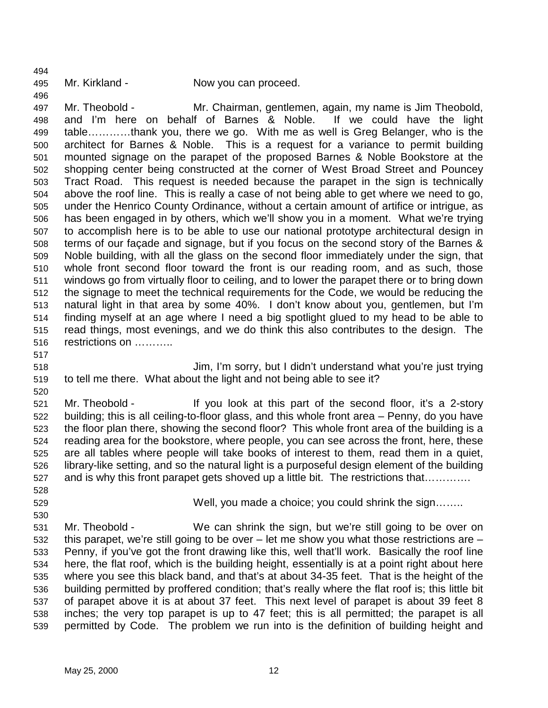494

496

497 Mr. Theobold - Mr. Chairman, gentlemen, again, my name is Jim Theobold, 498 and I'm here on behalf of Barnes & Noble. If we could have the light 499 table…………thank you, there we go. With me as well is Greg Belanger, who is the 500 architect for Barnes & Noble. This is a request for a variance to permit building 501 mounted signage on the parapet of the proposed Barnes & Noble Bookstore at the 502 shopping center being constructed at the corner of West Broad Street and Pouncey 503 Tract Road. This request is needed because the parapet in the sign is technically 504 above the roof line. This is really a case of not being able to get where we need to go, 505 under the Henrico County Ordinance, without a certain amount of artifice or intrigue, as 506 has been engaged in by others, which we'll show you in a moment. What we're trying 507 to accomplish here is to be able to use our national prototype architectural design in 508 terms of our façade and signage, but if you focus on the second story of the Barnes & 509 Noble building, with all the glass on the second floor immediately under the sign, that 510 whole front second floor toward the front is our reading room, and as such, those 511 windows go from virtually floor to ceiling, and to lower the parapet there or to bring down 512 the signage to meet the technical requirements for the Code, we would be reducing the 513 natural light in that area by some 40%. I don't know about you, gentlemen, but I'm 514 finding myself at an age where I need a big spotlight glued to my head to be able to 515 read things, most evenings, and we do think this also contributes to the design. The 516 restrictions on ………..

517

518 Jim, I'm sorry, but I didn't understand what you're just trying 519 to tell me there. What about the light and not being able to see it?

520

521 Mr. Theobold - If you look at this part of the second floor, it's a 2-story 522 building; this is all ceiling-to-floor glass, and this whole front area – Penny, do you have 523 the floor plan there, showing the second floor? This whole front area of the building is a 524 reading area for the bookstore, where people, you can see across the front, here, these 525 are all tables where people will take books of interest to them, read them in a quiet, 526 library-like setting, and so the natural light is a purposeful design element of the building 527 and is why this front parapet gets shoved up a little bit. The restrictions that………….

528

530

529 Well, you made a choice; you could shrink the sign……..

531 Mr. Theobold - We can shrink the sign, but we're still going to be over on 532 this parapet, we're still going to be over – let me show you what those restrictions are – 533 Penny, if you've got the front drawing like this, well that'll work. Basically the roof line 534 here, the flat roof, which is the building height, essentially is at a point right about here 535 where you see this black band, and that's at about 34-35 feet. That is the height of the 536 building permitted by proffered condition; that's really where the flat roof is; this little bit 537 of parapet above it is at about 37 feet. This next level of parapet is about 39 feet 8 538 inches; the very top parapet is up to 47 feet; this is all permitted; the parapet is all 539 permitted by Code. The problem we run into is the definition of building height and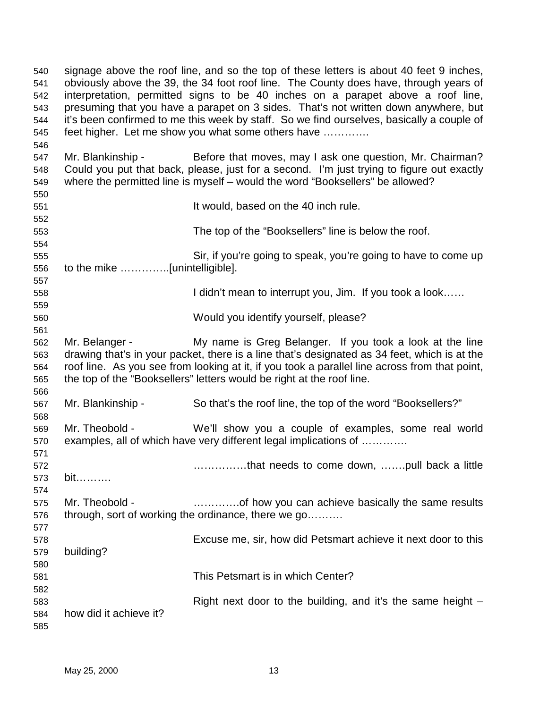| 540<br>541<br>542<br>543<br>544<br>545 | signage above the roof line, and so the top of these letters is about 40 feet 9 inches,<br>obviously above the 39, the 34 foot roof line. The County does have, through years of<br>interpretation, permitted signs to be 40 inches on a parapet above a roof line,<br>presuming that you have a parapet on 3 sides. That's not written down anywhere, but<br>it's been confirmed to me this week by staff. So we find ourselves, basically a couple of<br>feet higher. Let me show you what some others have |                                                                                                                                                                                                                                                                        |  |
|----------------------------------------|---------------------------------------------------------------------------------------------------------------------------------------------------------------------------------------------------------------------------------------------------------------------------------------------------------------------------------------------------------------------------------------------------------------------------------------------------------------------------------------------------------------|------------------------------------------------------------------------------------------------------------------------------------------------------------------------------------------------------------------------------------------------------------------------|--|
| 546                                    |                                                                                                                                                                                                                                                                                                                                                                                                                                                                                                               |                                                                                                                                                                                                                                                                        |  |
| 547                                    | Mr. Blankinship -                                                                                                                                                                                                                                                                                                                                                                                                                                                                                             | Before that moves, may I ask one question, Mr. Chairman?                                                                                                                                                                                                               |  |
| 548                                    |                                                                                                                                                                                                                                                                                                                                                                                                                                                                                                               | Could you put that back, please, just for a second. I'm just trying to figure out exactly                                                                                                                                                                              |  |
| 549                                    |                                                                                                                                                                                                                                                                                                                                                                                                                                                                                                               | where the permitted line is myself - would the word "Booksellers" be allowed?                                                                                                                                                                                          |  |
| 550                                    |                                                                                                                                                                                                                                                                                                                                                                                                                                                                                                               |                                                                                                                                                                                                                                                                        |  |
| 551                                    |                                                                                                                                                                                                                                                                                                                                                                                                                                                                                                               | It would, based on the 40 inch rule.                                                                                                                                                                                                                                   |  |
| 552                                    |                                                                                                                                                                                                                                                                                                                                                                                                                                                                                                               |                                                                                                                                                                                                                                                                        |  |
| 553                                    |                                                                                                                                                                                                                                                                                                                                                                                                                                                                                                               | The top of the "Booksellers" line is below the roof.                                                                                                                                                                                                                   |  |
| 554<br>555                             |                                                                                                                                                                                                                                                                                                                                                                                                                                                                                                               | Sir, if you're going to speak, you're going to have to come up                                                                                                                                                                                                         |  |
| 556                                    | to the mike [unintelligible].                                                                                                                                                                                                                                                                                                                                                                                                                                                                                 |                                                                                                                                                                                                                                                                        |  |
| 557                                    |                                                                                                                                                                                                                                                                                                                                                                                                                                                                                                               |                                                                                                                                                                                                                                                                        |  |
| 558                                    |                                                                                                                                                                                                                                                                                                                                                                                                                                                                                                               | I didn't mean to interrupt you, Jim. If you took a look                                                                                                                                                                                                                |  |
| 559                                    |                                                                                                                                                                                                                                                                                                                                                                                                                                                                                                               |                                                                                                                                                                                                                                                                        |  |
| 560                                    |                                                                                                                                                                                                                                                                                                                                                                                                                                                                                                               | Would you identify yourself, please?                                                                                                                                                                                                                                   |  |
| 561                                    |                                                                                                                                                                                                                                                                                                                                                                                                                                                                                                               |                                                                                                                                                                                                                                                                        |  |
| 562                                    | Mr. Belanger -                                                                                                                                                                                                                                                                                                                                                                                                                                                                                                | My name is Greg Belanger. If you took a look at the line                                                                                                                                                                                                               |  |
| 563<br>564<br>565                      |                                                                                                                                                                                                                                                                                                                                                                                                                                                                                                               | drawing that's in your packet, there is a line that's designated as 34 feet, which is at the<br>roof line. As you see from looking at it, if you took a parallel line across from that point,<br>the top of the "Booksellers" letters would be right at the roof line. |  |
| 566                                    |                                                                                                                                                                                                                                                                                                                                                                                                                                                                                                               |                                                                                                                                                                                                                                                                        |  |
| 567<br>568                             | Mr. Blankinship -                                                                                                                                                                                                                                                                                                                                                                                                                                                                                             | So that's the roof line, the top of the word "Booksellers?"                                                                                                                                                                                                            |  |
| 569<br>570                             | Mr. Theobold -                                                                                                                                                                                                                                                                                                                                                                                                                                                                                                | We'll show you a couple of examples, some real world<br>examples, all of which have very different legal implications of                                                                                                                                               |  |
| 571                                    |                                                                                                                                                                                                                                                                                                                                                                                                                                                                                                               |                                                                                                                                                                                                                                                                        |  |
| 572                                    |                                                                                                                                                                                                                                                                                                                                                                                                                                                                                                               | that needs to come down, pull back a little                                                                                                                                                                                                                            |  |
| 573                                    | bit                                                                                                                                                                                                                                                                                                                                                                                                                                                                                                           |                                                                                                                                                                                                                                                                        |  |
| 574                                    |                                                                                                                                                                                                                                                                                                                                                                                                                                                                                                               |                                                                                                                                                                                                                                                                        |  |
| 575                                    | Mr. Theobold -                                                                                                                                                                                                                                                                                                                                                                                                                                                                                                | of how you can achieve basically the same results                                                                                                                                                                                                                      |  |
| 576                                    |                                                                                                                                                                                                                                                                                                                                                                                                                                                                                                               | through, sort of working the ordinance, there we go                                                                                                                                                                                                                    |  |
| 577                                    |                                                                                                                                                                                                                                                                                                                                                                                                                                                                                                               |                                                                                                                                                                                                                                                                        |  |
| 578                                    |                                                                                                                                                                                                                                                                                                                                                                                                                                                                                                               | Excuse me, sir, how did Petsmart achieve it next door to this                                                                                                                                                                                                          |  |
| 579                                    | building?                                                                                                                                                                                                                                                                                                                                                                                                                                                                                                     |                                                                                                                                                                                                                                                                        |  |
| 580                                    |                                                                                                                                                                                                                                                                                                                                                                                                                                                                                                               |                                                                                                                                                                                                                                                                        |  |
| 581                                    |                                                                                                                                                                                                                                                                                                                                                                                                                                                                                                               | This Petsmart is in which Center?                                                                                                                                                                                                                                      |  |
| 582                                    |                                                                                                                                                                                                                                                                                                                                                                                                                                                                                                               |                                                                                                                                                                                                                                                                        |  |
| 583                                    | how did it achieve it?                                                                                                                                                                                                                                                                                                                                                                                                                                                                                        | Right next door to the building, and it's the same height –                                                                                                                                                                                                            |  |
| 584<br>585                             |                                                                                                                                                                                                                                                                                                                                                                                                                                                                                                               |                                                                                                                                                                                                                                                                        |  |
|                                        |                                                                                                                                                                                                                                                                                                                                                                                                                                                                                                               |                                                                                                                                                                                                                                                                        |  |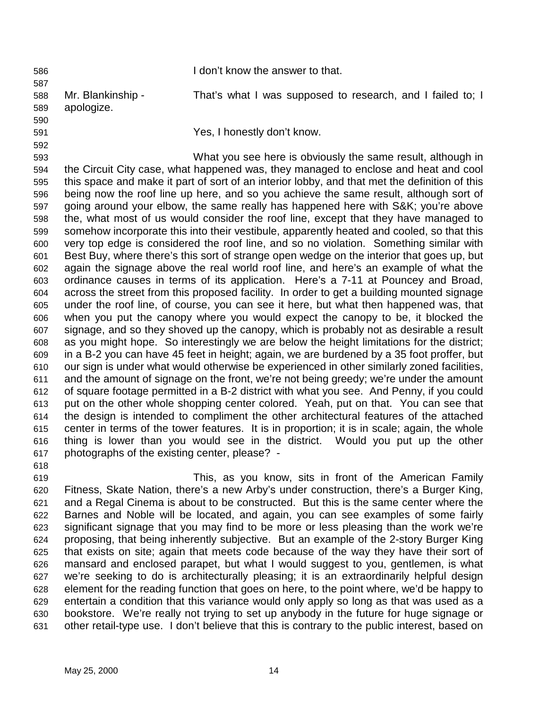586 I don't know the answer to that. 587 588 Mr. Blankinship - That's what I was supposed to research, and I failed to; I 589 apologize. 590 591 Yes, I honestly don't know. 592 593 What you see here is obviously the same result, although in 594 the Circuit City case, what happened was, they managed to enclose and heat and cool 595 this space and make it part of sort of an interior lobby, and that met the definition of this 596 being now the roof line up here, and so you achieve the same result, although sort of 597 going around your elbow, the same really has happened here with S&K; you're above 598 the, what most of us would consider the roof line, except that they have managed to 599 somehow incorporate this into their vestibule, apparently heated and cooled, so that this 600 very top edge is considered the roof line, and so no violation. Something similar with 601 Best Buy, where there's this sort of strange open wedge on the interior that goes up, but

602 again the signage above the real world roof line, and here's an example of what the 603 ordinance causes in terms of its application. Here's a 7-11 at Pouncey and Broad, 604 across the street from this proposed facility. In order to get a building mounted signage 605 under the roof line, of course, you can see it here, but what then happened was, that 606 when you put the canopy where you would expect the canopy to be, it blocked the 607 signage, and so they shoved up the canopy, which is probably not as desirable a result 608 as you might hope. So interestingly we are below the height limitations for the district; 609 in a B-2 you can have 45 feet in height; again, we are burdened by a 35 foot proffer, but 610 our sign is under what would otherwise be experienced in other similarly zoned facilities, 611 and the amount of signage on the front, we're not being greedy; we're under the amount 612 of square footage permitted in a B-2 district with what you see. And Penny, if you could 613 put on the other whole shopping center colored. Yeah, put on that. You can see that 614 the design is intended to compliment the other architectural features of the attached 615 center in terms of the tower features. It is in proportion; it is in scale; again, the whole 616 thing is lower than you would see in the district. Would you put up the other 617 photographs of the existing center, please? -

618

619 This, as you know, sits in front of the American Family 620 Fitness, Skate Nation, there's a new Arby's under construction, there's a Burger King, 621 and a Regal Cinema is about to be constructed. But this is the same center where the 622 Barnes and Noble will be located, and again, you can see examples of some fairly 623 significant signage that you may find to be more or less pleasing than the work we're 624 proposing, that being inherently subjective. But an example of the 2-story Burger King 625 that exists on site; again that meets code because of the way they have their sort of 626 mansard and enclosed parapet, but what I would suggest to you, gentlemen, is what 627 we're seeking to do is architecturally pleasing; it is an extraordinarily helpful design 628 element for the reading function that goes on here, to the point where, we'd be happy to 629 entertain a condition that this variance would only apply so long as that was used as a 630 bookstore. We're really not trying to set up anybody in the future for huge signage or 631 other retail-type use. I don't believe that this is contrary to the public interest, based on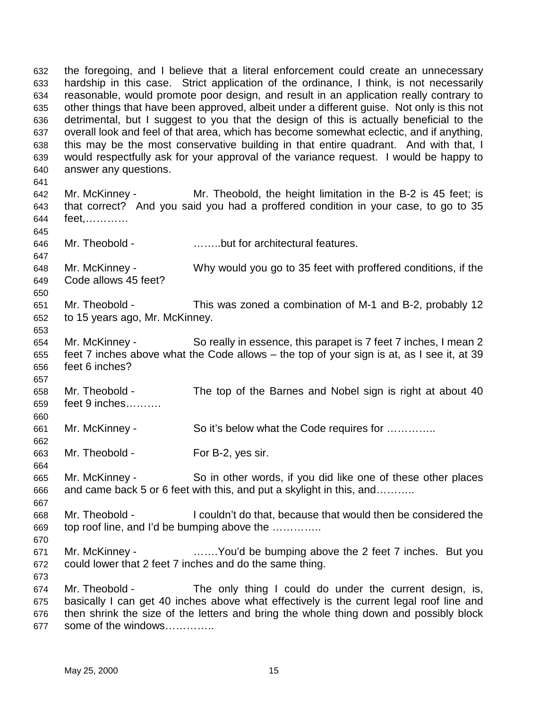632 the foregoing, and I believe that a literal enforcement could create an unnecessary 633 hardship in this case. Strict application of the ordinance, I think, is not necessarily 634 reasonable, would promote poor design, and result in an application really contrary to 635 other things that have been approved, albeit under a different guise. Not only is this not 636 detrimental, but I suggest to you that the design of this is actually beneficial to the 637 overall look and feel of that area, which has become somewhat eclectic, and if anything, 638 this may be the most conservative building in that entire quadrant. And with that, I 639 would respectfully ask for your approval of the variance request. I would be happy to 640 answer any questions. 641 642 Mr. McKinney - Mr. Theobold, the height limitation in the B-2 is 45 feet; is 643 that correct? And you said you had a proffered condition in your case, to go to 35 644 feet,………… 645 646 Mr. Theobold - ……..but for architectural features. 647 648 Mr. McKinney - Why would you go to 35 feet with proffered conditions, if the 649 Code allows 45 feet? 650 651 Mr. Theobold - This was zoned a combination of M-1 and B-2, probably 12 652 to 15 years ago, Mr. McKinney. 653 654 Mr. McKinney - So really in essence, this parapet is 7 feet 7 inches, I mean 2 655 feet 7 inches above what the Code allows – the top of your sign is at, as I see it, at 39 656 feet 6 inches? 657 658 Mr. Theobold - The top of the Barnes and Nobel sign is right at about 40 659 feet 9 inches………. 660 661 Mr. McKinney - So it's below what the Code requires for ………….. 662 663 Mr. Theobold - For B-2, yes sir. 664 665 Mr. McKinney - So in other words, if you did like one of these other places 666 and came back 5 or 6 feet with this, and put a skylight in this, and……….. 667 668 Mr. Theobold - I couldn't do that, because that would then be considered the 669 top roof line, and I'd be bumping above the ………….. 670 671 Mr. McKinney - …….You'd be bumping above the 2 feet 7 inches. But you 672 could lower that 2 feet 7 inches and do the same thing. 673 674 Mr. Theobold - The only thing I could do under the current design, is, 675 basically I can get 40 inches above what effectively is the current legal roof line and 676 then shrink the size of the letters and bring the whole thing down and possibly block

677 some of the windows…………..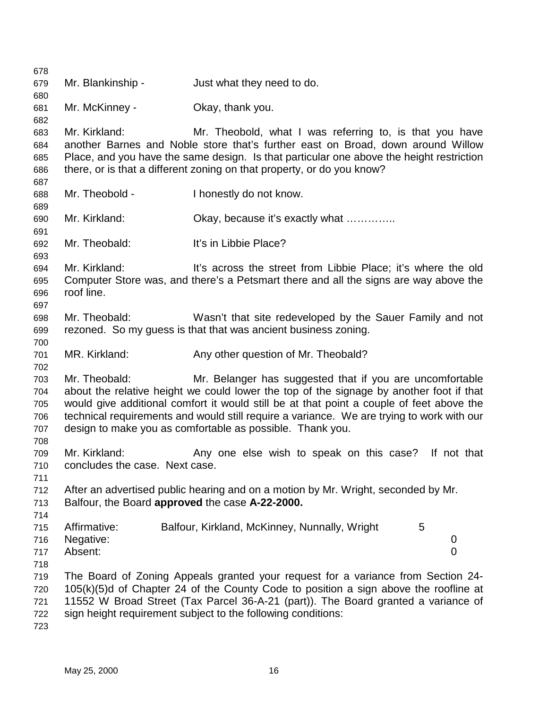678 679 Mr. Blankinship - Just what they need to do. 680 681 Mr. McKinney - Okay, thank you. 682 683 Mr. Kirkland: Mr. Theobold, what I was referring to, is that you have 684 another Barnes and Noble store that's further east on Broad, down around Willow 685 Place, and you have the same design. Is that particular one above the height restriction 686 there, or is that a different zoning on that property, or do you know? 687 688 Mr. Theobold - I honestly do not know. 689 690 Mr. Kirkland: Okay, because it's exactly what ………….. 691 692 Mr. Theobald: It's in Libbie Place? 693 694 Mr. Kirkland: It's across the street from Libbie Place; it's where the old 695 Computer Store was, and there's a Petsmart there and all the signs are way above the 696 roof line. 697 698 Mr. Theobald: Wasn't that site redeveloped by the Sauer Family and not 699 rezoned. So my guess is that that was ancient business zoning. 700 701 MR. Kirkland: Any other question of Mr. Theobald? 702 703 Mr. Theobald: Mr. Belanger has suggested that if you are uncomfortable 704 about the relative height we could lower the top of the signage by another foot if that 705 would give additional comfort it would still be at that point a couple of feet above the 706 technical requirements and would still require a variance. We are trying to work with our 707 design to make you as comfortable as possible. Thank you. 708 709 Mr. Kirkland: Any one else wish to speak on this case? If not that 710 concludes the case. Next case. 711 712 After an advertised public hearing and on a motion by Mr. Wright, seconded by Mr. 713 Balfour, the Board **approved** the case **A-22-2000.** 714 715 Affirmative: Balfour, Kirkland, McKinney, Nunnally, Wright 5 716 Negative: 0 717 Absent: 0 718 719 The Board of Zoning Appeals granted your request for a variance from Section 24- 720 105(k)(5)d of Chapter 24 of the County Code to position a sign above the roofline at 721 11552 W Broad Street (Tax Parcel 36-A-21 (part)). The Board granted a variance of 722 sign height requirement subject to the following conditions: 723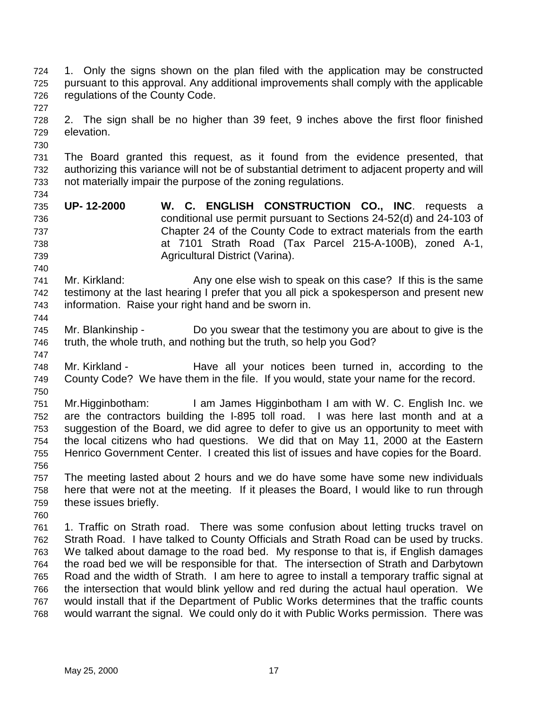- 724 1. Only the signs shown on the plan filed with the application may be constructed 725 pursuant to this approval. Any additional improvements shall comply with the applicable 726 regulations of the County Code.
- 728 2. The sign shall be no higher than 39 feet, 9 inches above the first floor finished 729 elevation.
- 731 The Board granted this request, as it found from the evidence presented, that 732 authorizing this variance will not be of substantial detriment to adjacent property and will 733 not materially impair the purpose of the zoning regulations.
- 735 **UP- 12-2000 W. C. ENGLISH CONSTRUCTION CO., INC**. requests a 736 conditional use permit pursuant to Sections 24-52(d) and 24-103 of 737 Chapter 24 of the County Code to extract materials from the earth 738 at 7101 Strath Road (Tax Parcel 215-A-100B), zoned A-1, 739 Agricultural District (Varina).
- 741 Mr. Kirkland: Any one else wish to speak on this case? If this is the same 742 testimony at the last hearing I prefer that you all pick a spokesperson and present new 743 information. Raise your right hand and be sworn in.
- 745 Mr. Blankinship Do you swear that the testimony you are about to give is the 746 truth, the whole truth, and nothing but the truth, so help you God?
- 747 748 Mr. Kirkland - Have all your notices been turned in, according to the 749 County Code? We have them in the file. If you would, state your name for the record. 750
- 751 Mr.Higginbotham: I am James Higginbotham I am with W. C. English Inc. we 752 are the contractors building the I-895 toll road. I was here last month and at a 753 suggestion of the Board, we did agree to defer to give us an opportunity to meet with 754 the local citizens who had questions. We did that on May 11, 2000 at the Eastern 755 Henrico Government Center. I created this list of issues and have copies for the Board. 756
- 757 The meeting lasted about 2 hours and we do have some have some new individuals 758 here that were not at the meeting. If it pleases the Board, I would like to run through 759 these issues briefly.
- 760 761 1. Traffic on Strath road. There was some confusion about letting trucks travel on 762 Strath Road. I have talked to County Officials and Strath Road can be used by trucks. 763 We talked about damage to the road bed. My response to that is, if English damages 764 the road bed we will be responsible for that. The intersection of Strath and Darbytown 765 Road and the width of Strath. I am here to agree to install a temporary traffic signal at 766 the intersection that would blink yellow and red during the actual haul operation. We 767 would install that if the Department of Public Works determines that the traffic counts 768 would warrant the signal. We could only do it with Public Works permission. There was

727

730

734

740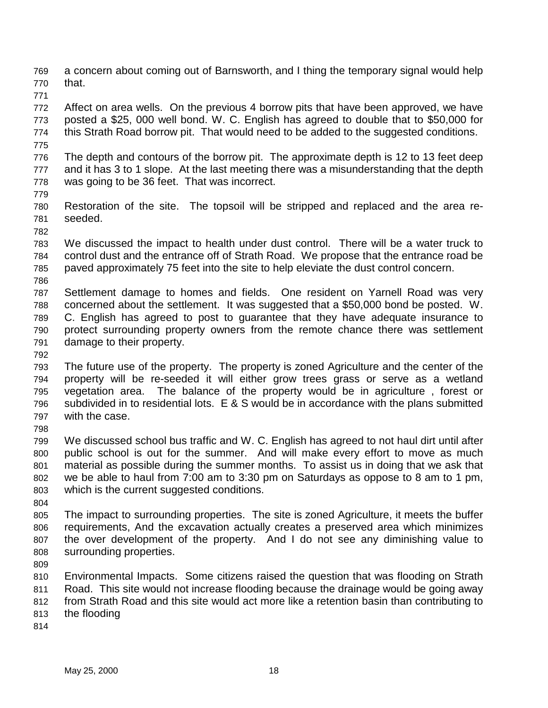769 a concern about coming out of Barnsworth, and I thing the temporary signal would help 770 that.

771

772 Affect on area wells. On the previous 4 borrow pits that have been approved, we have 773 posted a \$25, 000 well bond. W. C. English has agreed to double that to \$50,000 for 774 this Strath Road borrow pit. That would need to be added to the suggested conditions.

775

776 The depth and contours of the borrow pit. The approximate depth is 12 to 13 feet deep 777 and it has 3 to 1 slope. At the last meeting there was a misunderstanding that the depth 778 was going to be 36 feet. That was incorrect.

779

782

780 Restoration of the site. The topsoil will be stripped and replaced and the area re-781 seeded.

- 783 We discussed the impact to health under dust control. There will be a water truck to 784 control dust and the entrance off of Strath Road. We propose that the entrance road be 785 paved approximately 75 feet into the site to help eleviate the dust control concern.
- 786

787 Settlement damage to homes and fields. One resident on Yarnell Road was very 788 concerned about the settlement. It was suggested that a \$50,000 bond be posted. W. 789 C. English has agreed to post to guarantee that they have adequate insurance to 790 protect surrounding property owners from the remote chance there was settlement 791 damage to their property.

792

793 The future use of the property. The property is zoned Agriculture and the center of the 794 property will be re-seeded it will either grow trees grass or serve as a wetland 795 vegetation area. The balance of the property would be in agriculture , forest or 796 subdivided in to residential lots. E & S would be in accordance with the plans submitted 797 with the case. 798

799 We discussed school bus traffic and W. C. English has agreed to not haul dirt until after 800 public school is out for the summer. And will make every effort to move as much 801 material as possible during the summer months. To assist us in doing that we ask that 802 we be able to haul from 7:00 am to 3:30 pm on Saturdays as oppose to 8 am to 1 pm, 803 which is the current suggested conditions.

804

805 The impact to surrounding properties. The site is zoned Agriculture, it meets the buffer 806 requirements, And the excavation actually creates a preserved area which minimizes 807 the over development of the property. And I do not see any diminishing value to 808 surrounding properties.

809

810 Environmental Impacts. Some citizens raised the question that was flooding on Strath 811 Road. This site would not increase flooding because the drainage would be going away 812 from Strath Road and this site would act more like a retention basin than contributing to

- 813 the flooding
- 814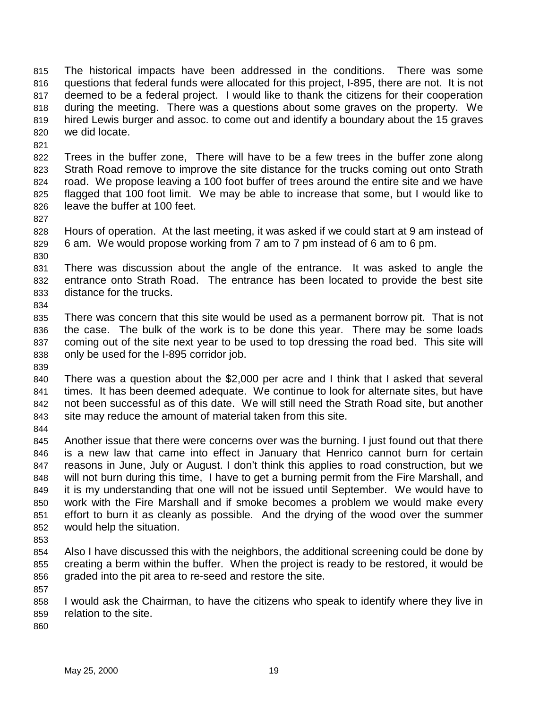815 The historical impacts have been addressed in the conditions. There was some 816 questions that federal funds were allocated for this project, I-895, there are not. It is not 817 deemed to be a federal project. I would like to thank the citizens for their cooperation 818 during the meeting. There was a questions about some graves on the property. We 819 hired Lewis burger and assoc. to come out and identify a boundary about the 15 graves 820 we did locate.

821

822 Trees in the buffer zone, There will have to be a few trees in the buffer zone along 823 Strath Road remove to improve the site distance for the trucks coming out onto Strath 824 road. We propose leaving a 100 foot buffer of trees around the entire site and we have 825 flagged that 100 foot limit. We may be able to increase that some, but I would like to 826 leave the buffer at 100 feet.

827

828 Hours of operation. At the last meeting, it was asked if we could start at 9 am instead of 829 6 am. We would propose working from 7 am to 7 pm instead of 6 am to 6 pm.

830

831 There was discussion about the angle of the entrance. It was asked to angle the 832 entrance onto Strath Road. The entrance has been located to provide the best site 833 distance for the trucks. 834

835 There was concern that this site would be used as a permanent borrow pit. That is not 836 the case. The bulk of the work is to be done this year. There may be some loads 837 coming out of the site next year to be used to top dressing the road bed. This site will 838 only be used for the I-895 corridor job.

839

840 There was a question about the \$2,000 per acre and I think that I asked that several 841 times. It has been deemed adequate. We continue to look for alternate sites, but have 842 not been successful as of this date. We will still need the Strath Road site, but another 843 site may reduce the amount of material taken from this site.

844

845 Another issue that there were concerns over was the burning. I just found out that there 846 is a new law that came into effect in January that Henrico cannot burn for certain 847 reasons in June, July or August. I don't think this applies to road construction, but we 848 will not burn during this time, I have to get a burning permit from the Fire Marshall, and 849 it is my understanding that one will not be issued until September. We would have to 850 work with the Fire Marshall and if smoke becomes a problem we would make every 851 effort to burn it as cleanly as possible. And the drying of the wood over the summer 852 would help the situation.

- 853
- 854 Also I have discussed this with the neighbors, the additional screening could be done by 855 creating a berm within the buffer. When the project is ready to be restored, it would be 856 graded into the pit area to re-seed and restore the site.

858 I would ask the Chairman, to have the citizens who speak to identify where they live in 859 relation to the site.

860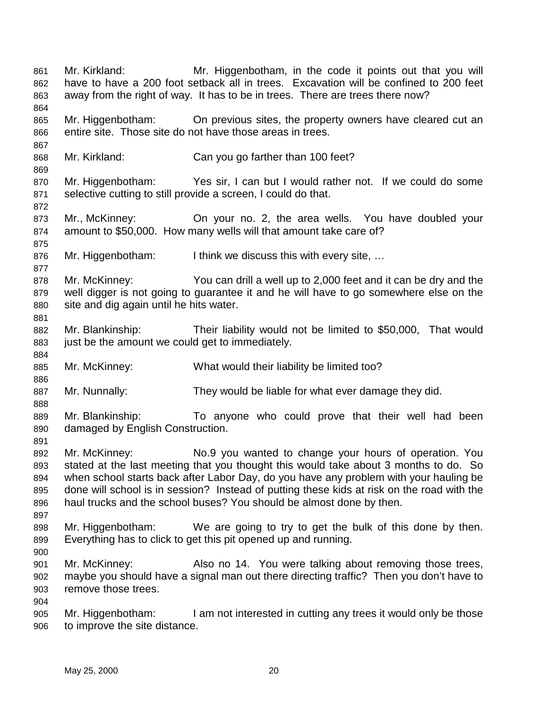861 Mr. Kirkland: Mr. Higgenbotham, in the code it points out that you will 862 have to have a 200 foot setback all in trees. Excavation will be confined to 200 feet 863 away from the right of way. It has to be in trees. There are trees there now? 864 865 Mr. Higgenbotham: On previous sites, the property owners have cleared cut an 866 entire site. Those site do not have those areas in trees. 867 868 Mr. Kirkland: Can you go farther than 100 feet? 869 870 Mr. Higgenbotham: Yes sir, I can but I would rather not. If we could do some 871 selective cutting to still provide a screen, I could do that. 872 873 Mr., McKinney: On your no. 2, the area wells. You have doubled your 874 amount to \$50,000. How many wells will that amount take care of? 875 876 Mr. Higgenbotham: I think we discuss this with every site, … 877 878 Mr. McKinney: You can drill a well up to 2,000 feet and it can be dry and the 879 well digger is not going to guarantee it and he will have to go somewhere else on the 880 site and dig again until he hits water. 881 882 Mr. Blankinship: Their liability would not be limited to \$50,000, That would 883 just be the amount we could get to immediately. 884 885 Mr. McKinney: What would their liability be limited too? 886 887 Mr. Nunnally: They would be liable for what ever damage they did. 888 889 Mr. Blankinship: To anyone who could prove that their well had been 890 damaged by English Construction. 891 892 Mr. McKinney: No.9 you wanted to change your hours of operation. You 893 stated at the last meeting that you thought this would take about 3 months to do. So 894 when school starts back after Labor Day, do you have any problem with your hauling be 895 done will school is in session? Instead of putting these kids at risk on the road with the 896 haul trucks and the school buses? You should be almost done by then. 897 898 Mr. Higgenbotham: We are going to try to get the bulk of this done by then. 899 Everything has to click to get this pit opened up and running. 900 901 Mr. McKinney: Also no 14. You were talking about removing those trees, 902 maybe you should have a signal man out there directing traffic? Then you don't have to 903 remove those trees. 904 905 Mr. Higgenbotham: I am not interested in cutting any trees it would only be those 906 to improve the site distance.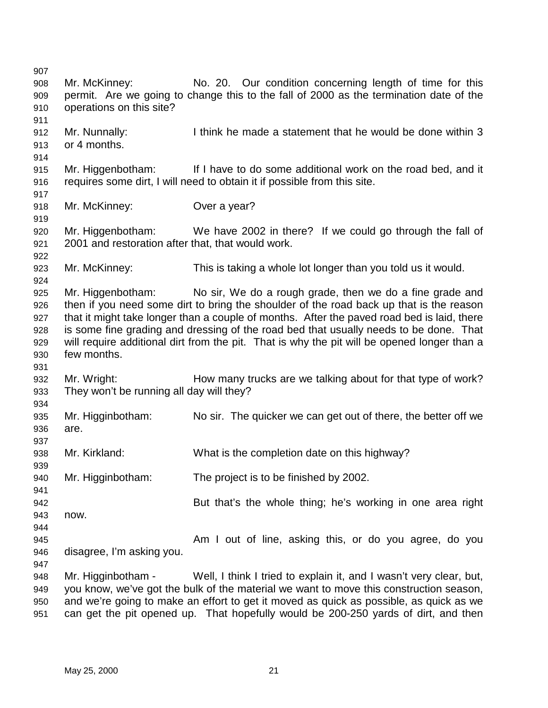907 908 Mr. McKinney: No. 20. Our condition concerning length of time for this 909 permit. Are we going to change this to the fall of 2000 as the termination date of the 910 operations on this site? 911 912 Mr. Nunnally: I think he made a statement that he would be done within 3 913 or 4 months. 914 915 Mr. Higgenbotham: If I have to do some additional work on the road bed, and it 916 requires some dirt, I will need to obtain it if possible from this site. 917 918 Mr. McKinney: Over a year? 919 920 Mr. Higgenbotham: We have 2002 in there? If we could go through the fall of 921 2001 and restoration after that, that would work. 922 923 Mr. McKinney: This is taking a whole lot longer than you told us it would. 924 925 Mr. Higgenbotham: No sir, We do a rough grade, then we do a fine grade and 926 then if you need some dirt to bring the shoulder of the road back up that is the reason 927 that it might take longer than a couple of months. After the paved road bed is laid, there 928 is some fine grading and dressing of the road bed that usually needs to be done. That 929 will require additional dirt from the pit. That is why the pit will be opened longer than a 930 few months. 931 932 Mr. Wright: How many trucks are we talking about for that type of work? 933 They won't be running all day will they? 934 935 Mr. Higginbotham: No sir. The quicker we can get out of there, the better off we 936 are. 937 938 Mr. Kirkland: What is the completion date on this highway? 939 940 Mr. Higginbotham: The project is to be finished by 2002. 941 942 But that's the whole thing; he's working in one area right 943 now. 944 945 Am I out of line, asking this, or do you agree, do you 946 disagree, I'm asking you. 947 948 Mr. Higginbotham - Well, I think I tried to explain it, and I wasn't very clear, but, 949 you know, we've got the bulk of the material we want to move this construction season, 950 and we're going to make an effort to get it moved as quick as possible, as quick as we 951 can get the pit opened up. That hopefully would be 200-250 yards of dirt, and then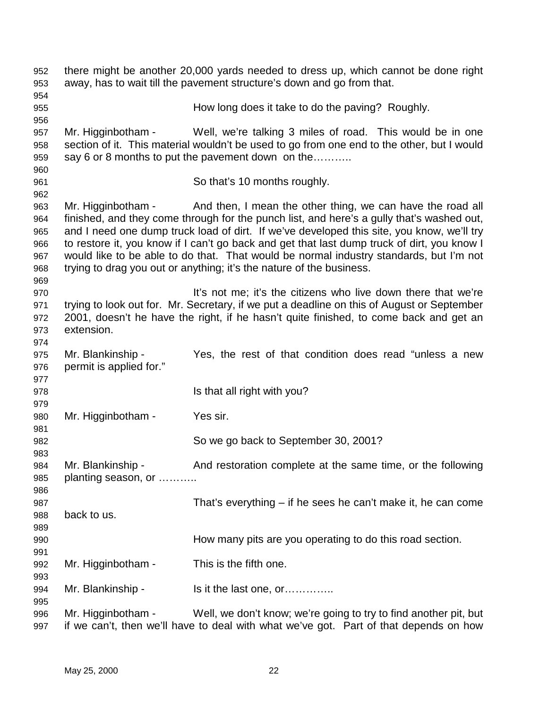952 there might be another 20,000 yards needed to dress up, which cannot be done right 953 away, has to wait till the pavement structure's down and go from that. 954 955 How long does it take to do the paving? Roughly. 956 957 Mr. Higginbotham - Well, we're talking 3 miles of road. This would be in one 958 section of it. This material wouldn't be used to go from one end to the other, but I would 959 say 6 or 8 months to put the pavement down on the……….. 960 961 So that's 10 months roughly. 962 963 Mr. Higginbotham - And then, I mean the other thing, we can have the road all 964 finished, and they come through for the punch list, and here's a gully that's washed out, 965 and I need one dump truck load of dirt. If we've developed this site, you know, we'll try 966 to restore it, you know if I can't go back and get that last dump truck of dirt, you know I 967 would like to be able to do that. That would be normal industry standards, but I'm not 968 trying to drag you out or anything; it's the nature of the business. 969 970 **It's not me**; it's the citizens who live down there that we're 971 trying to look out for. Mr. Secretary, if we put a deadline on this of August or September 972 2001, doesn't he have the right, if he hasn't quite finished, to come back and get an 973 extension. 974 975 Mr. Blankinship - Yes, the rest of that condition does read "unless a new 976 permit is applied for." 977 978 Is that all right with you? 979 980 Mr. Higginbotham - Yes sir. 981 982 So we go back to September 30, 2001? 983 984 Mr. Blankinship - And restoration complete at the same time, or the following 985 planting season, or ……….. 986 987 That's everything – if he sees he can't make it, he can come 988 back to us. 989 990 How many pits are you operating to do this road section. 991 992 Mr. Higginbotham - This is the fifth one. 993 994 Mr. Blankinship - Is it the last one, or…………. 995 996 Mr. Higginbotham - Well, we don't know; we're going to try to find another pit, but 997 if we can't, then we'll have to deal with what we've got. Part of that depends on how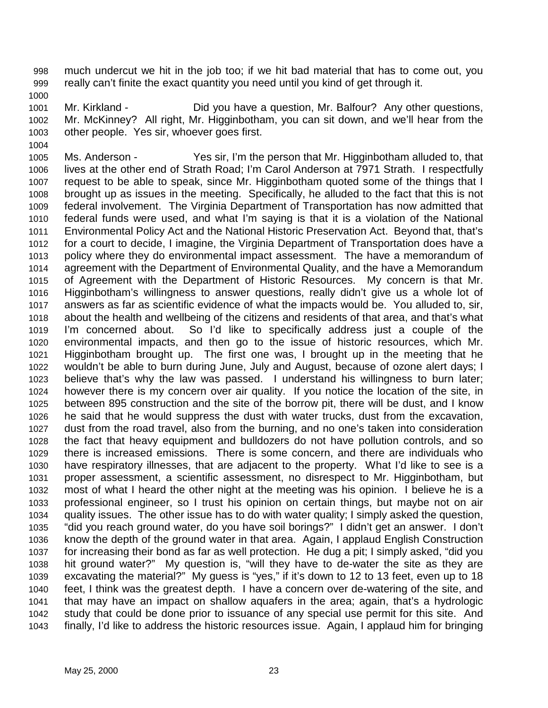998 much undercut we hit in the job too; if we hit bad material that has to come out, you 999 really can't finite the exact quantity you need until you kind of get through it.

1000

1004

1001 Mr. Kirkland - Did you have a question, Mr. Balfour? Any other questions, 1002 Mr. McKinney? All right, Mr. Higginbotham, you can sit down, and we'll hear from the 1003 other people. Yes sir, whoever goes first.

1005 Ms. Anderson - Yes sir, I'm the person that Mr. Higginbotham alluded to, that 1006 lives at the other end of Strath Road; I'm Carol Anderson at 7971 Strath. I respectfully 1007 request to be able to speak, since Mr. Higginbotham quoted some of the things that I 1008 brought up as issues in the meeting. Specifically, he alluded to the fact that this is not 1009 federal involvement. The Virginia Department of Transportation has now admitted that 1010 federal funds were used, and what I'm saying is that it is a violation of the National 1011 Environmental Policy Act and the National Historic Preservation Act. Beyond that, that's 1012 for a court to decide, I imagine, the Virginia Department of Transportation does have a 1013 policy where they do environmental impact assessment. The have a memorandum of 1014 agreement with the Department of Environmental Quality, and the have a Memorandum 1015 of Agreement with the Department of Historic Resources. My concern is that Mr. 1016 Higginbotham's willingness to answer questions, really didn't give us a whole lot of 1017 answers as far as scientific evidence of what the impacts would be. You alluded to, sir, 1018 about the health and wellbeing of the citizens and residents of that area, and that's what 1019 I'm concerned about. So I'd like to specifically address just a couple of the 1020 environmental impacts, and then go to the issue of historic resources, which Mr. 1021 Higginbotham brought up. The first one was, I brought up in the meeting that he 1022 wouldn't be able to burn during June, July and August, because of ozone alert days; I 1023 believe that's why the law was passed. I understand his willingness to burn later; 1024 however there is my concern over air quality. If you notice the location of the site, in 1025 between 895 construction and the site of the borrow pit, there will be dust, and I know 1026 he said that he would suppress the dust with water trucks, dust from the excavation, 1027 dust from the road travel, also from the burning, and no one's taken into consideration 1028 the fact that heavy equipment and bulldozers do not have pollution controls, and so 1029 there is increased emissions. There is some concern, and there are individuals who 1030 have respiratory illnesses, that are adjacent to the property. What I'd like to see is a 1031 proper assessment, a scientific assessment, no disrespect to Mr. Higginbotham, but 1032 most of what I heard the other night at the meeting was his opinion. I believe he is a 1033 professional engineer, so I trust his opinion on certain things, but maybe not on air 1034 quality issues. The other issue has to do with water quality; I simply asked the question, 1035 "did you reach ground water, do you have soil borings?" I didn't get an answer. I don't 1036 know the depth of the ground water in that area. Again, I applaud English Construction 1037 for increasing their bond as far as well protection. He dug a pit; I simply asked, "did you 1038 hit ground water?" My question is, "will they have to de-water the site as they are 1039 excavating the material?" My guess is "yes," if it's down to 12 to 13 feet, even up to 18 1040 feet, I think was the greatest depth. I have a concern over de-watering of the site, and 1041 that may have an impact on shallow aquafers in the area; again, that's a hydrologic 1042 study that could be done prior to issuance of any special use permit for this site. And 1043 finally, I'd like to address the historic resources issue. Again, I applaud him for bringing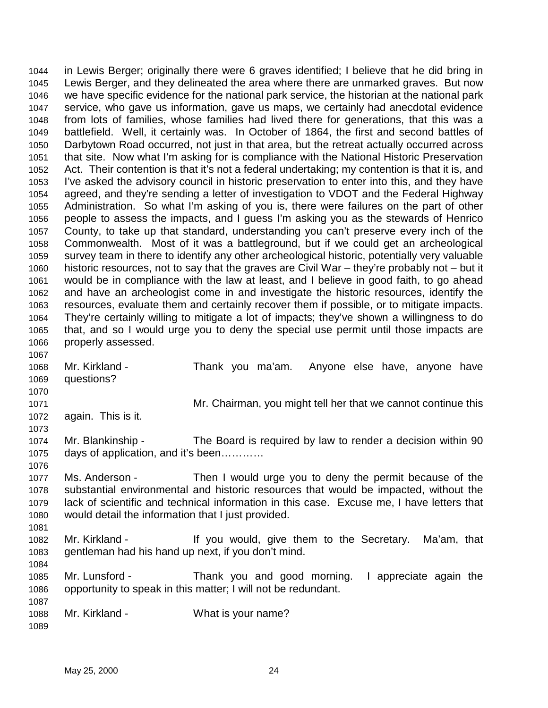1044 in Lewis Berger; originally there were 6 graves identified; I believe that he did bring in 1045 Lewis Berger, and they delineated the area where there are unmarked graves. But now 1046 we have specific evidence for the national park service, the historian at the national park 1047 service, who gave us information, gave us maps, we certainly had anecdotal evidence 1048 from lots of families, whose families had lived there for generations, that this was a 1049 battlefield. Well, it certainly was. In October of 1864, the first and second battles of 1050 Darbytown Road occurred, not just in that area, but the retreat actually occurred across 1051 that site. Now what I'm asking for is compliance with the National Historic Preservation 1052 Act. Their contention is that it's not a federal undertaking; my contention is that it is, and 1053 I've asked the advisory council in historic preservation to enter into this, and they have 1054 agreed, and they're sending a letter of investigation to VDOT and the Federal Highway 1055 Administration. So what I'm asking of you is, there were failures on the part of other 1056 people to assess the impacts, and I guess I'm asking you as the stewards of Henrico 1057 County, to take up that standard, understanding you can't preserve every inch of the 1058 Commonwealth. Most of it was a battleground, but if we could get an archeological 1059 survey team in there to identify any other archeological historic, potentially very valuable 1060 historic resources, not to say that the graves are Civil War – they're probably not – but it 1061 would be in compliance with the law at least, and I believe in good faith, to go ahead 1062 and have an archeologist come in and investigate the historic resources, identify the 1063 resources, evaluate them and certainly recover them if possible, or to mitigate impacts. 1064 They're certainly willing to mitigate a lot of impacts; they've shown a willingness to do 1065 that, and so I would urge you to deny the special use permit until those impacts are 1066 properly assessed. 1067 1068 Mr. Kirkland - Thank you ma'am. Anyone else have, anyone have 1069 questions? 1070 1071 Mr. Chairman, you might tell her that we cannot continue this 1072 again. This is it. 1073 1074 Mr. Blankinship - The Board is required by law to render a decision within 90 1075 days of application, and it's been………… 1076 1077 Ms. Anderson - Then I would urge you to deny the permit because of the 1078 substantial environmental and historic resources that would be impacted, without the 1079 lack of scientific and technical information in this case. Excuse me, I have letters that 1080 would detail the information that I just provided. 1081 1082 Mr. Kirkland - If you would, give them to the Secretary. Ma'am, that 1083 gentleman had his hand up next, if you don't mind. 1084 1085 Mr. Lunsford - Thank you and good morning. I appreciate again the 1086 opportunity to speak in this matter; I will not be redundant. 1087 1088 Mr. Kirkland - What is your name? 1089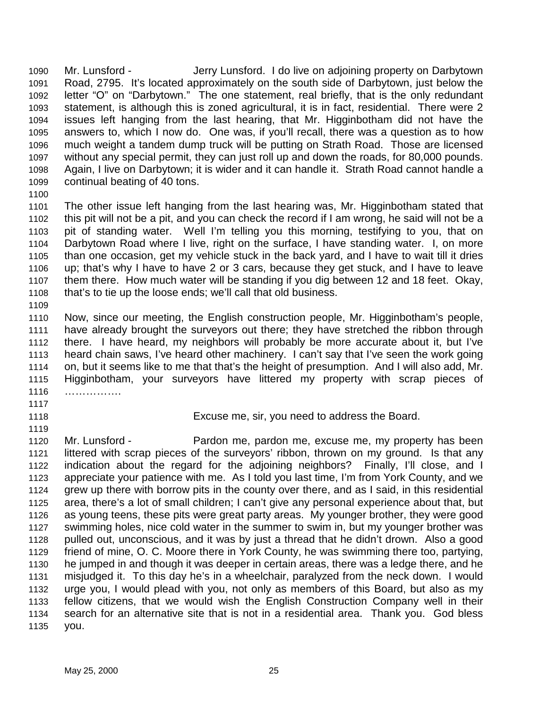1090 Mr. Lunsford - Jerry Lunsford. I do live on adjoining property on Darbytown 1091 Road, 2795. It's located approximately on the south side of Darbytown, just below the 1092 letter "O" on "Darbytown." The one statement, real briefly, that is the only redundant 1093 statement, is although this is zoned agricultural, it is in fact, residential. There were 2 1094 issues left hanging from the last hearing, that Mr. Higginbotham did not have the 1095 answers to, which I now do. One was, if you'll recall, there was a question as to how 1096 much weight a tandem dump truck will be putting on Strath Road. Those are licensed 1097 without any special permit, they can just roll up and down the roads, for 80,000 pounds. 1098 Again, I live on Darbytown; it is wider and it can handle it. Strath Road cannot handle a 1099 continual beating of 40 tons.

1100

1101 The other issue left hanging from the last hearing was, Mr. Higginbotham stated that 1102 this pit will not be a pit, and you can check the record if I am wrong, he said will not be a 1103 pit of standing water. Well I'm telling you this morning, testifying to you, that on 1104 Darbytown Road where I live, right on the surface, I have standing water. I, on more 1105 than one occasion, get my vehicle stuck in the back yard, and I have to wait till it dries 1106 up; that's why I have to have 2 or 3 cars, because they get stuck, and I have to leave 1107 them there. How much water will be standing if you dig between 12 and 18 feet. Okay, 1108 that's to tie up the loose ends; we'll call that old business.

1109

1110 Now, since our meeting, the English construction people, Mr. Higginbotham's people, 1111 have already brought the surveyors out there; they have stretched the ribbon through 1112 there. I have heard, my neighbors will probably be more accurate about it, but I've 1113 heard chain saws, I've heard other machinery. I can't say that I've seen the work going 1114 on, but it seems like to me that that's the height of presumption. And I will also add, Mr. 1115 Higginbotham, your surveyors have littered my property with scrap pieces of 1116 …………….

- 1117
- 

1119

1118 Excuse me, sir, you need to address the Board.

1120 Mr. Lunsford - Pardon me, pardon me, excuse me, my property has been 1121 littered with scrap pieces of the surveyors' ribbon, thrown on my ground. Is that any 1122 indication about the regard for the adjoining neighbors? Finally, I'll close, and I 1123 appreciate your patience with me. As I told you last time, I'm from York County, and we 1124 grew up there with borrow pits in the county over there, and as I said, in this residential 1125 area, there's a lot of small children; I can't give any personal experience about that, but 1126 as young teens, these pits were great party areas. My younger brother, they were good 1127 swimming holes, nice cold water in the summer to swim in, but my younger brother was 1128 pulled out, unconscious, and it was by just a thread that he didn't drown. Also a good 1129 friend of mine, O. C. Moore there in York County, he was swimming there too, partying, 1130 he jumped in and though it was deeper in certain areas, there was a ledge there, and he 1131 misjudged it. To this day he's in a wheelchair, paralyzed from the neck down. I would 1132 urge you, I would plead with you, not only as members of this Board, but also as my 1133 fellow citizens, that we would wish the English Construction Company well in their 1134 search for an alternative site that is not in a residential area. Thank you. God bless 1135 you.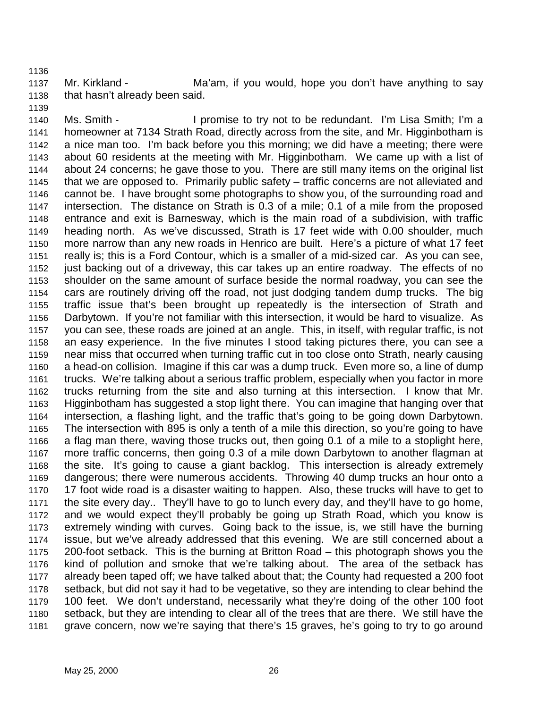1137 Mr. Kirkland - Ma'am, if you would, hope you don't have anything to say 1138 that hasn't already been said.

1140 Ms. Smith - I promise to try not to be redundant. I'm Lisa Smith; I'm a 1141 homeowner at 7134 Strath Road, directly across from the site, and Mr. Higginbotham is 1142 a nice man too. I'm back before you this morning; we did have a meeting; there were 1143 about 60 residents at the meeting with Mr. Higginbotham. We came up with a list of 1144 about 24 concerns; he gave those to you. There are still many items on the original list 1145 that we are opposed to. Primarily public safety – traffic concerns are not alleviated and 1146 cannot be. I have brought some photographs to show you, of the surrounding road and 1147 intersection. The distance on Strath is 0.3 of a mile; 0.1 of a mile from the proposed 1148 entrance and exit is Barnesway, which is the main road of a subdivision, with traffic 1149 heading north. As we've discussed, Strath is 17 feet wide with 0.00 shoulder, much 1150 more narrow than any new roads in Henrico are built. Here's a picture of what 17 feet 1151 really is; this is a Ford Contour, which is a smaller of a mid-sized car. As you can see, 1152 just backing out of a driveway, this car takes up an entire roadway. The effects of no 1153 shoulder on the same amount of surface beside the normal roadway, you can see the 1154 cars are routinely driving off the road, not just dodging tandem dump trucks. The big 1155 traffic issue that's been brought up repeatedly is the intersection of Strath and 1156 Darbytown. If you're not familiar with this intersection, it would be hard to visualize. As 1157 you can see, these roads are joined at an angle. This, in itself, with regular traffic, is not 1158 an easy experience. In the five minutes I stood taking pictures there, you can see a 1159 near miss that occurred when turning traffic cut in too close onto Strath, nearly causing 1160 a head-on collision. Imagine if this car was a dump truck. Even more so, a line of dump 1161 trucks. We're talking about a serious traffic problem, especially when you factor in more 1162 trucks returning from the site and also turning at this intersection. I know that Mr. 1163 Higginbotham has suggested a stop light there. You can imagine that hanging over that 1164 intersection, a flashing light, and the traffic that's going to be going down Darbytown. 1165 The intersection with 895 is only a tenth of a mile this direction, so you're going to have 1166 a flag man there, waving those trucks out, then going 0.1 of a mile to a stoplight here, 1167 more traffic concerns, then going 0.3 of a mile down Darbytown to another flagman at 1168 the site. It's going to cause a giant backlog. This intersection is already extremely 1169 dangerous; there were numerous accidents. Throwing 40 dump trucks an hour onto a 1170 17 foot wide road is a disaster waiting to happen. Also, these trucks will have to get to 1171 the site every day.. They'll have to go to lunch every day, and they'll have to go home, 1172 and we would expect they'll probably be going up Strath Road, which you know is 1173 extremely winding with curves. Going back to the issue, is, we still have the burning 1174 issue, but we've already addressed that this evening. We are still concerned about a 1175 200-foot setback. This is the burning at Britton Road – this photograph shows you the 1176 kind of pollution and smoke that we're talking about. The area of the setback has 1177 already been taped off; we have talked about that; the County had requested a 200 foot 1178 setback, but did not say it had to be vegetative, so they are intending to clear behind the 1179 100 feet. We don't understand, necessarily what they're doing of the other 100 foot 1180 setback, but they are intending to clear all of the trees that are there. We still have the 1181 grave concern, now we're saying that there's 15 graves, he's going to try to go around

1136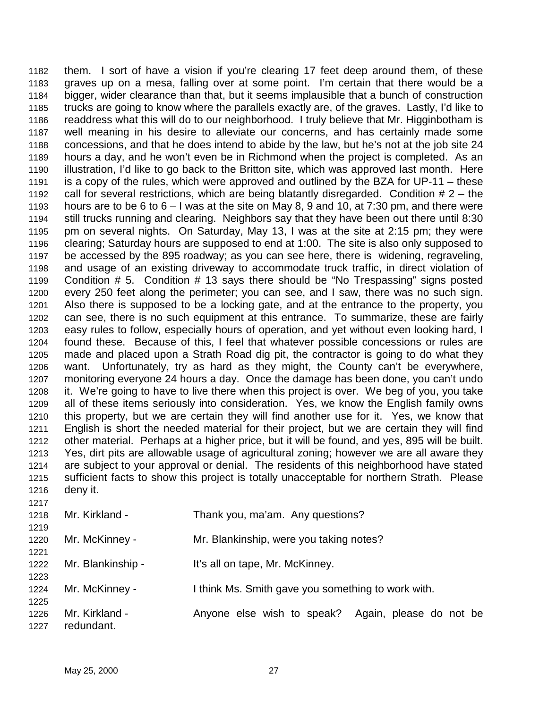1182 them. I sort of have a vision if you're clearing 17 feet deep around them, of these 1183 graves up on a mesa, falling over at some point. I'm certain that there would be a 1184 bigger, wider clearance than that, but it seems implausible that a bunch of construction 1185 trucks are going to know where the parallels exactly are, of the graves. Lastly, I'd like to 1186 readdress what this will do to our neighborhood. I truly believe that Mr. Higginbotham is 1187 well meaning in his desire to alleviate our concerns, and has certainly made some 1188 concessions, and that he does intend to abide by the law, but he's not at the job site 24 1189 hours a day, and he won't even be in Richmond when the project is completed. As an 1190 illustration, I'd like to go back to the Britton site, which was approved last month. Here 1191 is a copy of the rules, which were approved and outlined by the BZA for UP-11 – these 1192 call for several restrictions, which are being blatantly disregarded. Condition # 2 – the 1193 hours are to be 6 to 6 – I was at the site on May 8, 9 and 10, at 7:30 pm, and there were 1194 still trucks running and clearing. Neighbors say that they have been out there until 8:30 1195 pm on several nights. On Saturday, May 13, I was at the site at 2:15 pm; they were 1196 clearing; Saturday hours are supposed to end at 1:00. The site is also only supposed to 1197 be accessed by the 895 roadway; as you can see here, there is widening, regraveling, 1198 and usage of an existing driveway to accommodate truck traffic, in direct violation of 1199 Condition # 5. Condition # 13 says there should be "No Trespassing" signs posted 1200 every 250 feet along the perimeter; you can see, and I saw, there was no such sign. 1201 Also there is supposed to be a locking gate, and at the entrance to the property, you 1202 can see, there is no such equipment at this entrance. To summarize, these are fairly 1203 easy rules to follow, especially hours of operation, and yet without even looking hard, I 1204 found these. Because of this, I feel that whatever possible concessions or rules are 1205 made and placed upon a Strath Road dig pit, the contractor is going to do what they 1206 want. Unfortunately, try as hard as they might, the County can't be everywhere, 1207 monitoring everyone 24 hours a day. Once the damage has been done, you can't undo 1208 it. We're going to have to live there when this project is over. We beg of you, you take 1209 all of these items seriously into consideration. Yes, we know the English family owns 1210 this property, but we are certain they will find another use for it. Yes, we know that 1211 English is short the needed material for their project, but we are certain they will find 1212 other material. Perhaps at a higher price, but it will be found, and yes, 895 will be built. 1213 Yes, dirt pits are allowable usage of agricultural zoning; however we are all aware they 1214 are subject to your approval or denial. The residents of this neighborhood have stated 1215 sufficient facts to show this project is totally unacceptable for northern Strath. Please 1216 deny it. 1217

| 1218<br>1219 | Mr. Kirkland -               | Thank you, ma'am. Any questions?                      |
|--------------|------------------------------|-------------------------------------------------------|
| 1220<br>1221 | Mr. McKinney -               | Mr. Blankinship, were you taking notes?               |
| 1222<br>1223 | Mr. Blankinship -            | It's all on tape, Mr. McKinney.                       |
| 1224<br>1225 | Mr. McKinney -               | I think Ms. Smith gave you something to work with.    |
| 1226<br>1227 | Mr. Kirkland -<br>redundant. | Anyone else wish to speak?<br>Again, please do not be |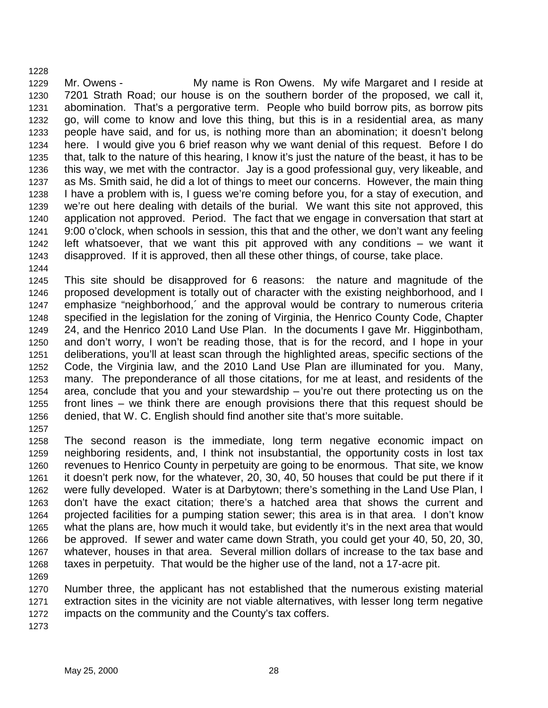1229 Mr. Owens - My name is Ron Owens. My wife Margaret and I reside at 1230 7201 Strath Road; our house is on the southern border of the proposed, we call it, 1231 abomination. That's a pergorative term. People who build borrow pits, as borrow pits 1232 go, will come to know and love this thing, but this is in a residential area, as many 1233 people have said, and for us, is nothing more than an abomination; it doesn't belong 1234 here. I would give you 6 brief reason why we want denial of this request. Before I do 1235 that, talk to the nature of this hearing, I know it's just the nature of the beast, it has to be 1236 this way, we met with the contractor. Jay is a good professional guy, very likeable, and 1237 as Ms. Smith said, he did a lot of things to meet our concerns. However, the main thing 1238 I have a problem with is, I guess we're coming before you, for a stay of execution, and 1239 we're out here dealing with details of the burial. We want this site not approved, this 1240 application not approved. Period. The fact that we engage in conversation that start at 1241 9:00 o'clock, when schools in session, this that and the other, we don't want any feeling 1242 left whatsoever, that we want this pit approved with any conditions – we want it 1243 disapproved. If it is approved, then all these other things, of course, take place. 1244

1245 This site should be disapproved for 6 reasons: the nature and magnitude of the 1246 proposed development is totally out of character with the existing neighborhood, and I 1247 emphasize "neighborhood,´ and the approval would be contrary to numerous criteria 1248 specified in the legislation for the zoning of Virginia, the Henrico County Code, Chapter 1249 24, and the Henrico 2010 Land Use Plan. In the documents I gave Mr. Higginbotham, 1250 and don't worry, I won't be reading those, that is for the record, and I hope in your 1251 deliberations, you'll at least scan through the highlighted areas, specific sections of the 1252 Code, the Virginia law, and the 2010 Land Use Plan are illuminated for you. Many, 1253 many. The preponderance of all those citations, for me at least, and residents of the 1254 area, conclude that you and your stewardship – you're out there protecting us on the 1255 front lines – we think there are enough provisions there that this request should be 1256 denied, that W. C. English should find another site that's more suitable. 1257

1258 The second reason is the immediate, long term negative economic impact on 1259 neighboring residents, and, I think not insubstantial, the opportunity costs in lost tax 1260 revenues to Henrico County in perpetuity are going to be enormous. That site, we know 1261 it doesn't perk now, for the whatever, 20, 30, 40, 50 houses that could be put there if it 1262 were fully developed. Water is at Darbytown; there's something in the Land Use Plan, I 1263 don't have the exact citation; there's a hatched area that shows the current and 1264 projected facilities for a pumping station sewer; this area is in that area. I don't know 1265 what the plans are, how much it would take, but evidently it's in the next area that would 1266 be approved. If sewer and water came down Strath, you could get your 40, 50, 20, 30, 1267 whatever, houses in that area. Several million dollars of increase to the tax base and 1268 taxes in perpetuity. That would be the higher use of the land, not a 17-acre pit. 1269

1270 Number three, the applicant has not established that the numerous existing material 1271 extraction sites in the vicinity are not viable alternatives, with lesser long term negative 1272 impacts on the community and the County's tax coffers.

1273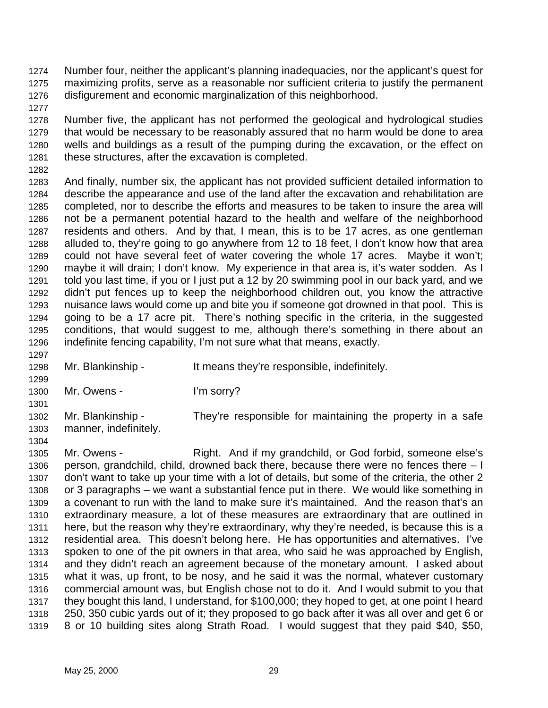1274 Number four, neither the applicant's planning inadequacies, nor the applicant's quest for 1275 maximizing profits, serve as a reasonable nor sufficient criteria to justify the permanent 1276 disfigurement and economic marginalization of this neighborhood.

1278 Number five, the applicant has not performed the geological and hydrological studies 1279 that would be necessary to be reasonably assured that no harm would be done to area 1280 wells and buildings as a result of the pumping during the excavation, or the effect on 1281 these structures, after the excavation is completed.

1282

1297

1299

1304

1277

1283 And finally, number six, the applicant has not provided sufficient detailed information to 1284 describe the appearance and use of the land after the excavation and rehabilitation are 1285 completed, nor to describe the efforts and measures to be taken to insure the area will 1286 not be a permanent potential hazard to the health and welfare of the neighborhood 1287 residents and others. And by that, I mean, this is to be 17 acres, as one gentleman 1288 alluded to, they're going to go anywhere from 12 to 18 feet, I don't know how that area 1289 could not have several feet of water covering the whole 17 acres. Maybe it won't; 1290 maybe it will drain; I don't know. My experience in that area is, it's water sodden. As I 1291 told you last time, if you or I just put a 12 by 20 swimming pool in our back yard, and we 1292 didn't put fences up to keep the neighborhood children out, you know the attractive 1293 nuisance laws would come up and bite you if someone got drowned in that pool. This is 1294 going to be a 17 acre pit. There's nothing specific in the criteria, in the suggested 1295 conditions, that would suggest to me, although there's something in there about an 1296 indefinite fencing capability, I'm not sure what that means, exactly.

- 1298 Mr. Blankinship It means they're responsible, indefinitely.
- 1300 Mr. Owens I'm sorry?
- 1301 1302 Mr. Blankinship - They're responsible for maintaining the property in a safe 1303 manner, indefinitely.
- 1305 Mr. Owens Right. And if my grandchild, or God forbid, someone else's 1306 person, grandchild, child, drowned back there, because there were no fences there – I 1307 don't want to take up your time with a lot of details, but some of the criteria, the other 2 1308 or 3 paragraphs – we want a substantial fence put in there. We would like something in 1309 a covenant to run with the land to make sure it's maintained. And the reason that's an 1310 extraordinary measure, a lot of these measures are extraordinary that are outlined in 1311 here, but the reason why they're extraordinary, why they're needed, is because this is a 1312 residential area. This doesn't belong here. He has opportunities and alternatives. I've 1313 spoken to one of the pit owners in that area, who said he was approached by English, 1314 and they didn't reach an agreement because of the monetary amount. I asked about 1315 what it was, up front, to be nosy, and he said it was the normal, whatever customary 1316 commercial amount was, but English chose not to do it. And I would submit to you that 1317 they bought this land, I understand, for \$100,000; they hoped to get, at one point I heard 1318 250, 350 cubic yards out of it; they proposed to go back after it was all over and get 6 or 1319 8 or 10 building sites along Strath Road. I would suggest that they paid \$40, \$50,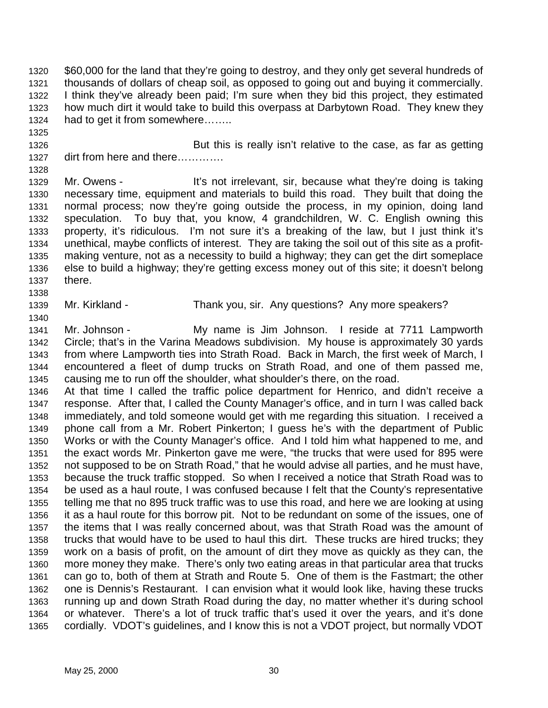1320 \$60,000 for the land that they're going to destroy, and they only get several hundreds of 1321 thousands of dollars of cheap soil, as opposed to going out and buying it commercially. 1322 I think they've already been paid; I'm sure when they bid this project, they estimated 1323 how much dirt it would take to build this overpass at Darbytown Road. They knew they 1324 had to get it from somewhere……..

1326 But this is really isn't relative to the case, as far as getting 1327 dirt from here and there………….

1329 Mr. Owens - It's not irrelevant, sir, because what they're doing is taking 1330 necessary time, equipment and materials to build this road. They built that doing the 1331 normal process; now they're going outside the process, in my opinion, doing land 1332 speculation. To buy that, you know, 4 grandchildren, W. C. English owning this 1333 property, it's ridiculous. I'm not sure it's a breaking of the law, but I just think it's 1334 unethical, maybe conflicts of interest. They are taking the soil out of this site as a profit-1335 making venture, not as a necessity to build a highway; they can get the dirt someplace 1336 else to build a highway; they're getting excess money out of this site; it doesn't belong 1337 there.

1339 Mr. Kirkland - Thank you, sir. Any questions? Any more speakers?

1341 Mr. Johnson - My name is Jim Johnson. I reside at 7711 Lampworth 1342 Circle; that's in the Varina Meadows subdivision. My house is approximately 30 yards 1343 from where Lampworth ties into Strath Road. Back in March, the first week of March, I 1344 encountered a fleet of dump trucks on Strath Road, and one of them passed me, 1345 causing me to run off the shoulder, what shoulder's there, on the road.

1346 At that time I called the traffic police department for Henrico, and didn't receive a 1347 response. After that, I called the County Manager's office, and in turn I was called back 1348 immediately, and told someone would get with me regarding this situation. I received a 1349 phone call from a Mr. Robert Pinkerton; I guess he's with the department of Public 1350 Works or with the County Manager's office. And I told him what happened to me, and 1351 the exact words Mr. Pinkerton gave me were, "the trucks that were used for 895 were 1352 not supposed to be on Strath Road," that he would advise all parties, and he must have, 1353 because the truck traffic stopped. So when I received a notice that Strath Road was to 1354 be used as a haul route, I was confused because I felt that the County's representative 1355 telling me that no 895 truck traffic was to use this road, and here we are looking at using 1356 it as a haul route for this borrow pit. Not to be redundant on some of the issues, one of 1357 the items that I was really concerned about, was that Strath Road was the amount of 1358 trucks that would have to be used to haul this dirt. These trucks are hired trucks; they 1359 work on a basis of profit, on the amount of dirt they move as quickly as they can, the 1360 more money they make. There's only two eating areas in that particular area that trucks 1361 can go to, both of them at Strath and Route 5. One of them is the Fastmart; the other 1362 one is Dennis's Restaurant. I can envision what it would look like, having these trucks 1363 running up and down Strath Road during the day, no matter whether it's during school 1364 or whatever. There's a lot of truck traffic that's used it over the years, and it's done 1365 cordially. VDOT's guidelines, and I know this is not a VDOT project, but normally VDOT

1325

1328

1338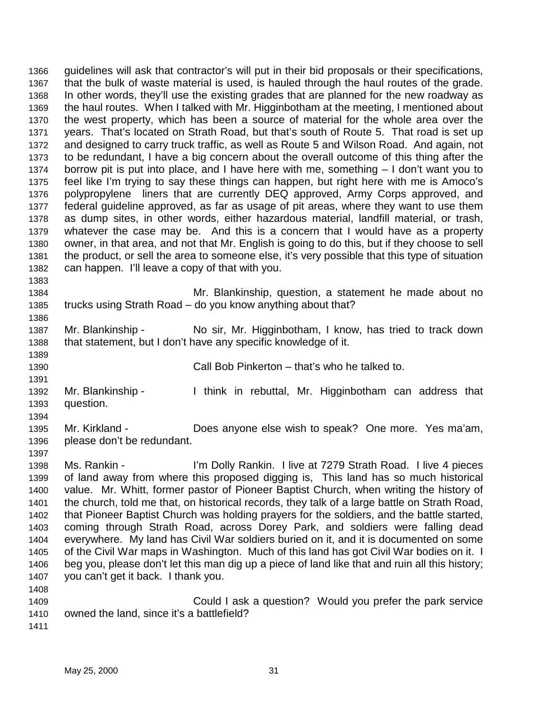1366 guidelines will ask that contractor's will put in their bid proposals or their specifications, 1367 that the bulk of waste material is used, is hauled through the haul routes of the grade. 1368 In other words, they'll use the existing grades that are planned for the new roadway as 1369 the haul routes. When I talked with Mr. Higginbotham at the meeting, I mentioned about 1370 the west property, which has been a source of material for the whole area over the 1371 years. That's located on Strath Road, but that's south of Route 5. That road is set up 1372 and designed to carry truck traffic, as well as Route 5 and Wilson Road. And again, not 1373 to be redundant, I have a big concern about the overall outcome of this thing after the 1374 borrow pit is put into place, and I have here with me, something – I don't want you to 1375 feel like I'm trying to say these things can happen, but right here with me is Amoco's 1376 polypropylene liners that are currently DEQ approved, Army Corps approved, and 1377 federal guideline approved, as far as usage of pit areas, where they want to use them 1378 as dump sites, in other words, either hazardous material, landfill material, or trash, 1379 whatever the case may be. And this is a concern that I would have as a property 1380 owner, in that area, and not that Mr. English is going to do this, but if they choose to sell 1381 the product, or sell the area to someone else, it's very possible that this type of situation 1382 can happen. I'll leave a copy of that with you. 1383

1384 Mr. Blankinship, question, a statement he made about no 1385 trucks using Strath Road – do you know anything about that?

1387 Mr. Blankinship - No sir, Mr. Higginbotham, I know, has tried to track down 1388 that statement, but I don't have any specific knowledge of it.

1389

1391

1386

1390 Call Bob Pinkerton – that's who he talked to.

1392 Mr. Blankinship - I think in rebuttal, Mr. Higginbotham can address that 1393 question. 1394

1395 Mr. Kirkland - Does anyone else wish to speak? One more. Yes ma'am, 1396 please don't be redundant.

1397

1398 Ms. Rankin - I'm Dolly Rankin. I live at 7279 Strath Road. I live 4 pieces 1399 of land away from where this proposed digging is, This land has so much historical 1400 value. Mr. Whitt, former pastor of Pioneer Baptist Church, when writing the history of 1401 the church, told me that, on historical records, they talk of a large battle on Strath Road, 1402 that Pioneer Baptist Church was holding prayers for the soldiers, and the battle started, 1403 coming through Strath Road, across Dorey Park, and soldiers were falling dead 1404 everywhere. My land has Civil War soldiers buried on it, and it is documented on some 1405 of the Civil War maps in Washington. Much of this land has got Civil War bodies on it. I 1406 beg you, please don't let this man dig up a piece of land like that and ruin all this history; 1407 you can't get it back. I thank you. 1408

1409 Could I ask a question? Would you prefer the park service 1410 owned the land, since it's a battlefield?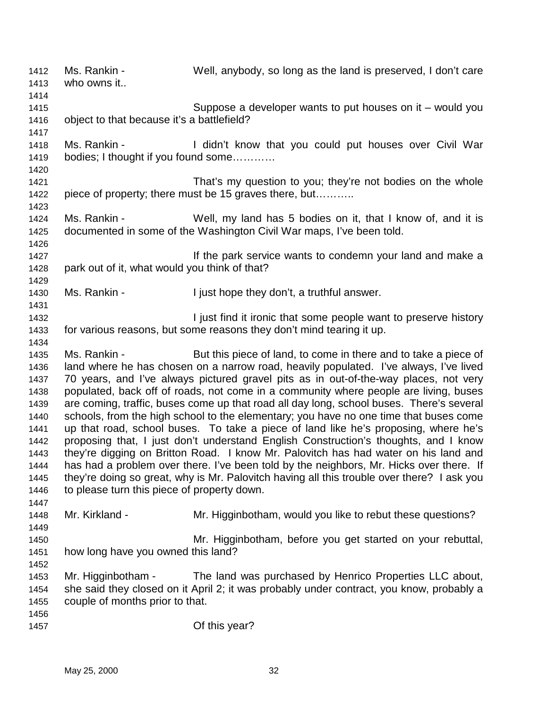1412 Ms. Rankin - Well, anybody, so long as the land is preserved, I don't care 1413 who owns it.. 1414 1415 Suppose a developer wants to put houses on it – would you 1416 object to that because it's a battlefield? 1417 1418 Ms. Rankin - I didn't know that you could put houses over Civil War 1419 bodies; I thought if you found some………… 1420 1421 That's my question to you; they're not bodies on the whole 1422 piece of property; there must be 15 graves there, but……….. 1423 1424 Ms. Rankin - Well, my land has 5 bodies on it, that I know of, and it is 1425 documented in some of the Washington Civil War maps, I've been told. 1426 1427 **If the park service wants to condemn your land and make a** 1428 park out of it, what would you think of that? 1429 1430 Ms. Rankin - I just hope they don't, a truthful answer. 1431 1432 **I** just find it ironic that some people want to preserve history 1433 for various reasons, but some reasons they don't mind tearing it up. 1434 1435 Ms. Rankin - But this piece of land, to come in there and to take a piece of 1436 land where he has chosen on a narrow road, heavily populated. I've always, I've lived 1437 70 years, and I've always pictured gravel pits as in out-of-the-way places, not very 1438 populated, back off of roads, not come in a community where people are living, buses 1439 are coming, traffic, buses come up that road all day long, school buses. There's several 1440 schools, from the high school to the elementary; you have no one time that buses come 1441 up that road, school buses. To take a piece of land like he's proposing, where he's 1442 proposing that, I just don't understand English Construction's thoughts, and I know 1443 they're digging on Britton Road. I know Mr. Palovitch has had water on his land and 1444 has had a problem over there. I've been told by the neighbors, Mr. Hicks over there. If 1445 they're doing so great, why is Mr. Palovitch having all this trouble over there? I ask you 1446 to please turn this piece of property down. 1447 1448 Mr. Kirkland - Mr. Higginbotham, would you like to rebut these questions? 1449 1450 Mr. Higginbotham, before you get started on your rebuttal, 1451 how long have you owned this land? 1452 1453 Mr. Higginbotham - The land was purchased by Henrico Properties LLC about, 1454 she said they closed on it April 2; it was probably under contract, you know, probably a 1455 couple of months prior to that. 1456 1457 Of this year?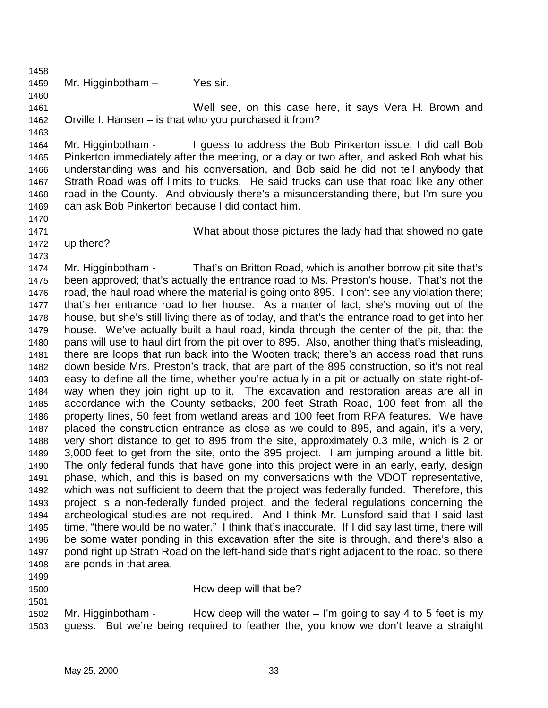1459 Mr. Higginbotham – Yes sir.

1461 Well see, on this case here, it says Vera H. Brown and 1462 Orville I. Hansen – is that who you purchased it from?

1464 Mr. Higginbotham - I guess to address the Bob Pinkerton issue, I did call Bob 1465 Pinkerton immediately after the meeting, or a day or two after, and asked Bob what his 1466 understanding was and his conversation, and Bob said he did not tell anybody that 1467 Strath Road was off limits to trucks. He said trucks can use that road like any other 1468 road in the County. And obviously there's a misunderstanding there, but I'm sure you 1469 can ask Bob Pinkerton because I did contact him.

1470

1473

1458

1460

1463

1471 What about those pictures the lady had that showed no gate

1472 up there?

1474 Mr. Higginbotham - That's on Britton Road, which is another borrow pit site that's 1475 been approved; that's actually the entrance road to Ms. Preston's house. That's not the 1476 road, the haul road where the material is going onto 895. I don't see any violation there; 1477 that's her entrance road to her house. As a matter of fact, she's moving out of the 1478 house, but she's still living there as of today, and that's the entrance road to get into her 1479 house. We've actually built a haul road, kinda through the center of the pit, that the 1480 pans will use to haul dirt from the pit over to 895. Also, another thing that's misleading, 1481 there are loops that run back into the Wooten track; there's an access road that runs 1482 down beside Mrs. Preston's track, that are part of the 895 construction, so it's not real 1483 easy to define all the time, whether you're actually in a pit or actually on state right-of-1484 way when they join right up to it. The excavation and restoration areas are all in 1485 accordance with the County setbacks, 200 feet Strath Road, 100 feet from all the 1486 property lines, 50 feet from wetland areas and 100 feet from RPA features. We have 1487 placed the construction entrance as close as we could to 895, and again, it's a very, 1488 very short distance to get to 895 from the site, approximately 0.3 mile, which is 2 or 1489 3,000 feet to get from the site, onto the 895 project. I am jumping around a little bit. 1490 The only federal funds that have gone into this project were in an early, early, design 1491 phase, which, and this is based on my conversations with the VDOT representative, 1492 which was not sufficient to deem that the project was federally funded. Therefore, this 1493 project is a non-federally funded project, and the federal regulations concerning the 1494 archeological studies are not required. And I think Mr. Lunsford said that I said last 1495 time, "there would be no water." I think that's inaccurate. If I did say last time, there will 1496 be some water ponding in this excavation after the site is through, and there's also a 1497 pond right up Strath Road on the left-hand side that's right adjacent to the road, so there 1498 are ponds in that area.

- 1499
- 1501
- 1500 **How deep will that be?**

1502 Mr. Higginbotham - How deep will the water – I'm going to say 4 to 5 feet is my 1503 guess. But we're being required to feather the, you know we don't leave a straight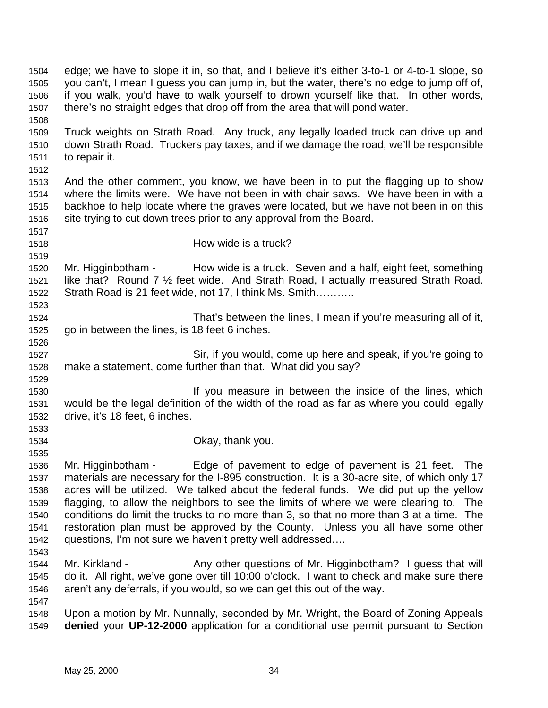1504 edge; we have to slope it in, so that, and I believe it's either 3-to-1 or 4-to-1 slope, so 1505 you can't, I mean I guess you can jump in, but the water, there's no edge to jump off of, 1506 if you walk, you'd have to walk yourself to drown yourself like that. In other words, 1507 there's no straight edges that drop off from the area that will pond water. 1508 1509 Truck weights on Strath Road. Any truck, any legally loaded truck can drive up and 1510 down Strath Road. Truckers pay taxes, and if we damage the road, we'll be responsible 1511 to repair it. 1512 1513 And the other comment, you know, we have been in to put the flagging up to show 1514 where the limits were. We have not been in with chair saws. We have been in with a 1515 backhoe to help locate where the graves were located, but we have not been in on this 1516 site trying to cut down trees prior to any approval from the Board. 1517 1518 How wide is a truck? 1519 1520 Mr. Higginbotham - How wide is a truck. Seven and a half, eight feet, something 1521 like that? Round 7 ½ feet wide. And Strath Road, I actually measured Strath Road. 1522 Strath Road is 21 feet wide, not 17, I think Ms. Smith……….. 1523 1524 That's between the lines, I mean if you're measuring all of it, 1525 go in between the lines, is 18 feet 6 inches. 1526 1527 Sir, if you would, come up here and speak, if you're going to 1528 make a statement, come further than that. What did you say? 1529 1530 If you measure in between the inside of the lines, which 1531 would be the legal definition of the width of the road as far as where you could legally 1532 drive, it's 18 feet, 6 inches. 1533 1534 Okay, thank you. 1535 1536 Mr. Higginbotham - Edge of pavement to edge of pavement is 21 feet. The 1537 materials are necessary for the I-895 construction. It is a 30-acre site, of which only 17 1538 acres will be utilized. We talked about the federal funds. We did put up the yellow 1539 flagging, to allow the neighbors to see the limits of where we were clearing to. The 1540 conditions do limit the trucks to no more than 3, so that no more than 3 at a time. The 1541 restoration plan must be approved by the County. Unless you all have some other 1542 questions, I'm not sure we haven't pretty well addressed…. 1543 1544 Mr. Kirkland - Any other questions of Mr. Higginbotham? I guess that will 1545 do it. All right, we've gone over till 10:00 o'clock. I want to check and make sure there 1546 aren't any deferrals, if you would, so we can get this out of the way. 1547 1548 Upon a motion by Mr. Nunnally, seconded by Mr. Wright, the Board of Zoning Appeals 1549 **denied** your **UP-12-2000** application for a conditional use permit pursuant to Section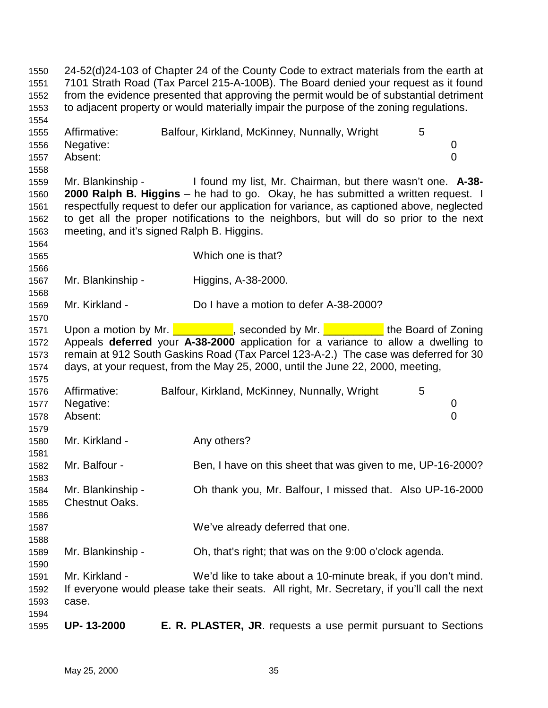1550 24-52(d)24-103 of Chapter 24 of the County Code to extract materials from the earth at 1551 7101 Strath Road (Tax Parcel 215-A-100B). The Board denied your request as it found 1552 from the evidence presented that approving the permit would be of substantial detriment 1553 to adjacent property or would materially impair the purpose of the zoning regulations. 1554 1555 Affirmative: Balfour, Kirkland, McKinney, Nunnally, Wright 5 1556 Negative: 0 1557 Absent: 0 1558 1559 Mr. Blankinship - I found my list, Mr. Chairman, but there wasn't one. **A-38-** 1560 **2000 Ralph B. Higgins** – he had to go. Okay, he has submitted a written request. I 1561 respectfully request to defer our application for variance, as captioned above, neglected 1562 to get all the proper notifications to the neighbors, but will do so prior to the next 1563 meeting, and it's signed Ralph B. Higgins. 1564 1565 Which one is that? 1566 1567 Mr. Blankinship - Higgins, A-38-2000. 1568 1569 Mr. Kirkland - Do I have a motion to defer A-38-2000? 1570 1571 Upon a motion by Mr. **Let Access 20 Seconded by Mr. Let Access 20 Secondial** the Board of Zoning 1572 Appeals **deferred** your **A-38-2000** application for a variance to allow a dwelling to 1573 remain at 912 South Gaskins Road (Tax Parcel 123-A-2.) The case was deferred for 30 1574 days, at your request, from the May 25, 2000, until the June 22, 2000, meeting, 1575 1576 Affirmative: Balfour, Kirkland, McKinney, Nunnally, Wright 5 1577 Negative: 0 1578 Absent: 0 1579 1580 Mr. Kirkland - Any others? 1581 1582 Mr. Balfour - Ben, I have on this sheet that was given to me, UP-16-2000? 1583 1584 Mr. Blankinship - Oh thank you, Mr. Balfour, I missed that. Also UP-16-2000 1585 Chestnut Oaks. 1586 1587 We've already deferred that one. 1588 1589 Mr. Blankinship - Oh, that's right; that was on the 9:00 o'clock agenda. 1590 1591 Mr. Kirkland - We'd like to take about a 10-minute break, if you don't mind. 1592 If everyone would please take their seats. All right, Mr. Secretary, if you'll call the next 1593 case. 1594 1595 **UP- 13-2000 E. R. PLASTER, JR**. requests a use permit pursuant to Sections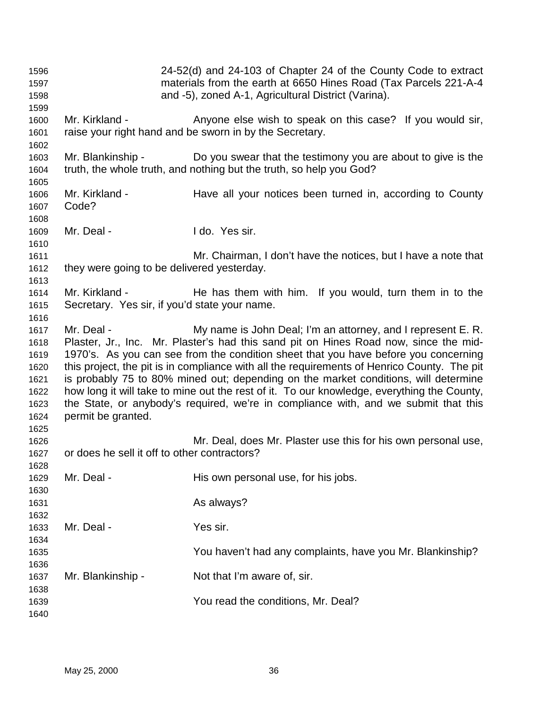| 1596<br>1597<br>1598<br>1599                                                 | 24-52(d) and 24-103 of Chapter 24 of the County Code to extract<br>materials from the earth at 6650 Hines Road (Tax Parcels 221-A-4<br>and -5), zoned A-1, Agricultural District (Varina).                                                                                                                                                                                                                                                                                                                                                                                                                                                                 |                                                                                                                                     |  |
|------------------------------------------------------------------------------|------------------------------------------------------------------------------------------------------------------------------------------------------------------------------------------------------------------------------------------------------------------------------------------------------------------------------------------------------------------------------------------------------------------------------------------------------------------------------------------------------------------------------------------------------------------------------------------------------------------------------------------------------------|-------------------------------------------------------------------------------------------------------------------------------------|--|
| 1600<br>1601<br>1602                                                         | Mr. Kirkland -                                                                                                                                                                                                                                                                                                                                                                                                                                                                                                                                                                                                                                             | Anyone else wish to speak on this case? If you would sir,<br>raise your right hand and be sworn in by the Secretary.                |  |
| 1603<br>1604<br>1605                                                         | Mr. Blankinship -                                                                                                                                                                                                                                                                                                                                                                                                                                                                                                                                                                                                                                          | Do you swear that the testimony you are about to give is the<br>truth, the whole truth, and nothing but the truth, so help you God? |  |
| 1606<br>1607<br>1608                                                         | Mr. Kirkland -<br>Code?                                                                                                                                                                                                                                                                                                                                                                                                                                                                                                                                                                                                                                    | Have all your notices been turned in, according to County                                                                           |  |
| 1609<br>1610                                                                 | Mr. Deal -                                                                                                                                                                                                                                                                                                                                                                                                                                                                                                                                                                                                                                                 | I do. Yes sir.                                                                                                                      |  |
| 1611<br>1612<br>1613                                                         | they were going to be delivered yesterday.                                                                                                                                                                                                                                                                                                                                                                                                                                                                                                                                                                                                                 | Mr. Chairman, I don't have the notices, but I have a note that                                                                      |  |
| 1614<br>1615                                                                 | Mr. Kirkland -<br>Secretary. Yes sir, if you'd state your name.                                                                                                                                                                                                                                                                                                                                                                                                                                                                                                                                                                                            | He has them with him. If you would, turn them in to the                                                                             |  |
| 1616<br>1617<br>1618<br>1619<br>1620<br>1621<br>1622<br>1623<br>1624<br>1625 | Mr. Deal -<br>My name is John Deal; I'm an attorney, and I represent E. R.<br>Plaster, Jr., Inc. Mr. Plaster's had this sand pit on Hines Road now, since the mid-<br>1970's. As you can see from the condition sheet that you have before you concerning<br>this project, the pit is in compliance with all the requirements of Henrico County. The pit<br>is probably 75 to 80% mined out; depending on the market conditions, will determine<br>how long it will take to mine out the rest of it. To our knowledge, everything the County,<br>the State, or anybody's required, we're in compliance with, and we submit that this<br>permit be granted. |                                                                                                                                     |  |
| 1626<br>1627<br>1628                                                         | or does he sell it off to other contractors?                                                                                                                                                                                                                                                                                                                                                                                                                                                                                                                                                                                                               | Mr. Deal, does Mr. Plaster use this for his own personal use,                                                                       |  |
| 1629<br>1630<br>1631                                                         | Mr. Deal -                                                                                                                                                                                                                                                                                                                                                                                                                                                                                                                                                                                                                                                 | His own personal use, for his jobs.<br>As always?                                                                                   |  |
| 1632<br>1633<br>1634<br>1635                                                 | Mr. Deal -                                                                                                                                                                                                                                                                                                                                                                                                                                                                                                                                                                                                                                                 | Yes sir.<br>You haven't had any complaints, have you Mr. Blankinship?                                                               |  |
| 1636<br>1637                                                                 | Mr. Blankinship -                                                                                                                                                                                                                                                                                                                                                                                                                                                                                                                                                                                                                                          | Not that I'm aware of, sir.                                                                                                         |  |
| 1638<br>1639<br>1640                                                         |                                                                                                                                                                                                                                                                                                                                                                                                                                                                                                                                                                                                                                                            | You read the conditions, Mr. Deal?                                                                                                  |  |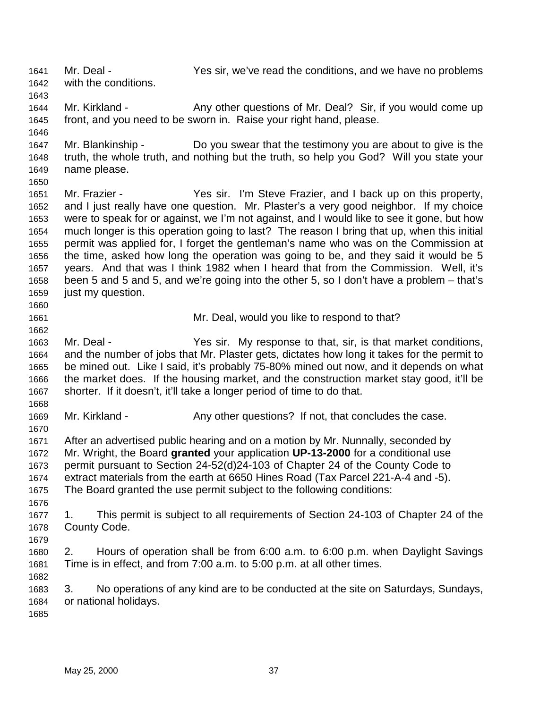1641 Mr. Deal - Yes sir, we've read the conditions, and we have no problems 1642 with the conditions. 1643 1644 Mr. Kirkland - Any other questions of Mr. Deal? Sir, if you would come up 1645 front, and you need to be sworn in. Raise your right hand, please. 1646 1647 Mr. Blankinship - Do you swear that the testimony you are about to give is the 1648 truth, the whole truth, and nothing but the truth, so help you God? Will you state your 1649 name please. 1650 1651 Mr. Frazier - Yes sir. I'm Steve Frazier, and I back up on this property, 1652 and I just really have one question. Mr. Plaster's a very good neighbor. If my choice 1653 were to speak for or against, we I'm not against, and I would like to see it gone, but how 1654 much longer is this operation going to last? The reason I bring that up, when this initial 1655 permit was applied for, I forget the gentleman's name who was on the Commission at 1656 the time, asked how long the operation was going to be, and they said it would be 5 1657 years. And that was I think 1982 when I heard that from the Commission. Well, it's 1658 been 5 and 5 and 5, and we're going into the other 5, so I don't have a problem – that's 1659 just my question. 1660 1661 Mr. Deal, would you like to respond to that? 1662 1663 Mr. Deal - Yes sir. My response to that, sir, is that market conditions, 1664 and the number of jobs that Mr. Plaster gets, dictates how long it takes for the permit to 1665 be mined out. Like I said, it's probably 75-80% mined out now, and it depends on what 1666 the market does. If the housing market, and the construction market stay good, it'll be 1667 shorter. If it doesn't, it'll take a longer period of time to do that. 1668 1669 Mr. Kirkland - Any other questions? If not, that concludes the case. 1670 1671 After an advertised public hearing and on a motion by Mr. Nunnally, seconded by 1672 Mr. Wright, the Board **granted** your application **UP-13-2000** for a conditional use 1673 permit pursuant to Section 24-52(d)24-103 of Chapter 24 of the County Code to 1674 extract materials from the earth at 6650 Hines Road (Tax Parcel 221-A-4 and -5). 1675 The Board granted the use permit subject to the following conditions: 1676 1677 1. This permit is subject to all requirements of Section 24-103 of Chapter 24 of the 1678 County Code. 1679 1680 2. Hours of operation shall be from 6:00 a.m. to 6:00 p.m. when Daylight Savings 1681 Time is in effect, and from 7:00 a.m. to 5:00 p.m. at all other times. 1682 1683 3. No operations of any kind are to be conducted at the site on Saturdays, Sundays, 1684 or national holidays. 1685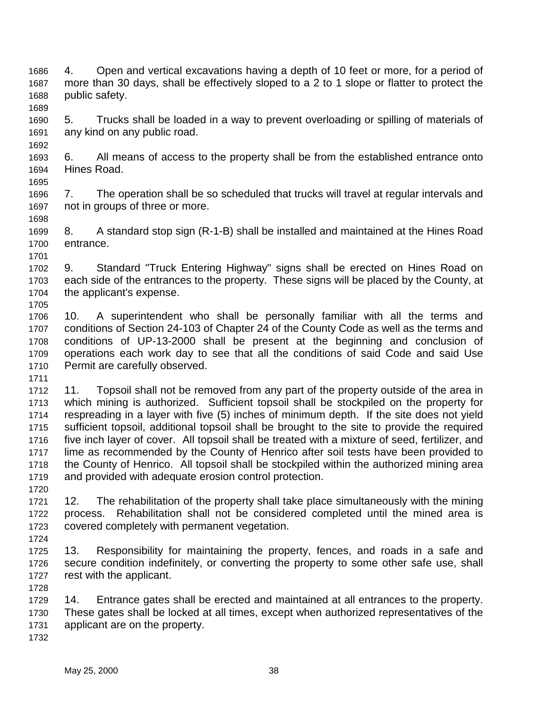1686 4. Open and vertical excavations having a depth of 10 feet or more, for a period of 1687 more than 30 days, shall be effectively sloped to a 2 to 1 slope or flatter to protect the 1688 public safety.

1690 5. Trucks shall be loaded in a way to prevent overloading or spilling of materials of 1691 any kind on any public road.

1693 6. All means of access to the property shall be from the established entrance onto 1694 Hines Road. 1695

1696 7. The operation shall be so scheduled that trucks will travel at regular intervals and 1697 not in groups of three or more.

1699 8. A standard stop sign (R-1-B) shall be installed and maintained at the Hines Road 1700 entrance.

1702 9. Standard "Truck Entering Highway" signs shall be erected on Hines Road on 1703 each side of the entrances to the property. These signs will be placed by the County, at 1704 the applicant's expense. 1705

1706 10. A superintendent who shall be personally familiar with all the terms and 1707 conditions of Section 24-103 of Chapter 24 of the County Code as well as the terms and 1708 conditions of UP-13-2000 shall be present at the beginning and conclusion of 1709 operations each work day to see that all the conditions of said Code and said Use 1710 Permit are carefully observed.

1712 11. Topsoil shall not be removed from any part of the property outside of the area in 1713 which mining is authorized. Sufficient topsoil shall be stockpiled on the property for 1714 respreading in a layer with five (5) inches of minimum depth. If the site does not yield 1715 sufficient topsoil, additional topsoil shall be brought to the site to provide the required 1716 five inch layer of cover. All topsoil shall be treated with a mixture of seed, fertilizer, and 1717 lime as recommended by the County of Henrico after soil tests have been provided to 1718 the County of Henrico. All topsoil shall be stockpiled within the authorized mining area 1719 and provided with adequate erosion control protection.

1721 12. The rehabilitation of the property shall take place simultaneously with the mining 1722 process. Rehabilitation shall not be considered completed until the mined area is 1723 covered completely with permanent vegetation.

1724

1728

1720

1689

1692

1698

1701

1711

1725 13. Responsibility for maintaining the property, fences, and roads in a safe and 1726 secure condition indefinitely, or converting the property to some other safe use, shall 1727 rest with the applicant.

1729 14. Entrance gates shall be erected and maintained at all entrances to the property. 1730 These gates shall be locked at all times, except when authorized representatives of the 1731 applicant are on the property. 1732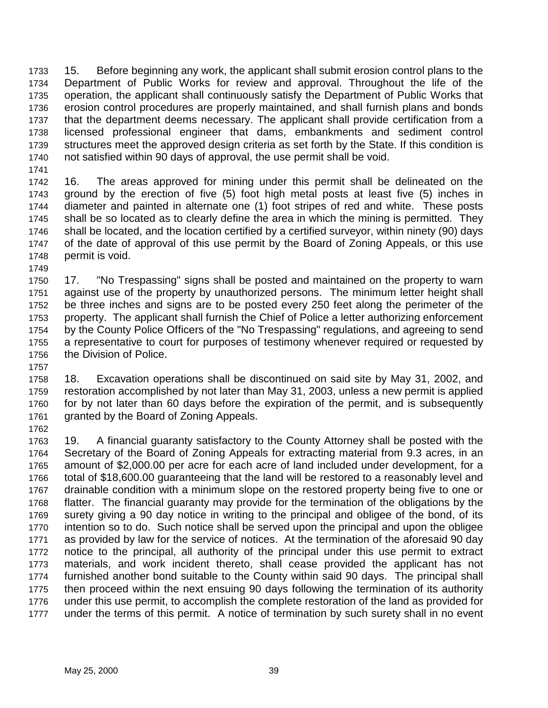1733 15. Before beginning any work, the applicant shall submit erosion control plans to the 1734 Department of Public Works for review and approval. Throughout the life of the 1735 operation, the applicant shall continuously satisfy the Department of Public Works that 1736 erosion control procedures are properly maintained, and shall furnish plans and bonds 1737 that the department deems necessary. The applicant shall provide certification from a 1738 licensed professional engineer that dams, embankments and sediment control 1739 structures meet the approved design criteria as set forth by the State. If this condition is 1740 not satisfied within 90 days of approval, the use permit shall be void.

1741

1749

1742 16. The areas approved for mining under this permit shall be delineated on the 1743 ground by the erection of five (5) foot high metal posts at least five (5) inches in 1744 diameter and painted in alternate one (1) foot stripes of red and white. These posts 1745 shall be so located as to clearly define the area in which the mining is permitted. They 1746 shall be located, and the location certified by a certified surveyor, within ninety (90) days 1747 of the date of approval of this use permit by the Board of Zoning Appeals, or this use 1748 permit is void.

1750 17. "No Trespassing" signs shall be posted and maintained on the property to warn 1751 against use of the property by unauthorized persons. The minimum letter height shall 1752 be three inches and signs are to be posted every 250 feet along the perimeter of the 1753 property. The applicant shall furnish the Chief of Police a letter authorizing enforcement 1754 by the County Police Officers of the "No Trespassing" regulations, and agreeing to send 1755 a representative to court for purposes of testimony whenever required or requested by 1756 the Division of Police.

1757

1758 18. Excavation operations shall be discontinued on said site by May 31, 2002, and 1759 restoration accomplished by not later than May 31, 2003, unless a new permit is applied 1760 for by not later than 60 days before the expiration of the permit, and is subsequently 1761 granted by the Board of Zoning Appeals. 1762

1763 19. A financial guaranty satisfactory to the County Attorney shall be posted with the 1764 Secretary of the Board of Zoning Appeals for extracting material from 9.3 acres, in an 1765 amount of \$2,000.00 per acre for each acre of land included under development, for a 1766 total of \$18,600.00 guaranteeing that the land will be restored to a reasonably level and 1767 drainable condition with a minimum slope on the restored property being five to one or 1768 flatter. The financial guaranty may provide for the termination of the obligations by the 1769 surety giving a 90 day notice in writing to the principal and obligee of the bond, of its 1770 intention so to do. Such notice shall be served upon the principal and upon the obligee 1771 as provided by law for the service of notices. At the termination of the aforesaid 90 day 1772 notice to the principal, all authority of the principal under this use permit to extract 1773 materials, and work incident thereto, shall cease provided the applicant has not 1774 furnished another bond suitable to the County within said 90 days. The principal shall 1775 then proceed within the next ensuing 90 days following the termination of its authority 1776 under this use permit, to accomplish the complete restoration of the land as provided for 1777 under the terms of this permit. A notice of termination by such surety shall in no event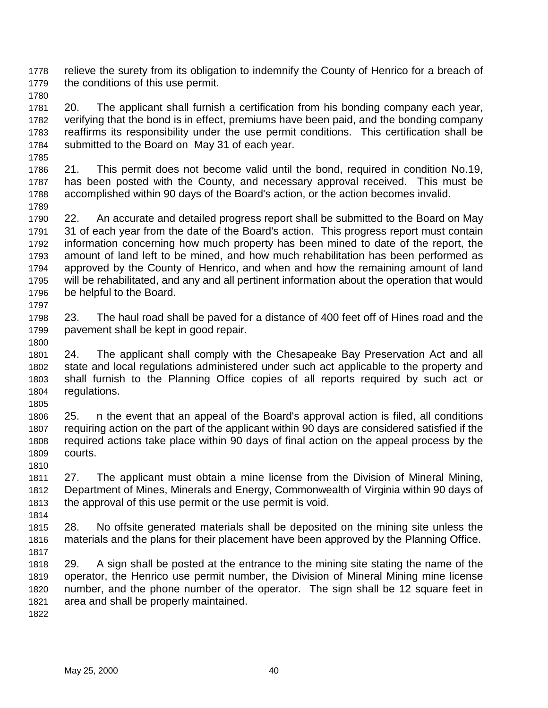1778 relieve the surety from its obligation to indemnify the County of Henrico for a breach of 1779 the conditions of this use permit.

1780

1781 20. The applicant shall furnish a certification from his bonding company each year, 1782 verifying that the bond is in effect, premiums have been paid, and the bonding company 1783 reaffirms its responsibility under the use permit conditions. This certification shall be 1784 submitted to the Board on May 31 of each year.

1786 21. This permit does not become valid until the bond, required in condition No.19, 1787 has been posted with the County, and necessary approval received. This must be 1788 accomplished within 90 days of the Board's action, or the action becomes invalid.

1789

1800

1810

1814

1785

1790 22. An accurate and detailed progress report shall be submitted to the Board on May 1791 31 of each year from the date of the Board's action. This progress report must contain 1792 information concerning how much property has been mined to date of the report, the 1793 amount of land left to be mined, and how much rehabilitation has been performed as 1794 approved by the County of Henrico, and when and how the remaining amount of land 1795 will be rehabilitated, and any and all pertinent information about the operation that would 1796 be helpful to the Board. 1797

1798 23. The haul road shall be paved for a distance of 400 feet off of Hines road and the 1799 pavement shall be kept in good repair.

1801 24. The applicant shall comply with the Chesapeake Bay Preservation Act and all 1802 state and local regulations administered under such act applicable to the property and 1803 shall furnish to the Planning Office copies of all reports required by such act or 1804 regulations.

1805 1806 25. n the event that an appeal of the Board's approval action is filed, all conditions 1807 requiring action on the part of the applicant within 90 days are considered satisfied if the 1808 required actions take place within 90 days of final action on the appeal process by the 1809 courts.

1811 27. The applicant must obtain a mine license from the Division of Mineral Mining, 1812 Department of Mines, Minerals and Energy, Commonwealth of Virginia within 90 days of 1813 the approval of this use permit or the use permit is void.

1815 28. No offsite generated materials shall be deposited on the mining site unless the 1816 materials and the plans for their placement have been approved by the Planning Office. 1817

1818 29. A sign shall be posted at the entrance to the mining site stating the name of the 1819 operator, the Henrico use permit number, the Division of Mineral Mining mine license 1820 number, and the phone number of the operator. The sign shall be 12 square feet in 1821 area and shall be properly maintained.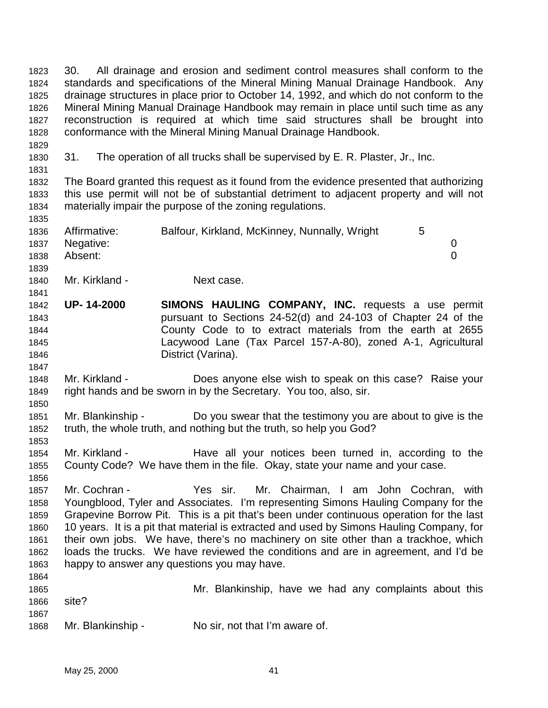1824 standards and specifications of the Mineral Mining Manual Drainage Handbook. Any 1825 drainage structures in place prior to October 14, 1992, and which do not conform to the 1826 Mineral Mining Manual Drainage Handbook may remain in place until such time as any 1827 reconstruction is required at which time said structures shall be brought into 1828 conformance with the Mineral Mining Manual Drainage Handbook. 1829 1830 31. The operation of all trucks shall be supervised by E. R. Plaster, Jr., Inc. 1831 1832 The Board granted this request as it found from the evidence presented that authorizing 1833 this use permit will not be of substantial detriment to adjacent property and will not 1834 materially impair the purpose of the zoning regulations. 1835 1836 Affirmative: Balfour, Kirkland, McKinney, Nunnally, Wright 5 1837 Negative: 0 1838 Absent: 0 1839 1840 Mr. Kirkland - Next case. 1841 1842 **UP- 14-2000 SIMONS HAULING COMPANY, INC.** requests a use permit 1843 pursuant to Sections 24-52(d) and 24-103 of Chapter 24 of the 1844 County Code to to extract materials from the earth at 2655 1845 Lacywood Lane (Tax Parcel 157-A-80), zoned A-1, Agricultural 1846 District (Varina). 1847 1848 Mr. Kirkland - Does anyone else wish to speak on this case? Raise your 1849 right hands and be sworn in by the Secretary. You too, also, sir. 1850 1851 Mr. Blankinship - Do you swear that the testimony you are about to give is the 1852 truth, the whole truth, and nothing but the truth, so help you God? 1853 1854 Mr. Kirkland - The Have all your notices been turned in, according to the 1855 County Code? We have them in the file. Okay, state your name and your case. 1856 1857 Mr. Cochran - Yes sir. Mr. Chairman, I am John Cochran, with 1858 Youngblood, Tyler and Associates. I'm representing Simons Hauling Company for the 1859 Grapevine Borrow Pit. This is a pit that's been under continuous operation for the last 1860 10 years. It is a pit that material is extracted and used by Simons Hauling Company, for 1861 their own jobs. We have, there's no machinery on site other than a trackhoe, which 1862 loads the trucks. We have reviewed the conditions and are in agreement, and I'd be 1863 happy to answer any questions you may have. 1864 1865 Mr. Blankinship, have we had any complaints about this 1866 site? 1867 1868 Mr. Blankinship - No sir, not that I'm aware of.

1823 30. All drainage and erosion and sediment control measures shall conform to the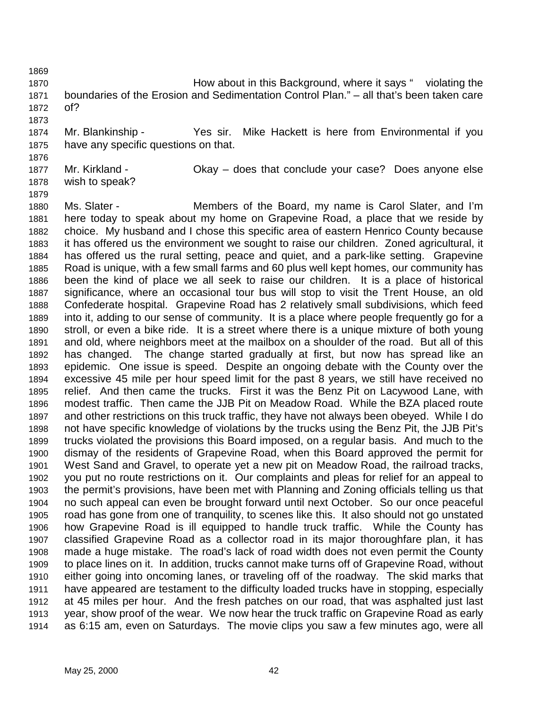- 1870 How about in this Background, where it says " violating the 1871 boundaries of the Erosion and Sedimentation Control Plan." – all that's been taken care 1872 of?
- 1874 Mr. Blankinship Yes sir. Mike Hackett is here from Environmental if you 1875 have any specific questions on that.
- 1876

1873

1877 Mr. Kirkland - Okay – does that conclude your case? Does anyone else 1878 wish to speak?

1879

1880 Ms. Slater - Members of the Board, my name is Carol Slater, and I'm 1881 here today to speak about my home on Grapevine Road, a place that we reside by 1882 choice. My husband and I chose this specific area of eastern Henrico County because 1883 it has offered us the environment we sought to raise our children. Zoned agricultural, it 1884 has offered us the rural setting, peace and quiet, and a park-like setting. Grapevine 1885 Road is unique, with a few small farms and 60 plus well kept homes, our community has 1886 been the kind of place we all seek to raise our children. It is a place of historical 1887 significance, where an occasional tour bus will stop to visit the Trent House, an old 1888 Confederate hospital. Grapevine Road has 2 relatively small subdivisions, which feed 1889 into it, adding to our sense of community. It is a place where people frequently go for a 1890 stroll, or even a bike ride. It is a street where there is a unique mixture of both young 1891 and old, where neighbors meet at the mailbox on a shoulder of the road. But all of this 1892 has changed. The change started gradually at first, but now has spread like an 1893 epidemic. One issue is speed. Despite an ongoing debate with the County over the 1894 excessive 45 mile per hour speed limit for the past 8 years, we still have received no 1895 relief. And then came the trucks. First it was the Benz Pit on Lacywood Lane, with 1896 modest traffic. Then came the JJB Pit on Meadow Road. While the BZA placed route 1897 and other restrictions on this truck traffic, they have not always been obeyed. While I do 1898 not have specific knowledge of violations by the trucks using the Benz Pit, the JJB Pit's 1899 trucks violated the provisions this Board imposed, on a regular basis. And much to the 1900 dismay of the residents of Grapevine Road, when this Board approved the permit for 1901 West Sand and Gravel, to operate yet a new pit on Meadow Road, the railroad tracks, 1902 you put no route restrictions on it. Our complaints and pleas for relief for an appeal to 1903 the permit's provisions, have been met with Planning and Zoning officials telling us that 1904 no such appeal can even be brought forward until next October. So our once peaceful 1905 road has gone from one of tranquility, to scenes like this. It also should not go unstated 1906 how Grapevine Road is ill equipped to handle truck traffic. While the County has 1907 classified Grapevine Road as a collector road in its major thoroughfare plan, it has 1908 made a huge mistake. The road's lack of road width does not even permit the County 1909 to place lines on it. In addition, trucks cannot make turns off of Grapevine Road, without 1910 either going into oncoming lanes, or traveling off of the roadway. The skid marks that 1911 have appeared are testament to the difficulty loaded trucks have in stopping, especially 1912 at 45 miles per hour. And the fresh patches on our road, that was asphalted just last 1913 year, show proof of the wear. We now hear the truck traffic on Grapevine Road as early 1914 as 6:15 am, even on Saturdays. The movie clips you saw a few minutes ago, were all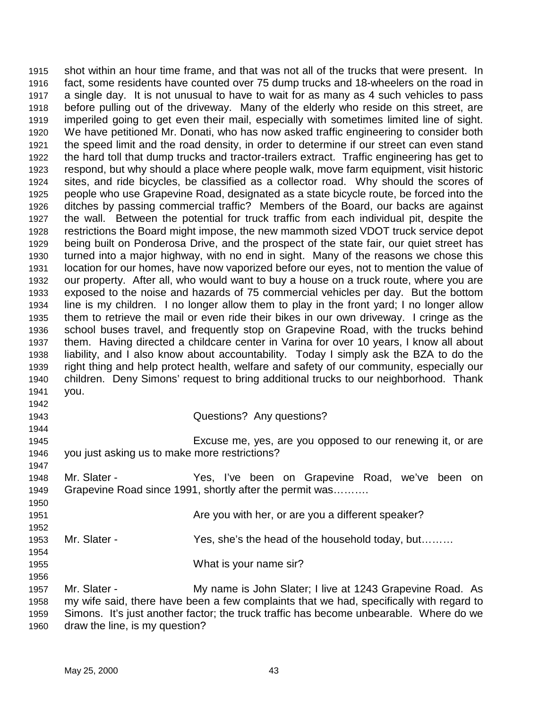1915 shot within an hour time frame, and that was not all of the trucks that were present. In 1916 fact, some residents have counted over 75 dump trucks and 18-wheelers on the road in 1917 a single day. It is not unusual to have to wait for as many as 4 such vehicles to pass 1918 before pulling out of the driveway. Many of the elderly who reside on this street, are 1919 imperiled going to get even their mail, especially with sometimes limited line of sight. 1920 We have petitioned Mr. Donati, who has now asked traffic engineering to consider both 1921 the speed limit and the road density, in order to determine if our street can even stand 1922 the hard toll that dump trucks and tractor-trailers extract. Traffic engineering has get to 1923 respond, but why should a place where people walk, move farm equipment, visit historic 1924 sites, and ride bicycles, be classified as a collector road. Why should the scores of 1925 people who use Grapevine Road, designated as a state bicycle route, be forced into the 1926 ditches by passing commercial traffic? Members of the Board, our backs are against 1927 the wall. Between the potential for truck traffic from each individual pit, despite the 1928 restrictions the Board might impose, the new mammoth sized VDOT truck service depot 1929 being built on Ponderosa Drive, and the prospect of the state fair, our quiet street has 1930 turned into a major highway, with no end in sight. Many of the reasons we chose this 1931 location for our homes, have now vaporized before our eyes, not to mention the value of 1932 our property. After all, who would want to buy a house on a truck route, where you are 1933 exposed to the noise and hazards of 75 commercial vehicles per day. But the bottom 1934 line is my children. I no longer allow them to play in the front yard; I no longer allow 1935 them to retrieve the mail or even ride their bikes in our own driveway. I cringe as the 1936 school buses travel, and frequently stop on Grapevine Road, with the trucks behind 1937 them. Having directed a childcare center in Varina for over 10 years, I know all about 1938 liability, and I also know about accountability. Today I simply ask the BZA to do the 1939 right thing and help protect health, welfare and safety of our community, especially our 1940 children. Deny Simons' request to bring additional trucks to our neighborhood. Thank 1941 you. 1942 1943 Questions? Any questions? 1944 1945 Excuse me, yes, are you opposed to our renewing it, or are 1946 you just asking us to make more restrictions? 1947 1948 Mr. Slater - Yes, I've been on Grapevine Road, we've been on 1949 Grapevine Road since 1991, shortly after the permit was………. 1950 1951 Are you with her, or are you a different speaker? 1952 1953 Mr. Slater - Yes, she's the head of the household today, but……… 1954 1955 What is your name sir? 1956

1957 Mr. Slater - My name is John Slater; I live at 1243 Grapevine Road. As 1958 my wife said, there have been a few complaints that we had, specifically with regard to 1959 Simons. It's just another factor; the truck traffic has become unbearable. Where do we 1960 draw the line, is my question?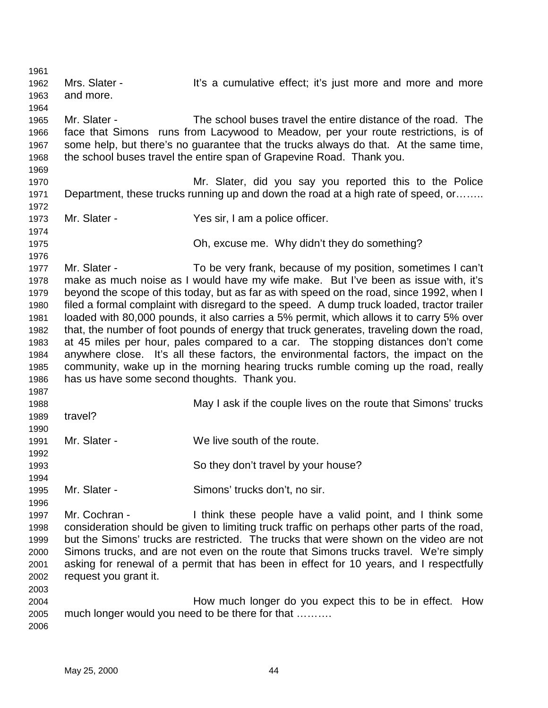1961 1962 Mrs. Slater - It's a cumulative effect; it's just more and more and more 1963 and more. 1964 1965 Mr. Slater - The school buses travel the entire distance of the road. The 1966 face that Simons runs from Lacywood to Meadow, per your route restrictions, is of 1967 some help, but there's no guarantee that the trucks always do that. At the same time, 1968 the school buses travel the entire span of Grapevine Road. Thank you. 1969 1970 Mr. Slater, did you say you reported this to the Police 1971 Department, these trucks running up and down the road at a high rate of speed, or…….. 1972 1973 Mr. Slater - Yes sir, I am a police officer. 1974 1975 Oh, excuse me. Why didn't they do something? 1976 1977 Mr. Slater - To be very frank, because of my position, sometimes I can't 1978 make as much noise as I would have my wife make. But I've been as issue with, it's 1979 beyond the scope of this today, but as far as with speed on the road, since 1992, when I 1980 filed a formal complaint with disregard to the speed. A dump truck loaded, tractor trailer 1981 loaded with 80,000 pounds, it also carries a 5% permit, which allows it to carry 5% over 1982 that, the number of foot pounds of energy that truck generates, traveling down the road, 1983 at 45 miles per hour, pales compared to a car. The stopping distances don't come 1984 anywhere close. It's all these factors, the environmental factors, the impact on the 1985 community, wake up in the morning hearing trucks rumble coming up the road, really 1986 has us have some second thoughts. Thank you. 1987 1988 May I ask if the couple lives on the route that Simons' trucks 1989 travel? 1990 1991 Mr. Slater - We live south of the route. 1992 1993 So they don't travel by your house? 1994 1995 Mr. Slater - Simons' trucks don't, no sir. 1996 1997 Mr. Cochran - I think these people have a valid point, and I think some 1998 consideration should be given to limiting truck traffic on perhaps other parts of the road, 1999 but the Simons' trucks are restricted. The trucks that were shown on the video are not 2000 Simons trucks, and are not even on the route that Simons trucks travel. We're simply 2001 asking for renewal of a permit that has been in effect for 10 years, and I respectfully 2002 request you grant it. 2003 2004 How much longer do you expect this to be in effect. How 2005 much longer would you need to be there for that ………. 2006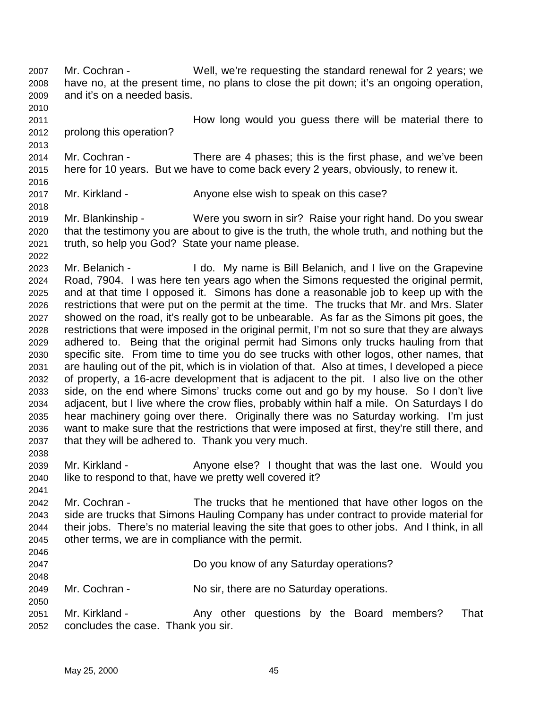- 2007 Mr. Cochran Well, we're requesting the standard renewal for 2 years; we 2008 have no, at the present time, no plans to close the pit down; it's an ongoing operation, 2009 and it's on a needed basis. 2010
- 2011 How long would you guess there will be material there to 2012 prolong this operation?

- 2013 2014 Mr. Cochran - There are 4 phases; this is the first phase, and we've been 2015 here for 10 years. But we have to come back every 2 years, obviously, to renew it.
- 2016
- 2017 Mr. Kirkland Anyone else wish to speak on this case?
- 2019 Mr. Blankinship Were you sworn in sir? Raise your right hand. Do you swear 2020 that the testimony you are about to give is the truth, the whole truth, and nothing but the 2021 truth, so help you God? State your name please.
- 2022 2023 Mr. Belanich - I do. My name is Bill Belanich, and I live on the Grapevine 2024 Road, 7904. I was here ten years ago when the Simons requested the original permit, 2025 and at that time I opposed it. Simons has done a reasonable job to keep up with the 2026 restrictions that were put on the permit at the time. The trucks that Mr. and Mrs. Slater 2027 showed on the road, it's really got to be unbearable. As far as the Simons pit goes, the 2028 restrictions that were imposed in the original permit, I'm not so sure that they are always 2029 adhered to. Being that the original permit had Simons only trucks hauling from that 2030 specific site. From time to time you do see trucks with other logos, other names, that 2031 are hauling out of the pit, which is in violation of that. Also at times, I developed a piece 2032 of property, a 16-acre development that is adjacent to the pit. I also live on the other 2033 side, on the end where Simons' trucks come out and go by my house. So I don't live 2034 adjacent, but I live where the crow flies, probably within half a mile. On Saturdays I do 2035 hear machinery going over there. Originally there was no Saturday working. I'm just 2036 want to make sure that the restrictions that were imposed at first, they're still there, and 2037 that they will be adhered to. Thank you very much. 2038
- 2039 Mr. Kirkland Anyone else? I thought that was the last one. Would you 2040 like to respond to that, have we pretty well covered it?
- 2041 2042 Mr. Cochran - The trucks that he mentioned that have other logos on the 2043 side are trucks that Simons Hauling Company has under contract to provide material for 2044 their jobs. There's no material leaving the site that goes to other jobs. And I think, in all 2045 other terms, we are in compliance with the permit. 2046
- 2047 Do you know of any Saturday operations? 2048 2049 Mr. Cochran - No sir, there are no Saturday operations. 2050 2051 Mr. Kirkland - Any other questions by the Board members? That
- 2052 concludes the case. Thank you sir.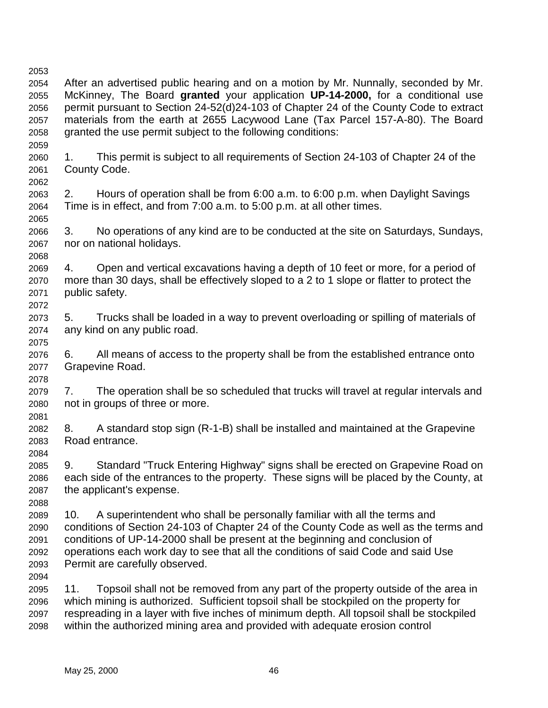2059

2065

2075

2078

2081

2084

- 2054 After an advertised public hearing and on a motion by Mr. Nunnally, seconded by Mr. 2055 McKinney, The Board **granted** your application **UP-14-2000,** for a conditional use 2056 permit pursuant to Section 24-52(d)24-103 of Chapter 24 of the County Code to extract 2057 materials from the earth at 2655 Lacywood Lane (Tax Parcel 157-A-80). The Board 2058 granted the use permit subject to the following conditions:
- 2060 1. This permit is subject to all requirements of Section 24-103 of Chapter 24 of the 2061 County Code. 2062
- 2063 2. Hours of operation shall be from 6:00 a.m. to 6:00 p.m. when Daylight Savings 2064 Time is in effect, and from 7:00 a.m. to 5:00 p.m. at all other times.
- 2066 3. No operations of any kind are to be conducted at the site on Saturdays, Sundays, 2067 nor on national holidays.
- 2068 2069 4. Open and vertical excavations having a depth of 10 feet or more, for a period of 2070 more than 30 days, shall be effectively sloped to a 2 to 1 slope or flatter to protect the 2071 public safety. 2072
- 2073 5. Trucks shall be loaded in a way to prevent overloading or spilling of materials of 2074 any kind on any public road.
- 2076 6. All means of access to the property shall be from the established entrance onto 2077 Grapevine Road.
- 2079 7. The operation shall be so scheduled that trucks will travel at regular intervals and 2080 not in groups of three or more.
- 2082 8. A standard stop sign (R-1-B) shall be installed and maintained at the Grapevine 2083 Road entrance.
- 2085 9. Standard "Truck Entering Highway" signs shall be erected on Grapevine Road on 2086 each side of the entrances to the property. These signs will be placed by the County, at 2087 the applicant's expense.
- 2088 2089 10. A superintendent who shall be personally familiar with all the terms and 2090 conditions of Section 24-103 of Chapter 24 of the County Code as well as the terms and 2091 conditions of UP-14-2000 shall be present at the beginning and conclusion of 2092 operations each work day to see that all the conditions of said Code and said Use 2093 Permit are carefully observed.

2094

2095 11. Topsoil shall not be removed from any part of the property outside of the area in 2096 which mining is authorized. Sufficient topsoil shall be stockpiled on the property for 2097 respreading in a layer with five inches of minimum depth. All topsoil shall be stockpiled 2098 within the authorized mining area and provided with adequate erosion control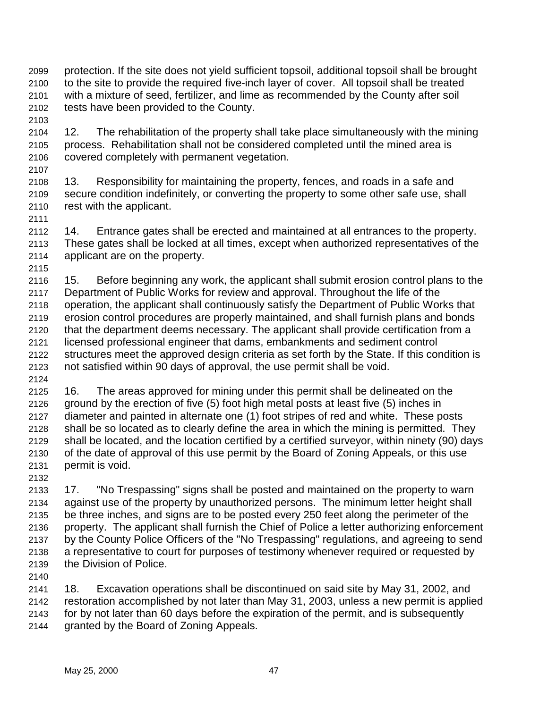- 2099 protection. If the site does not yield sufficient topsoil, additional topsoil shall be brought 2100 to the site to provide the required five-inch layer of cover. All topsoil shall be treated 2101 with a mixture of seed, fertilizer, and lime as recommended by the County after soil 2102 tests have been provided to the County.
- 2104 12. The rehabilitation of the property shall take place simultaneously with the mining 2105 process. Rehabilitation shall not be considered completed until the mined area is 2106 covered completely with permanent vegetation. 2107
- 2108 13. Responsibility for maintaining the property, fences, and roads in a safe and 2109 secure condition indefinitely, or converting the property to some other safe use, shall 2110 rest with the applicant.
- 2112 14. Entrance gates shall be erected and maintained at all entrances to the property. 2113 These gates shall be locked at all times, except when authorized representatives of the 2114 applicant are on the property.
- 2115

2103

2116 15. Before beginning any work, the applicant shall submit erosion control plans to the 2117 Department of Public Works for review and approval. Throughout the life of the 2118 operation, the applicant shall continuously satisfy the Department of Public Works that 2119 erosion control procedures are properly maintained, and shall furnish plans and bonds 2120 that the department deems necessary. The applicant shall provide certification from a 2121 licensed professional engineer that dams, embankments and sediment control 2122 structures meet the approved design criteria as set forth by the State. If this condition is 2123 not satisfied within 90 days of approval, the use permit shall be void. 2124

- 2125 16. The areas approved for mining under this permit shall be delineated on the 2126 ground by the erection of five (5) foot high metal posts at least five (5) inches in 2127 diameter and painted in alternate one (1) foot stripes of red and white. These posts 2128 shall be so located as to clearly define the area in which the mining is permitted. They 2129 shall be located, and the location certified by a certified surveyor, within ninety (90) days 2130 of the date of approval of this use permit by the Board of Zoning Appeals, or this use 2131 permit is void.
- 2132

2133 17. "No Trespassing" signs shall be posted and maintained on the property to warn 2134 against use of the property by unauthorized persons. The minimum letter height shall 2135 be three inches, and signs are to be posted every 250 feet along the perimeter of the 2136 property. The applicant shall furnish the Chief of Police a letter authorizing enforcement 2137 by the County Police Officers of the "No Trespassing" regulations, and agreeing to send 2138 a representative to court for purposes of testimony whenever required or requested by 2139 the Division of Police.

2140

2141 18. Excavation operations shall be discontinued on said site by May 31, 2002, and 2142 restoration accomplished by not later than May 31, 2003, unless a new permit is applied 2143 for by not later than 60 days before the expiration of the permit, and is subsequently 2144 granted by the Board of Zoning Appeals.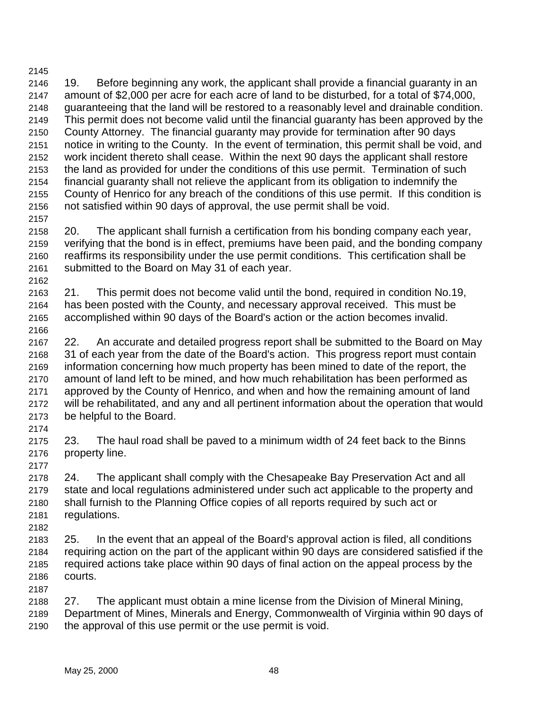2146 19. Before beginning any work, the applicant shall provide a financial guaranty in an 2147 amount of \$2,000 per acre for each acre of land to be disturbed, for a total of \$74,000, 2148 guaranteeing that the land will be restored to a reasonably level and drainable condition. 2149 This permit does not become valid until the financial guaranty has been approved by the 2150 County Attorney. The financial guaranty may provide for termination after 90 days 2151 notice in writing to the County. In the event of termination, this permit shall be void, and 2152 work incident thereto shall cease. Within the next 90 days the applicant shall restore 2153 the land as provided for under the conditions of this use permit. Termination of such 2154 financial guaranty shall not relieve the applicant from its obligation to indemnify the 2155 County of Henrico for any breach of the conditions of this use permit. If this condition is 2156 not satisfied within 90 days of approval, the use permit shall be void. 2157

2158 20. The applicant shall furnish a certification from his bonding company each year, 2159 verifying that the bond is in effect, premiums have been paid, and the bonding company 2160 reaffirms its responsibility under the use permit conditions. This certification shall be 2161 submitted to the Board on May 31 of each year.

2162 2163 21. This permit does not become valid until the bond, required in condition No.19, 2164 has been posted with the County, and necessary approval received. This must be 2165 accomplished within 90 days of the Board's action or the action becomes invalid. 2166

2167 22. An accurate and detailed progress report shall be submitted to the Board on May 2168 31 of each year from the date of the Board's action. This progress report must contain 2169 information concerning how much property has been mined to date of the report, the 2170 amount of land left to be mined, and how much rehabilitation has been performed as 2171 approved by the County of Henrico, and when and how the remaining amount of land 2172 will be rehabilitated, and any and all pertinent information about the operation that would 2173 be helpful to the Board.

2174

2175 23. The haul road shall be paved to a minimum width of 24 feet back to the Binns 2176 property line.

2177

2178 24. The applicant shall comply with the Chesapeake Bay Preservation Act and all 2179 state and local regulations administered under such act applicable to the property and 2180 shall furnish to the Planning Office copies of all reports required by such act or 2181 regulations.

2182

2183 25. In the event that an appeal of the Board's approval action is filed, all conditions 2184 requiring action on the part of the applicant within 90 days are considered satisfied if the 2185 required actions take place within 90 days of final action on the appeal process by the 2186 courts. 2187

2188 27. The applicant must obtain a mine license from the Division of Mineral Mining, 2189 Department of Mines, Minerals and Energy, Commonwealth of Virginia within 90 days of 2190 the approval of this use permit or the use permit is void.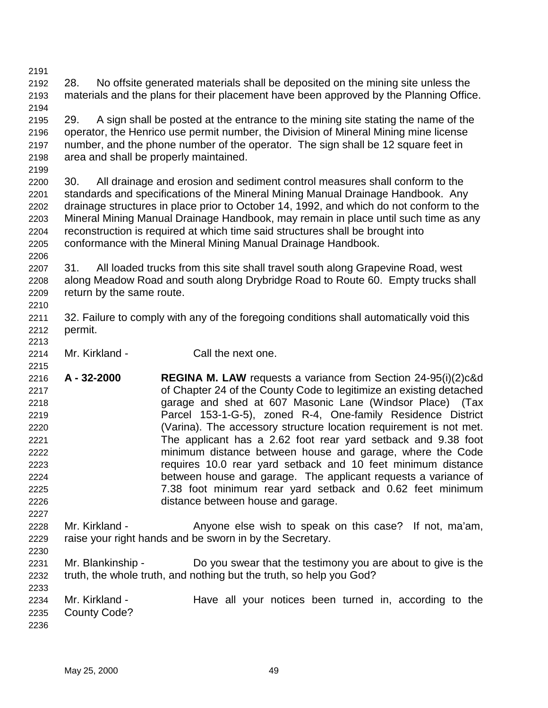2192 28. No offsite generated materials shall be deposited on the mining site unless the 2193 materials and the plans for their placement have been approved by the Planning Office. 2194

2195 29. A sign shall be posted at the entrance to the mining site stating the name of the 2196 operator, the Henrico use permit number, the Division of Mineral Mining mine license 2197 number, and the phone number of the operator. The sign shall be 12 square feet in 2198 area and shall be properly maintained.

2199

2200 30. All drainage and erosion and sediment control measures shall conform to the 2201 standards and specifications of the Mineral Mining Manual Drainage Handbook. Any 2202 drainage structures in place prior to October 14, 1992, and which do not conform to the 2203 Mineral Mining Manual Drainage Handbook, may remain in place until such time as any 2204 reconstruction is required at which time said structures shall be brought into 2205 conformance with the Mineral Mining Manual Drainage Handbook.

2206

2215

2227

2230

2233

2207 31. All loaded trucks from this site shall travel south along Grapevine Road, west 2208 along Meadow Road and south along Drybridge Road to Route 60. Empty trucks shall 2209 return by the same route. 2210

- 2211 32. Failure to comply with any of the foregoing conditions shall automatically void this 2212 permit.
- 2213 2214 Mr. Kirkland - Call the next one.
- 2216 **A 32-2000 REGINA M. LAW** requests a variance from Section 24-95(i)(2)c&d 2217 of Chapter 24 of the County Code to legitimize an existing detached 2218 garage and shed at 607 Masonic Lane (Windsor Place) (Tax 2219 Parcel 153-1-G-5), zoned R-4, One-family Residence District 2220 (Varina). The accessory structure location requirement is not met. 2221 The applicant has a 2.62 foot rear yard setback and 9.38 foot 2222 minimum distance between house and garage, where the Code 2223 requires 10.0 rear yard setback and 10 feet minimum distance 2224 between house and garage. The applicant requests a variance of 2225 7.38 foot minimum rear yard setback and 0.62 feet minimum 2226 distance between house and garage.
- 2228 Mr. Kirkland Anyone else wish to speak on this case? If not, ma'am, 2229 raise your right hands and be sworn in by the Secretary.
- 2231 Mr. Blankinship Do you swear that the testimony you are about to give is the 2232 truth, the whole truth, and nothing but the truth, so help you God?
- 2234 Mr. Kirkland Have all your notices been turned in, according to the 2235 County Code? 2236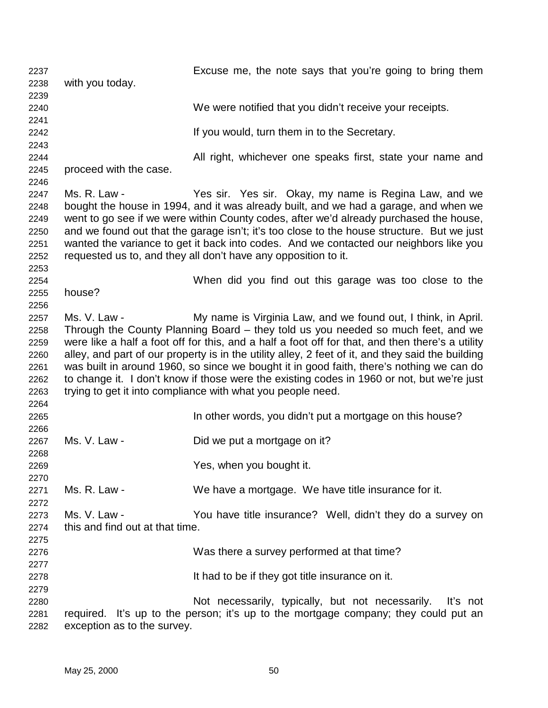2237 Excuse me, the note says that you're going to bring them 2238 with you today. 2239 2240 We were notified that you didn't receive your receipts. 2241 2242 **If you would, turn them in to the Secretary.** 2243 2244 All right, whichever one speaks first, state your name and 2245 proceed with the case. 2246 2247 Ms. R. Law - Yes sir. Yes sir. Okay, my name is Regina Law, and we 2248 bought the house in 1994, and it was already built, and we had a garage, and when we 2249 went to go see if we were within County codes, after we'd already purchased the house, 2250 and we found out that the garage isn't; it's too close to the house structure. But we just 2251 wanted the variance to get it back into codes. And we contacted our neighbors like you 2252 requested us to, and they all don't have any opposition to it. 2253 2254 When did you find out this garage was too close to the 2255 house? 2256 2257 Ms. V. Law - My name is Virginia Law, and we found out, I think, in April. 2258 Through the County Planning Board – they told us you needed so much feet, and we 2259 were like a half a foot off for this, and a half a foot off for that, and then there's a utility 2260 alley, and part of our property is in the utility alley, 2 feet of it, and they said the building 2261 was built in around 1960, so since we bought it in good faith, there's nothing we can do 2262 to change it. I don't know if those were the existing codes in 1960 or not, but we're just 2263 trying to get it into compliance with what you people need. 2264 2265 In other words, you didn't put a mortgage on this house? 2266 2267 Ms. V. Law - Did we put a mortgage on it? 2268 2269 Yes, when you bought it. 2270 2271 Ms. R. Law - We have a mortgage. We have title insurance for it. 2272 2273 Ms. V. Law - You have title insurance? Well, didn't they do a survey on 2274 this and find out at that time. 2275 2276 Was there a survey performed at that time? 2277 2278 It had to be if they got title insurance on it. 2279 2280 Not necessarily, typically, but not necessarily. It's not 2281 required. It's up to the person; it's up to the mortgage company; they could put an 2282 exception as to the survey.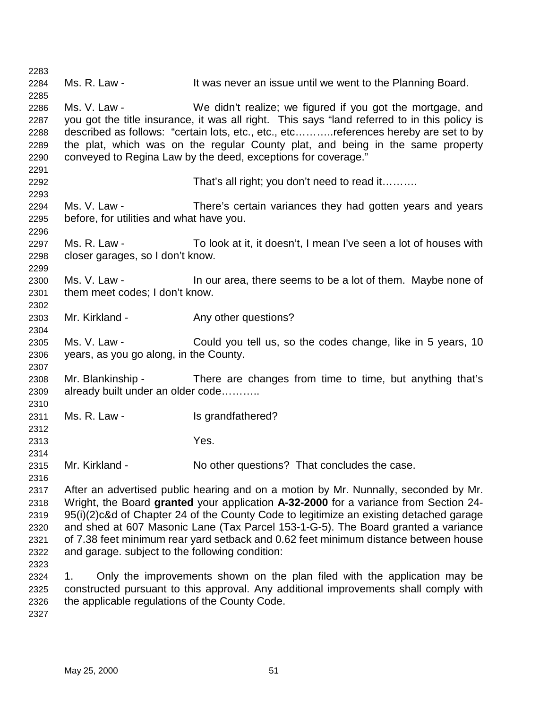| 2283 |                                                                                                                                                                             |                                                                                              |  |
|------|-----------------------------------------------------------------------------------------------------------------------------------------------------------------------------|----------------------------------------------------------------------------------------------|--|
| 2284 | Ms. R. Law -                                                                                                                                                                | It was never an issue until we went to the Planning Board.                                   |  |
| 2285 |                                                                                                                                                                             |                                                                                              |  |
| 2286 | Ms. V. Law -                                                                                                                                                                | We didn't realize; we figured if you got the mortgage, and                                   |  |
| 2287 |                                                                                                                                                                             | you got the title insurance, it was all right. This says "land referred to in this policy is |  |
| 2288 | described as follows: "certain lots, etc., etc., etcreferences hereby are set to by                                                                                         |                                                                                              |  |
| 2289 |                                                                                                                                                                             | the plat, which was on the regular County plat, and being in the same property               |  |
| 2290 |                                                                                                                                                                             | conveyed to Regina Law by the deed, exceptions for coverage."                                |  |
| 2291 |                                                                                                                                                                             |                                                                                              |  |
| 2292 |                                                                                                                                                                             | That's all right; you don't need to read it                                                  |  |
| 2293 |                                                                                                                                                                             |                                                                                              |  |
| 2294 | Ms. V. Law -                                                                                                                                                                | There's certain variances they had gotten years and years                                    |  |
| 2295 | before, for utilities and what have you.                                                                                                                                    |                                                                                              |  |
| 2296 |                                                                                                                                                                             |                                                                                              |  |
| 2297 | Ms. R. Law -                                                                                                                                                                | To look at it, it doesn't, I mean I've seen a lot of houses with                             |  |
| 2298 | closer garages, so I don't know.                                                                                                                                            |                                                                                              |  |
| 2299 |                                                                                                                                                                             |                                                                                              |  |
| 2300 | Ms. V. Law -                                                                                                                                                                | In our area, there seems to be a lot of them. Maybe none of                                  |  |
| 2301 | them meet codes; I don't know.                                                                                                                                              |                                                                                              |  |
| 2302 |                                                                                                                                                                             |                                                                                              |  |
| 2303 | Mr. Kirkland -                                                                                                                                                              | Any other questions?                                                                         |  |
| 2304 |                                                                                                                                                                             |                                                                                              |  |
| 2305 |                                                                                                                                                                             | Ms. V. Law - Could you tell us, so the codes change, like in 5 years, 10                     |  |
| 2306 | years, as you go along, in the County.                                                                                                                                      |                                                                                              |  |
| 2307 |                                                                                                                                                                             |                                                                                              |  |
| 2308 |                                                                                                                                                                             | Mr. Blankinship - There are changes from time to time, but anything that's                   |  |
| 2309 | already built under an older code                                                                                                                                           |                                                                                              |  |
| 2310 |                                                                                                                                                                             |                                                                                              |  |
| 2311 | Ms. R. Law -                                                                                                                                                                | Is grandfathered?                                                                            |  |
| 2312 |                                                                                                                                                                             |                                                                                              |  |
| 2313 |                                                                                                                                                                             | Yes.                                                                                         |  |
| 2314 |                                                                                                                                                                             |                                                                                              |  |
| 2315 | Mr. Kirkland -                                                                                                                                                              | No other questions? That concludes the case.                                                 |  |
| 2316 |                                                                                                                                                                             |                                                                                              |  |
| 2317 |                                                                                                                                                                             |                                                                                              |  |
| 2318 | After an advertised public hearing and on a motion by Mr. Nunnally, seconded by Mr.<br>Wright, the Board granted your application A-32-2000 for a variance from Section 24- |                                                                                              |  |
| 2319 | 95(i)(2) c&d of Chapter 24 of the County Code to legitimize an existing detached garage                                                                                     |                                                                                              |  |
| 2320 | and shed at 607 Masonic Lane (Tax Parcel 153-1-G-5). The Board granted a variance                                                                                           |                                                                                              |  |
| 2321 | of 7.38 feet minimum rear yard setback and 0.62 feet minimum distance between house                                                                                         |                                                                                              |  |
| 2322 | and garage. subject to the following condition:                                                                                                                             |                                                                                              |  |
| 2323 |                                                                                                                                                                             |                                                                                              |  |
| 2324 |                                                                                                                                                                             |                                                                                              |  |
| 2325 | Only the improvements shown on the plan filed with the application may be<br>1.<br>constructed pursuant to this approval. Any additional improvements shall comply with     |                                                                                              |  |
| 2326 | the applicable regulations of the County Code.                                                                                                                              |                                                                                              |  |
|      |                                                                                                                                                                             |                                                                                              |  |
| 2327 |                                                                                                                                                                             |                                                                                              |  |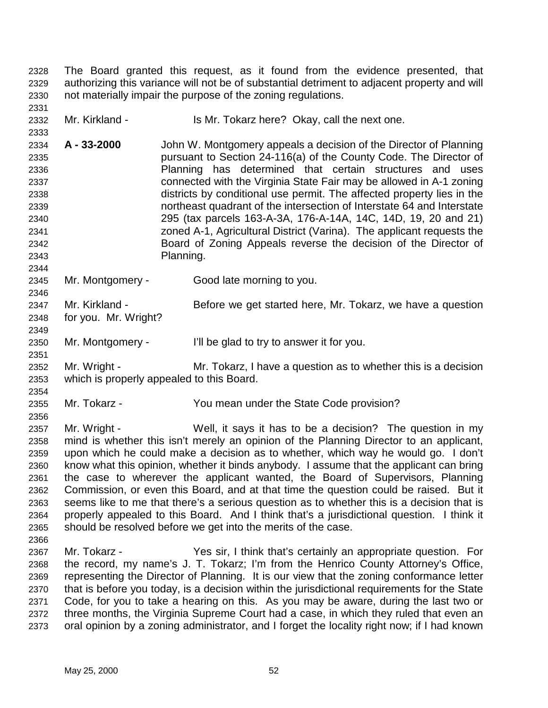2328 The Board granted this request, as it found from the evidence presented, that 2329 authorizing this variance will not be of substantial detriment to adjacent property and will 2330 not materially impair the purpose of the zoning regulations.

2332 Mr. Kirkland - Is Mr. Tokarz here? Okay, call the next one.

2334 **A - 33-2000** John W. Montgomery appeals a decision of the Director of Planning 2335 pursuant to Section 24-116(a) of the County Code. The Director of 2336 Planning has determined that certain structures and uses 2337 connected with the Virginia State Fair may be allowed in A-1 zoning 2338 districts by conditional use permit. The affected property lies in the 2339 northeast quadrant of the intersection of Interstate 64 and Interstate 2340 295 (tax parcels 163-A-3A, 176-A-14A, 14C, 14D, 19, 20 and 21) 2341 zoned A-1, Agricultural District (Varina). The applicant requests the 2342 Board of Zoning Appeals reverse the decision of the Director of 2343 Planning.

2345 Mr. Montgomery - Good late morning to you.

2347 Mr. Kirkland - Before we get started here, Mr. Tokarz, we have a question 2348 for you. Mr. Wright?

2350 Mr. Montgomery - I'll be glad to try to answer it for you.

2352 Mr. Wright - Mr. Tokarz, I have a question as to whether this is a decision 2353 which is properly appealed to this Board.

2354

2356

2344

2346

2349

2351

2331

2333

2355 Mr. Tokarz - You mean under the State Code provision?

2357 Mr. Wright - Well, it says it has to be a decision? The question in my 2358 mind is whether this isn't merely an opinion of the Planning Director to an applicant, 2359 upon which he could make a decision as to whether, which way he would go. I don't 2360 know what this opinion, whether it binds anybody. I assume that the applicant can bring 2361 the case to wherever the applicant wanted, the Board of Supervisors, Planning 2362 Commission, or even this Board, and at that time the question could be raised. But it 2363 seems like to me that there's a serious question as to whether this is a decision that is 2364 properly appealed to this Board. And I think that's a jurisdictional question. I think it 2365 should be resolved before we get into the merits of the case.

2366 2367 Mr. Tokarz - Yes sir, I think that's certainly an appropriate question. For 2368 the record, my name's J. T. Tokarz; I'm from the Henrico County Attorney's Office, 2369 representing the Director of Planning. It is our view that the zoning conformance letter 2370 that is before you today, is a decision within the jurisdictional requirements for the State 2371 Code, for you to take a hearing on this. As you may be aware, during the last two or 2372 three months, the Virginia Supreme Court had a case, in which they ruled that even an 2373 oral opinion by a zoning administrator, and I forget the locality right now; if I had known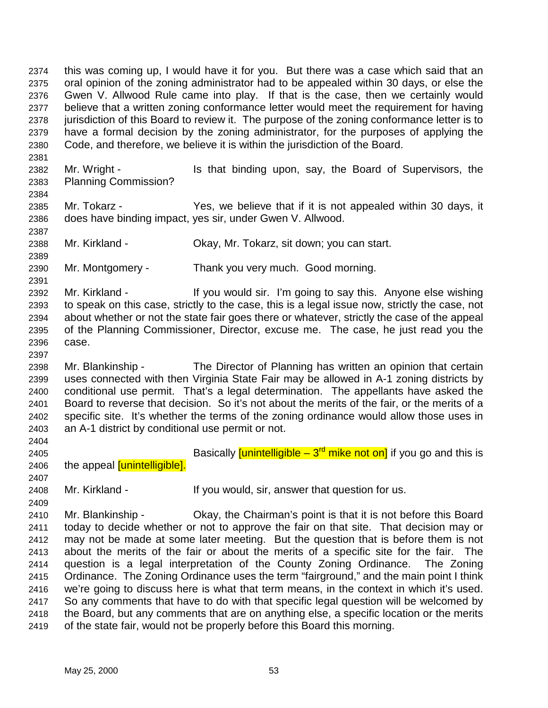2374 this was coming up, I would have it for you. But there was a case which said that an 2375 oral opinion of the zoning administrator had to be appealed within 30 days, or else the 2376 Gwen V. Allwood Rule came into play. If that is the case, then we certainly would 2377 believe that a written zoning conformance letter would meet the requirement for having 2378 jurisdiction of this Board to review it. The purpose of the zoning conformance letter is to 2379 have a formal decision by the zoning administrator, for the purposes of applying the 2380 Code, and therefore, we believe it is within the jurisdiction of the Board.

2382 Mr. Wright - Is that binding upon, say, the Board of Supervisors, the 2383 Planning Commission?

2385 Mr. Tokarz - Yes, we believe that if it is not appealed within 30 days, it 2386 does have binding impact, yes sir, under Gwen V. Allwood.

2388 Mr. Kirkland - Okay, Mr. Tokarz, sit down; you can start.

2390 Mr. Montgomery - Thank you very much. Good morning.

2392 Mr. Kirkland - If you would sir. I'm going to say this. Anyone else wishing 2393 to speak on this case, strictly to the case, this is a legal issue now, strictly the case, not 2394 about whether or not the state fair goes there or whatever, strictly the case of the appeal 2395 of the Planning Commissioner, Director, excuse me. The case, he just read you the 2396 case.

2398 Mr. Blankinship - The Director of Planning has written an opinion that certain 2399 uses connected with then Virginia State Fair may be allowed in A-1 zoning districts by 2400 conditional use permit. That's a legal determination. The appellants have asked the 2401 Board to reverse that decision. So it's not about the merits of the fair, or the merits of a 2402 specific site. It's whether the terms of the zoning ordinance would allow those uses in 2403 an A-1 district by conditional use permit or not.

2405 **Example 1 Example 1 Basically <u>[unintelligible – 3<sup>rd</sup> mike not on</u>] if you go and this is** 2406 the appeal [unintelligible].

2409

2407

2404

2381

2384

2387

2389

2391

2397

2408 Mr. Kirkland - If you would, sir, answer that question for us.

2410 Mr. Blankinship - Ckay, the Chairman's point is that it is not before this Board 2411 today to decide whether or not to approve the fair on that site. That decision may or 2412 may not be made at some later meeting. But the question that is before them is not 2413 about the merits of the fair or about the merits of a specific site for the fair. The 2414 question is a legal interpretation of the County Zoning Ordinance. The Zoning 2415 Ordinance. The Zoning Ordinance uses the term "fairground," and the main point I think 2416 we're going to discuss here is what that term means, in the context in which it's used. 2417 So any comments that have to do with that specific legal question will be welcomed by 2418 the Board, but any comments that are on anything else, a specific location or the merits 2419 of the state fair, would not be properly before this Board this morning.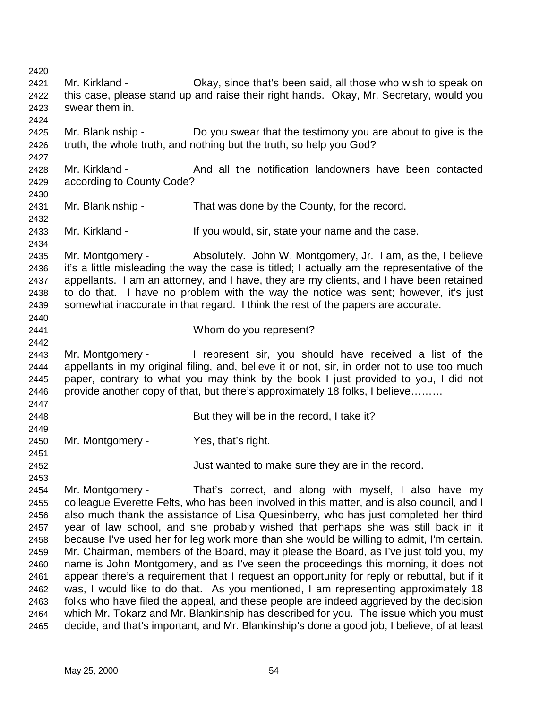2420 2421 Mr. Kirkland - Okay, since that's been said, all those who wish to speak on 2422 this case, please stand up and raise their right hands. Okay, Mr. Secretary, would you 2423 swear them in. 2424 2425 Mr. Blankinship - Do you swear that the testimony you are about to give is the 2426 truth, the whole truth, and nothing but the truth, so help you God? 2427 2428 Mr. Kirkland - And all the notification landowners have been contacted 2429 according to County Code? 2430 2431 Mr. Blankinship - That was done by the County, for the record. 2432 2433 Mr. Kirkland - If you would, sir, state your name and the case. 2434 2435 Mr. Montgomery - Absolutely. John W. Montgomery, Jr. I am, as the, I believe 2436 it's a little misleading the way the case is titled; I actually am the representative of the 2437 appellants. I am an attorney, and I have, they are my clients, and I have been retained 2438 to do that. I have no problem with the way the notice was sent; however, it's just 2439 somewhat inaccurate in that regard. I think the rest of the papers are accurate. 2440 2441 Whom do you represent? 2442 2443 Mr. Montgomery - I represent sir, you should have received a list of the 2444 appellants in my original filing, and, believe it or not, sir, in order not to use too much 2445 paper, contrary to what you may think by the book I just provided to you, I did not 2446 provide another copy of that, but there's approximately 18 folks, I believe……… 2447 2448 But they will be in the record, I take it? 2449 2450 Mr. Montgomery - Yes, that's right. 2451 2452 Just wanted to make sure they are in the record. 2453 2454 Mr. Montgomery - That's correct, and along with myself, I also have my 2455 colleague Everette Felts, who has been involved in this matter, and is also council, and I 2456 also much thank the assistance of Lisa Quesinberry, who has just completed her third 2457 year of law school, and she probably wished that perhaps she was still back in it 2458 because I've used her for leg work more than she would be willing to admit, I'm certain. 2459 Mr. Chairman, members of the Board, may it please the Board, as I've just told you, my 2460 name is John Montgomery, and as I've seen the proceedings this morning, it does not 2461 appear there's a requirement that I request an opportunity for reply or rebuttal, but if it 2462 was, I would like to do that. As you mentioned, I am representing approximately 18 2463 folks who have filed the appeal, and these people are indeed aggrieved by the decision 2464 which Mr. Tokarz and Mr. Blankinship has described for you. The issue which you must 2465 decide, and that's important, and Mr. Blankinship's done a good job, I believe, of at least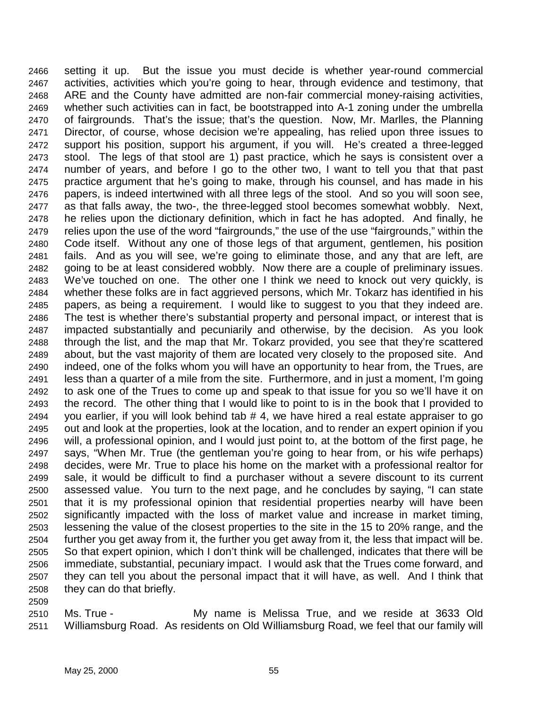2466 setting it up. But the issue you must decide is whether year-round commercial 2467 activities, activities which you're going to hear, through evidence and testimony, that 2468 ARE and the County have admitted are non-fair commercial money-raising activities, 2469 whether such activities can in fact, be bootstrapped into A-1 zoning under the umbrella 2470 of fairgrounds. That's the issue; that's the question. Now, Mr. Marlles, the Planning 2471 Director, of course, whose decision we're appealing, has relied upon three issues to 2472 support his position, support his argument, if you will. He's created a three-legged 2473 stool. The legs of that stool are 1) past practice, which he says is consistent over a 2474 number of years, and before I go to the other two, I want to tell you that that past 2475 practice argument that he's going to make, through his counsel, and has made in his 2476 papers, is indeed intertwined with all three legs of the stool. And so you will soon see, 2477 as that falls away, the two-, the three-legged stool becomes somewhat wobbly. Next, 2478 he relies upon the dictionary definition, which in fact he has adopted. And finally, he 2479 relies upon the use of the word "fairgrounds," the use of the use "fairgrounds," within the 2480 Code itself. Without any one of those legs of that argument, gentlemen, his position 2481 fails. And as you will see, we're going to eliminate those, and any that are left, are 2482 going to be at least considered wobbly. Now there are a couple of preliminary issues. 2483 We've touched on one. The other one I think we need to knock out very quickly, is 2484 whether these folks are in fact aggrieved persons, which Mr. Tokarz has identified in his 2485 papers, as being a requirement. I would like to suggest to you that they indeed are. 2486 The test is whether there's substantial property and personal impact, or interest that is 2487 impacted substantially and pecuniarily and otherwise, by the decision. As you look 2488 through the list, and the map that Mr. Tokarz provided, you see that they're scattered 2489 about, but the vast majority of them are located very closely to the proposed site. And 2490 indeed, one of the folks whom you will have an opportunity to hear from, the Trues, are 2491 less than a quarter of a mile from the site. Furthermore, and in just a moment, I'm going 2492 to ask one of the Trues to come up and speak to that issue for you so we'll have it on 2493 the record. The other thing that I would like to point to is in the book that I provided to 2494 you earlier, if you will look behind tab  $# 4$ , we have hired a real estate appraiser to go 2495 out and look at the properties, look at the location, and to render an expert opinion if you 2496 will, a professional opinion, and I would just point to, at the bottom of the first page, he 2497 says, "When Mr. True (the gentleman you're going to hear from, or his wife perhaps) 2498 decides, were Mr. True to place his home on the market with a professional realtor for 2499 sale, it would be difficult to find a purchaser without a severe discount to its current 2500 assessed value. You turn to the next page, and he concludes by saying, "I can state 2501 that it is my professional opinion that residential properties nearby will have been 2502 significantly impacted with the loss of market value and increase in market timing, 2503 lessening the value of the closest properties to the site in the 15 to 20% range, and the 2504 further you get away from it, the further you get away from it, the less that impact will be. 2505 So that expert opinion, which I don't think will be challenged, indicates that there will be 2506 immediate, substantial, pecuniary impact. I would ask that the Trues come forward, and 2507 they can tell you about the personal impact that it will have, as well. And I think that 2508 they can do that briefly.

2510 Ms. True - My name is Melissa True, and we reside at 3633 Old 2511 Williamsburg Road. As residents on Old Williamsburg Road, we feel that our family will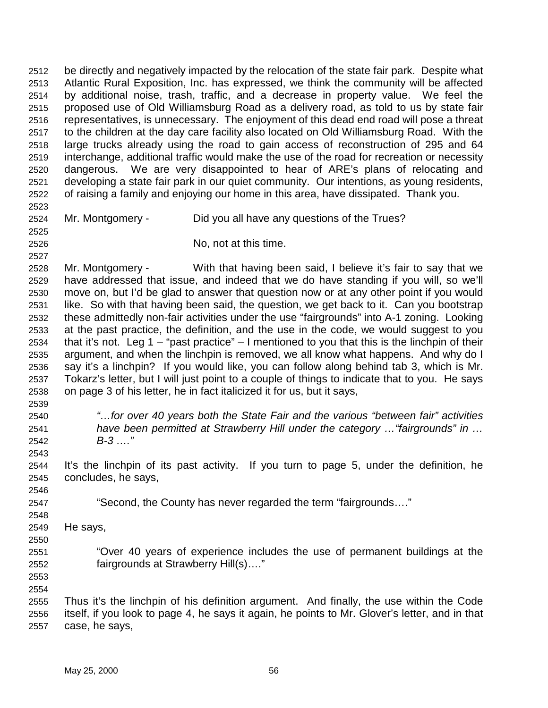2512 be directly and negatively impacted by the relocation of the state fair park. Despite what 2513 Atlantic Rural Exposition, Inc. has expressed, we think the community will be affected 2514 by additional noise, trash, traffic, and a decrease in property value. We feel the 2515 proposed use of Old Williamsburg Road as a delivery road, as told to us by state fair 2516 representatives, is unnecessary. The enjoyment of this dead end road will pose a threat 2517 to the children at the day care facility also located on Old Williamsburg Road. With the 2518 large trucks already using the road to gain access of reconstruction of 295 and 64 2519 interchange, additional traffic would make the use of the road for recreation or necessity 2520 dangerous. We are very disappointed to hear of ARE's plans of relocating and 2521 developing a state fair park in our quiet community. Our intentions, as young residents, 2522 of raising a family and enjoying our home in this area, have dissipated. Thank you. 2523 2524 Mr. Montgomery - Did you all have any questions of the Trues? 2525 2526 No, not at this time. 2527 2528 Mr. Montgomery - With that having been said, I believe it's fair to say that we 2529 have addressed that issue, and indeed that we do have standing if you will, so we'll 2530 move on, but I'd be glad to answer that question now or at any other point if you would 2531 like. So with that having been said, the question, we get back to it. Can you bootstrap 2532 these admittedly non-fair activities under the use "fairgrounds" into A-1 zoning. Looking 2533 at the past practice, the definition, and the use in the code, we would suggest to you 2534 that it's not. Leg  $1 -$  "past practice" – I mentioned to you that this is the linchpin of their 2535 argument, and when the linchpin is removed, we all know what happens. And why do I 2536 say it's a linchpin? If you would like, you can follow along behind tab 3, which is Mr. 2537 Tokarz's letter, but I will just point to a couple of things to indicate that to you. He says 2538 on page 3 of his letter, he in fact italicized it for us, but it says, 2539 2540 *"…for over 40 years both the State Fair and the various "between fair" activities*  2541 *have been permitted at Strawberry Hill under the category …"fairgrounds" in …*  2542 *B-3 …."*  2543 2544 It's the linchpin of its past activity. If you turn to page 5, under the definition, he 2545 concludes, he says, 2546 2547 "Second, the County has never regarded the term "fairgrounds…." 2548 2549 He says, 2550 2551 "Over 40 years of experience includes the use of permanent buildings at the

2553 2554

2555 Thus it's the linchpin of his definition argument. And finally, the use within the Code 2556 itself, if you look to page 4, he says it again, he points to Mr. Glover's letter, and in that 2557 case, he says,

2552 fairgrounds at Strawberry Hill(s)…."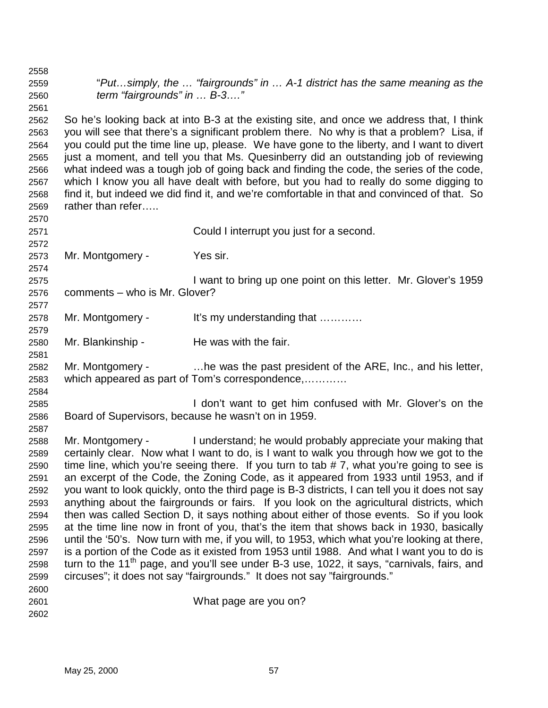2558 2559 "*Put…simply, the … "fairgrounds" in … A-1 district has the same meaning as the*  2560 *term "fairgrounds" in … B-3…."*  2561 2562 So he's looking back at into B-3 at the existing site, and once we address that, I think 2563 you will see that there's a significant problem there. No why is that a problem? Lisa, if 2564 you could put the time line up, please. We have gone to the liberty, and I want to divert 2565 just a moment, and tell you that Ms. Quesinberry did an outstanding job of reviewing 2566 what indeed was a tough job of going back and finding the code, the series of the code, 2567 which I know you all have dealt with before, but you had to really do some digging to 2568 find it, but indeed we did find it, and we're comfortable in that and convinced of that. So 2569 rather than refer….. 2570 2571 Could I interrupt you just for a second. 2572 2573 Mr. Montgomery - Yes sir. 2574 2575 I want to bring up one point on this letter. Mr. Glover's 1959 2576 comments – who is Mr. Glover? 2577 2578 Mr. Montgomery - It's my understanding that ………… 2579 2580 Mr. Blankinship - He was with the fair. 2581 2582 Mr. Montgomery - …he was the past president of the ARE, Inc., and his letter, 2583 which appeared as part of Tom's correspondence,………… 2584 2585 I don't want to get him confused with Mr. Glover's on the 2586 Board of Supervisors, because he wasn't on in 1959. 2587 2588 Mr. Montgomery - I understand; he would probably appreciate your making that 2589 certainly clear. Now what I want to do, is I want to walk you through how we got to the 2590 time line, which you're seeing there. If you turn to tab # 7, what you're going to see is 2591 an excerpt of the Code, the Zoning Code, as it appeared from 1933 until 1953, and if 2592 you want to look quickly, onto the third page is B-3 districts, I can tell you it does not say 2593 anything about the fairgrounds or fairs. If you look on the agricultural districts, which 2594 then was called Section D, it says nothing about either of those events. So if you look 2595 at the time line now in front of you, that's the item that shows back in 1930, basically 2596 until the '50's. Now turn with me, if you will, to 1953, which what you're looking at there, 2597 is a portion of the Code as it existed from 1953 until 1988. And what I want you to do is 2598 turn to the 11<sup>th</sup> page, and you'll see under B-3 use, 1022, it says, "carnivals, fairs, and 2599 circuses"; it does not say "fairgrounds." It does not say "fairgrounds." 2600 2601 What page are you on? 2602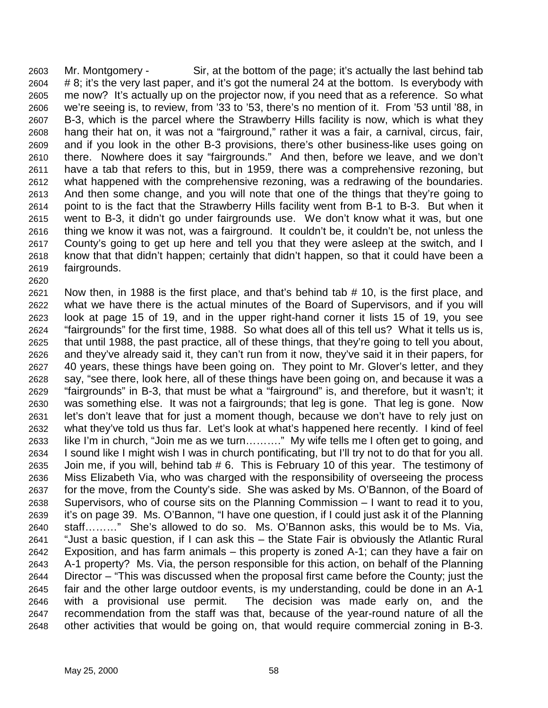2603 Mr. Montgomery - Sir, at the bottom of the page; it's actually the last behind tab 2604 # 8; it's the very last paper, and it's got the numeral 24 at the bottom. Is everybody with 2605 me now? It's actually up on the projector now, if you need that as a reference. So what 2606 we're seeing is, to review, from '33 to '53, there's no mention of it. From '53 until '88, in 2607 B-3, which is the parcel where the Strawberry Hills facility is now, which is what they 2608 hang their hat on, it was not a "fairground," rather it was a fair, a carnival, circus, fair, 2609 and if you look in the other B-3 provisions, there's other business-like uses going on 2610 there. Nowhere does it say "fairgrounds." And then, before we leave, and we don't 2611 have a tab that refers to this, but in 1959, there was a comprehensive rezoning, but 2612 what happened with the comprehensive rezoning, was a redrawing of the boundaries. 2613 And then some change, and you will note that one of the things that they're going to 2614 point to is the fact that the Strawberry Hills facility went from B-1 to B-3. But when it 2615 went to B-3, it didn't go under fairgrounds use. We don't know what it was, but one 2616 thing we know it was not, was a fairground. It couldn't be, it couldn't be, not unless the 2617 County's going to get up here and tell you that they were asleep at the switch, and I 2618 know that that didn't happen; certainly that didn't happen, so that it could have been a 2619 fairgrounds. 2620

2621 Now then, in 1988 is the first place, and that's behind tab # 10, is the first place, and 2622 what we have there is the actual minutes of the Board of Supervisors, and if you will 2623 look at page 15 of 19, and in the upper right-hand corner it lists 15 of 19, you see 2624 "fairgrounds" for the first time, 1988. So what does all of this tell us? What it tells us is, 2625 that until 1988, the past practice, all of these things, that they're going to tell you about, 2626 and they've already said it, they can't run from it now, they've said it in their papers, for 2627 40 years, these things have been going on. They point to Mr. Glover's letter, and they 2628 say, "see there, look here, all of these things have been going on, and because it was a 2629 "fairgrounds" in B-3, that must be what a "fairground" is, and therefore, but it wasn't; it 2630 was something else. It was not a fairgrounds; that leg is gone. That leg is gone. Now 2631 let's don't leave that for just a moment though, because we don't have to rely just on 2632 what they've told us thus far. Let's look at what's happened here recently. I kind of feel 2633 like I'm in church, "Join me as we turn………." My wife tells me I often get to going, and 2634 I sound like I might wish I was in church pontificating, but I'll try not to do that for you all. 2635 Join me, if you will, behind tab # 6. This is February 10 of this year. The testimony of 2636 Miss Elizabeth Via, who was charged with the responsibility of overseeing the process 2637 for the move, from the County's side. She was asked by Ms. O'Bannon, of the Board of 2638 Supervisors, who of course sits on the Planning Commission – I want to read it to you, 2639 it's on page 39. Ms. O'Bannon, "I have one question, if I could just ask it of the Planning 2640 staff………" She's allowed to do so. Ms. O'Bannon asks, this would be to Ms. Via, 2641 "Just a basic question, if I can ask this – the State Fair is obviously the Atlantic Rural 2642 Exposition, and has farm animals – this property is zoned A-1; can they have a fair on 2643 A-1 property? Ms. Via, the person responsible for this action, on behalf of the Planning 2644 Director – "This was discussed when the proposal first came before the County; just the 2645 fair and the other large outdoor events, is my understanding, could be done in an A-1 2646 with a provisional use permit. The decision was made early on, and the 2647 recommendation from the staff was that, because of the year-round nature of all the 2648 other activities that would be going on, that would require commercial zoning in B-3.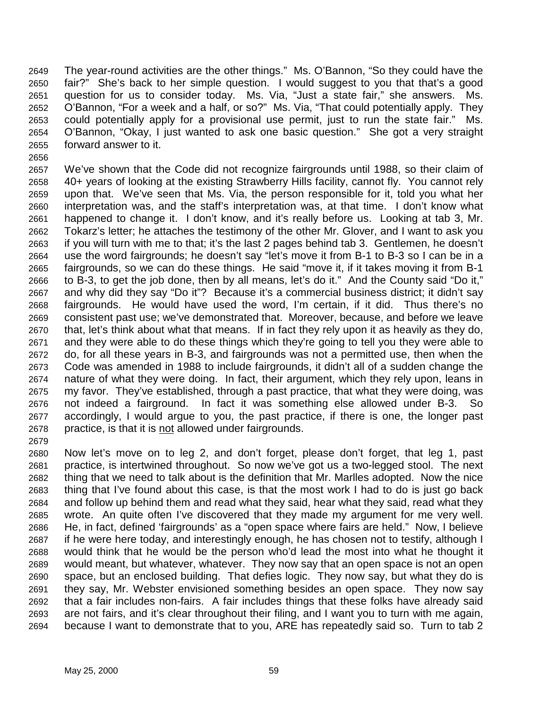2649 The year-round activities are the other things." Ms. O'Bannon, "So they could have the 2650 fair?" She's back to her simple question. I would suggest to you that that's a good 2651 question for us to consider today. Ms. Via, "Just a state fair," she answers. Ms. 2652 O'Bannon, "For a week and a half, or so?" Ms. Via, "That could potentially apply. They 2653 could potentially apply for a provisional use permit, just to run the state fair." Ms. 2654 O'Bannon, "Okay, I just wanted to ask one basic question." She got a very straight 2655 forward answer to it.

2656 2657 We've shown that the Code did not recognize fairgrounds until 1988, so their claim of 2658 40+ years of looking at the existing Strawberry Hills facility, cannot fly. You cannot rely 2659 upon that. We've seen that Ms. Via, the person responsible for it, told you what her 2660 interpretation was, and the staff's interpretation was, at that time. I don't know what 2661 happened to change it. I don't know, and it's really before us. Looking at tab 3, Mr. 2662 Tokarz's letter; he attaches the testimony of the other Mr. Glover, and I want to ask you 2663 if you will turn with me to that; it's the last 2 pages behind tab 3. Gentlemen, he doesn't 2664 use the word fairgrounds; he doesn't say "let's move it from B-1 to B-3 so I can be in a 2665 fairgrounds, so we can do these things. He said "move it, if it takes moving it from B-1 2666 to B-3, to get the job done, then by all means, let's do it." And the County said "Do it," 2667 and why did they say "Do it"? Because it's a commercial business district; it didn't say 2668 fairgrounds. He would have used the word, I'm certain, if it did. Thus there's no 2669 consistent past use; we've demonstrated that. Moreover, because, and before we leave 2670 that, let's think about what that means. If in fact they rely upon it as heavily as they do, 2671 and they were able to do these things which they're going to tell you they were able to 2672 do, for all these years in B-3, and fairgrounds was not a permitted use, then when the 2673 Code was amended in 1988 to include fairgrounds, it didn't all of a sudden change the 2674 nature of what they were doing. In fact, their argument, which they rely upon, leans in 2675 my favor. They've established, through a past practice, that what they were doing, was 2676 not indeed a fairground. In fact it was something else allowed under B-3. So 2677 accordingly, I would argue to you, the past practice, if there is one, the longer past 2678 practice, is that it is not allowed under fairgrounds.

2680 Now let's move on to leg 2, and don't forget, please don't forget, that leg 1, past 2681 practice, is intertwined throughout. So now we've got us a two-legged stool. The next 2682 thing that we need to talk about is the definition that Mr. Marlles adopted. Now the nice 2683 thing that I've found about this case, is that the most work I had to do is just go back 2684 and follow up behind them and read what they said, hear what they said, read what they 2685 wrote. An quite often I've discovered that they made my argument for me very well. 2686 He, in fact, defined 'fairgrounds' as a "open space where fairs are held." Now, I believe 2687 if he were here today, and interestingly enough, he has chosen not to testify, although I 2688 would think that he would be the person who'd lead the most into what he thought it 2689 would meant, but whatever, whatever. They now say that an open space is not an open 2690 space, but an enclosed building. That defies logic. They now say, but what they do is 2691 they say, Mr. Webster envisioned something besides an open space. They now say 2692 that a fair includes non-fairs. A fair includes things that these folks have already said 2693 are not fairs, and it's clear throughout their filing, and I want you to turn with me again, 2694 because I want to demonstrate that to you, ARE has repeatedly said so. Turn to tab 2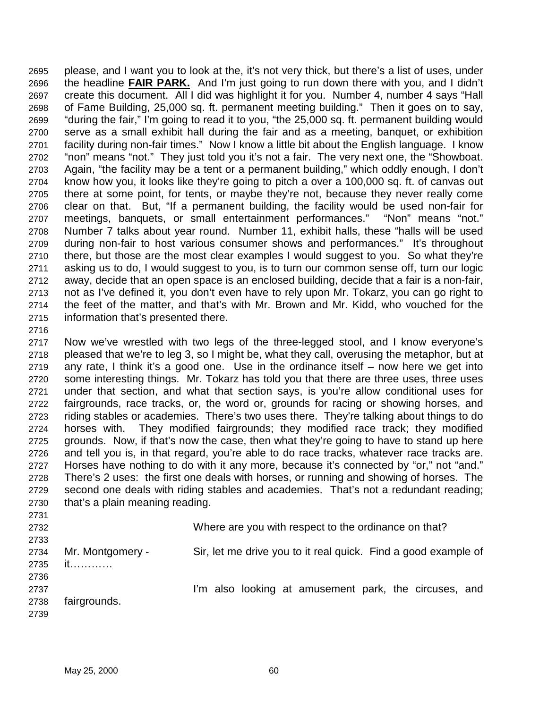2695 please, and I want you to look at the, it's not very thick, but there's a list of uses, under 2696 the headline **FAIR PARK.** And I'm just going to run down there with you, and I didn't 2697 create this document. All I did was highlight it for you. Number 4, number 4 says "Hall 2698 of Fame Building, 25,000 sq. ft. permanent meeting building." Then it goes on to say, 2699 "during the fair," I'm going to read it to you, "the 25,000 sq. ft. permanent building would 2700 serve as a small exhibit hall during the fair and as a meeting, banquet, or exhibition 2701 facility during non-fair times." Now I know a little bit about the English language. I know 2702 "non" means "not." They just told you it's not a fair. The very next one, the "Showboat. 2703 Again, "the facility may be a tent or a permanent building," which oddly enough, I don't 2704 know how you, it looks like they're going to pitch a over a 100,000 sq. ft. of canvas out 2705 there at some point, for tents, or maybe they're not, because they never really come 2706 clear on that. But, "If a permanent building, the facility would be used non-fair for 2707 meetings, banquets, or small entertainment performances." "Non" means "not." 2708 Number 7 talks about year round. Number 11, exhibit halls, these "halls will be used 2709 during non-fair to host various consumer shows and performances." It's throughout 2710 there, but those are the most clear examples I would suggest to you. So what they're 2711 asking us to do, I would suggest to you, is to turn our common sense off, turn our logic 2712 away, decide that an open space is an enclosed building, decide that a fair is a non-fair, 2713 not as I've defined it, you don't even have to rely upon Mr. Tokarz, you can go right to 2714 the feet of the matter, and that's with Mr. Brown and Mr. Kidd, who vouched for the 2715 information that's presented there.

2716

2717 Now we've wrestled with two legs of the three-legged stool, and I know everyone's 2718 pleased that we're to leg 3, so I might be, what they call, overusing the metaphor, but at 2719 any rate, I think it's a good one. Use in the ordinance itself – now here we get into 2720 some interesting things. Mr. Tokarz has told you that there are three uses, three uses 2721 under that section, and what that section says, is you're allow conditional uses for 2722 fairgrounds, race tracks, or, the word or, grounds for racing or showing horses, and 2723 riding stables or academies. There's two uses there. They're talking about things to do 2724 horses with. They modified fairgrounds; they modified race track; they modified 2725 grounds. Now, if that's now the case, then what they're going to have to stand up here 2726 and tell you is, in that regard, you're able to do race tracks, whatever race tracks are. 2727 Horses have nothing to do with it any more, because it's connected by "or," not "and." 2728 There's 2 uses: the first one deals with horses, or running and showing of horses. The 2729 second one deals with riding stables and academies. That's not a redundant reading; 2730 that's a plain meaning reading.

2731 2732 Where are you with respect to the ordinance on that? 2733 2734 Mr. Montgomery - Sir, let me drive you to it real quick. Find a good example of 2735 it………… 2736 2737 **I'm also looking at amusement park, the circuses, and** 2738 fairgrounds. 2739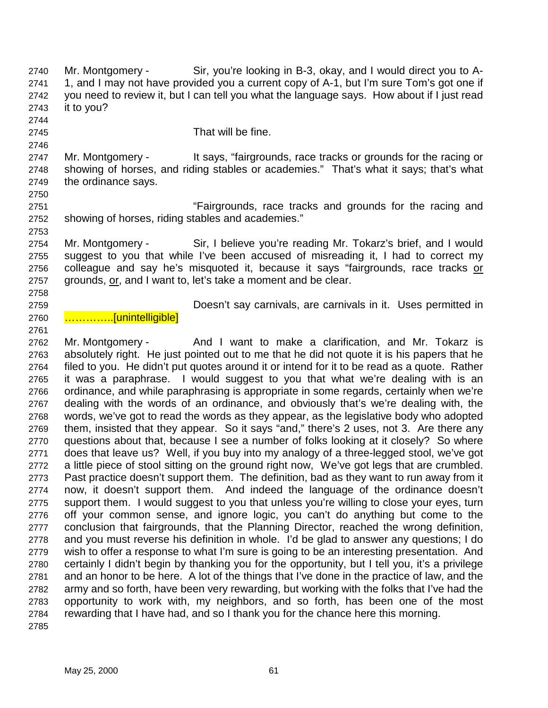2740 Mr. Montgomery - Sir, you're looking in B-3, okay, and I would direct you to A-2741 1, and I may not have provided you a current copy of A-1, but I'm sure Tom's got one if 2742 you need to review it, but I can tell you what the language says. How about if I just read 2743 it to you?

2744

2746

2750

2753

2745 That will be fine.

2747 Mr. Montgomery - It says, "fairgrounds, race tracks or grounds for the racing or 2748 showing of horses, and riding stables or academies." That's what it says; that's what 2749 the ordinance says.

2751 "Fairgrounds, race tracks and grounds for the racing and 2752 showing of horses, riding stables and academies."

2754 Mr. Montgomery - Sir, I believe you're reading Mr. Tokarz's brief, and I would 2755 suggest to you that while I've been accused of misreading it, I had to correct my 2756 colleague and say he's misquoted it, because it says "fairgrounds, race tracks or 2757 grounds, or, and I want to, let's take a moment and be clear.

2758

2761

2759 Doesn't say carnivals, are carnivals in it. Uses permitted in

2760 ....................[unintelligible]

2762 Mr. Montgomery - And I want to make a clarification, and Mr. Tokarz is 2763 absolutely right. He just pointed out to me that he did not quote it is his papers that he 2764 filed to you. He didn't put quotes around it or intend for it to be read as a quote. Rather 2765 it was a paraphrase. I would suggest to you that what we're dealing with is an 2766 ordinance, and while paraphrasing is appropriate in some regards, certainly when we're 2767 dealing with the words of an ordinance, and obviously that's we're dealing with, the 2768 words, we've got to read the words as they appear, as the legislative body who adopted 2769 them, insisted that they appear. So it says "and," there's 2 uses, not 3. Are there any 2770 questions about that, because I see a number of folks looking at it closely? So where 2771 does that leave us? Well, if you buy into my analogy of a three-legged stool, we've got 2772 a little piece of stool sitting on the ground right now, We've got legs that are crumbled. 2773 Past practice doesn't support them. The definition, bad as they want to run away from it 2774 now, it doesn't support them. And indeed the language of the ordinance doesn't 2775 support them. I would suggest to you that unless you're willing to close your eyes, turn 2776 off your common sense, and ignore logic, you can't do anything but come to the 2777 conclusion that fairgrounds, that the Planning Director, reached the wrong definition, 2778 and you must reverse his definition in whole. I'd be glad to answer any questions; I do 2779 wish to offer a response to what I'm sure is going to be an interesting presentation. And 2780 certainly I didn't begin by thanking you for the opportunity, but I tell you, it's a privilege 2781 and an honor to be here. A lot of the things that I've done in the practice of law, and the 2782 army and so forth, have been very rewarding, but working with the folks that I've had the 2783 opportunity to work with, my neighbors, and so forth, has been one of the most 2784 rewarding that I have had, and so I thank you for the chance here this morning. 2785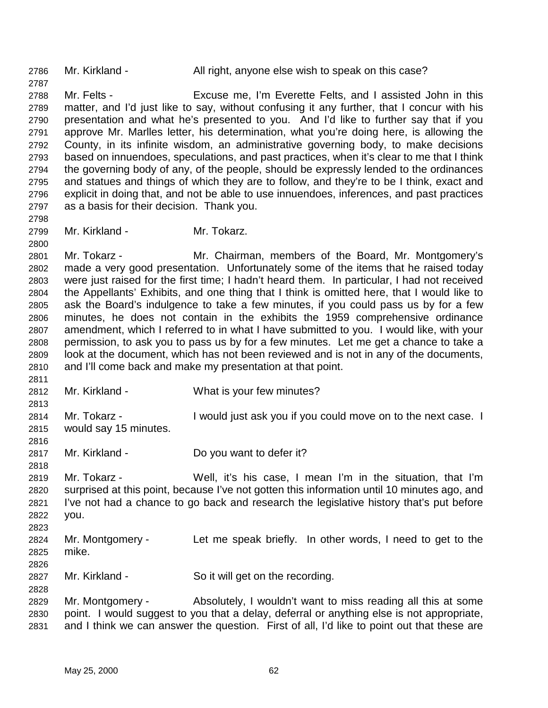2786 Mr. Kirkland - All right, anyone else wish to speak on this case?

2788 Mr. Felts - Excuse me, I'm Everette Felts, and I assisted John in this 2789 matter, and I'd just like to say, without confusing it any further, that I concur with his 2790 presentation and what he's presented to you. And I'd like to further say that if you 2791 approve Mr. Marlles letter, his determination, what you're doing here, is allowing the 2792 County, in its infinite wisdom, an administrative governing body, to make decisions 2793 based on innuendoes, speculations, and past practices, when it's clear to me that I think 2794 the governing body of any, of the people, should be expressly lended to the ordinances 2795 and statues and things of which they are to follow, and they're to be I think, exact and 2796 explicit in doing that, and not be able to use innuendoes, inferences, and past practices 2797 as a basis for their decision. Thank you.

2799 Mr. Kirkland - Mr. Tokarz.

2801 Mr. Tokarz - Mr. Chairman, members of the Board, Mr. Montgomery's 2802 made a very good presentation. Unfortunately some of the items that he raised today 2803 were just raised for the first time; I hadn't heard them. In particular, I had not received 2804 the Appellants' Exhibits, and one thing that I think is omitted here, that I would like to 2805 ask the Board's indulgence to take a few minutes, if you could pass us by for a few 2806 minutes, he does not contain in the exhibits the 1959 comprehensive ordinance 2807 amendment, which I referred to in what I have submitted to you. I would like, with your 2808 permission, to ask you to pass us by for a few minutes. Let me get a chance to take a 2809 look at the document, which has not been reviewed and is not in any of the documents, 2810 and I'll come back and make my presentation at that point.

- 2812 Mr. Kirkland What is your few minutes?
- 2813 2814 Mr. Tokarz - I would just ask you if you could move on to the next case. I 2815 would say 15 minutes.
- 2817 Mr. Kirkland Do you want to defer it?
- 2818

2826

2828

2816

2811

2787

2798

- 2819 Mr. Tokarz Well, it's his case, I mean I'm in the situation, that I'm 2820 surprised at this point, because I've not gotten this information until 10 minutes ago, and 2821 I've not had a chance to go back and research the legislative history that's put before 2822 you. 2823
- 2824 Mr. Montgomery Let me speak briefly. In other words, I need to get to the 2825 mike.
- 2827 Mr. Kirkland So it will get on the recording.
- 2829 Mr. Montgomery Absolutely, I wouldn't want to miss reading all this at some 2830 point. I would suggest to you that a delay, deferral or anything else is not appropriate, 2831 and I think we can answer the question. First of all, I'd like to point out that these are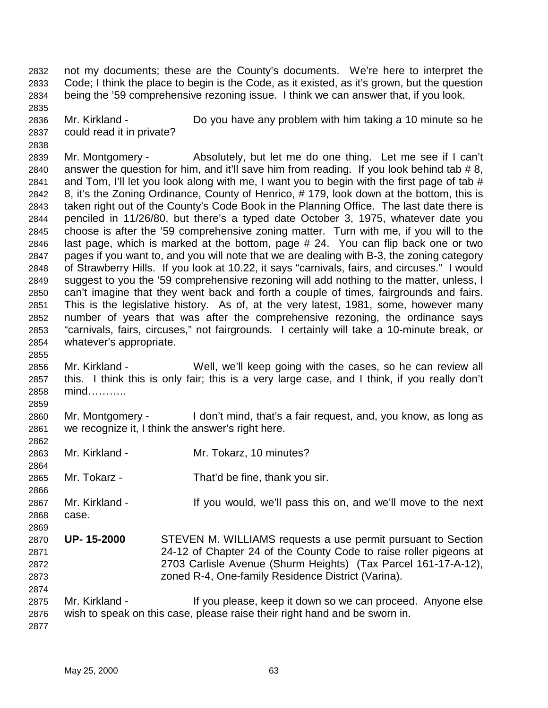2832 not my documents; these are the County's documents. We're here to interpret the 2833 Code; I think the place to begin is the Code, as it existed, as it's grown, but the question 2834 being the '59 comprehensive rezoning issue. I think we can answer that, if you look.

2836 Mr. Kirkland - Do you have any problem with him taking a 10 minute so he 2837 could read it in private?

2839 Mr. Montgomery - Absolutely, but let me do one thing. Let me see if I can't 2840 answer the question for him, and it'll save him from reading. If you look behind tab # 8, 2841 and Tom, I'll let you look along with me, I want you to begin with the first page of tab  $#$ 2842 8, it's the Zoning Ordinance, County of Henrico, # 179, look down at the bottom, this is 2843 taken right out of the County's Code Book in the Planning Office. The last date there is 2844 penciled in 11/26/80, but there's a typed date October 3, 1975, whatever date you 2845 choose is after the '59 comprehensive zoning matter. Turn with me, if you will to the 2846 last page, which is marked at the bottom, page # 24. You can flip back one or two 2847 pages if you want to, and you will note that we are dealing with B-3, the zoning category 2848 of Strawberry Hills. If you look at 10.22, it says "carnivals, fairs, and circuses." I would 2849 suggest to you the '59 comprehensive rezoning will add nothing to the matter, unless, I 2850 can't imagine that they went back and forth a couple of times, fairgrounds and fairs. 2851 This is the legislative history. As of, at the very latest, 1981, some, however many 2852 number of years that was after the comprehensive rezoning, the ordinance says 2853 "carnivals, fairs, circuses," not fairgrounds. I certainly will take a 10-minute break, or 2854 whatever's appropriate.

- 2856 Mr. Kirkland Well, we'll keep going with the cases, so he can review all 2857 this. I think this is only fair; this is a very large case, and I think, if you really don't 2858 mind………..
- 2860 Mr. Montgomery I don't mind, that's a fair request, and, you know, as long as 2861 we recognize it, I think the answer's right here.
- 2863 Mr. Kirkland Mr. Tokarz, 10 minutes?
- 2865 Mr. Tokarz That'd be fine, thank you sir.
- 2867 Mr. Kirkland If you would, we'll pass this on, and we'll move to the next 2868 case.
- 2870 **UP- 15-2000** STEVEN M. WILLIAMS requests a use permit pursuant to Section 2871 24-12 of Chapter 24 of the County Code to raise roller pigeons at 2872 2703 Carlisle Avenue (Shurm Heights) (Tax Parcel 161-17-A-12), 2873 zoned R-4, One-family Residence District (Varina).
- 2874 2875 Mr. Kirkland - If you please, keep it down so we can proceed. Anyone else 2876 wish to speak on this case, please raise their right hand and be sworn in. 2877

2835

2838

2855

2859

2862

2864

2866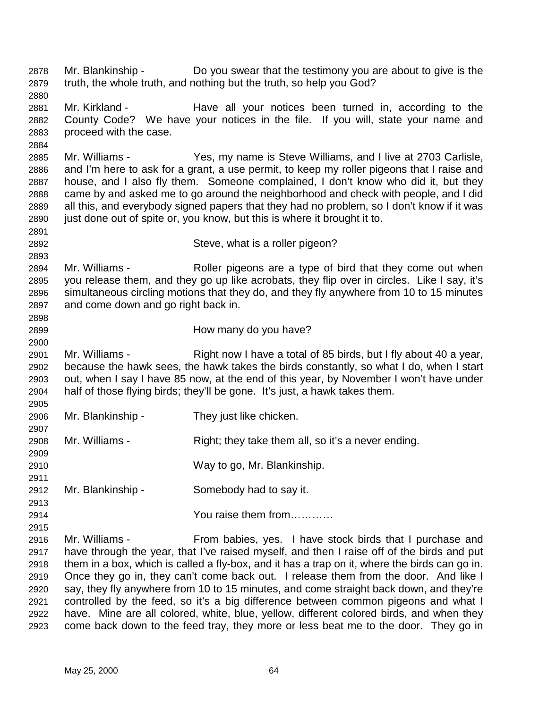2878 Mr. Blankinship - Do you swear that the testimony you are about to give is the 2879 truth, the whole truth, and nothing but the truth, so help you God?

2881 Mr. Kirkland - Have all your notices been turned in, according to the 2882 County Code? We have your notices in the file. If you will, state your name and 2883 proceed with the case.

2885 Mr. Williams - Yes, my name is Steve Williams, and I live at 2703 Carlisle, 2886 and I'm here to ask for a grant, a use permit, to keep my roller pigeons that I raise and 2887 house, and I also fly them. Someone complained, I don't know who did it, but they 2888 came by and asked me to go around the neighborhood and check with people, and I did 2889 all this, and everybody signed papers that they had no problem, so I don't know if it was 2890 just done out of spite or, you know, but this is where it brought it to.

2891

2893

2880

2884

2892 Steve, what is a roller pigeon?

2894 Mr. Williams - Roller pigeons are a type of bird that they come out when 2895 you release them, and they go up like acrobats, they flip over in circles. Like I say, it's 2896 simultaneous circling motions that they do, and they fly anywhere from 10 to 15 minutes 2897 and come down and go right back in.

2898 2900

2905

2907

2909

2911

2915

2899 How many do you have?

2901 Mr. Williams - Right now I have a total of 85 birds, but I fly about 40 a year, 2902 because the hawk sees, the hawk takes the birds constantly, so what I do, when I start 2903 out, when I say I have 85 now, at the end of this year, by November I won't have under 2904 half of those flying birds; they'll be gone. It's just, a hawk takes them.

2906 Mr. Blankinship - They just like chicken.

2908 Mr. Williams - Right; they take them all, so it's a never ending.

2910 Way to go, Mr. Blankinship.

2912 Mr. Blankinship - Somebody had to say it.

2913 2914 You raise them from…………

2916 Mr. Williams - From babies, yes. I have stock birds that I purchase and 2917 have through the year, that I've raised myself, and then I raise off of the birds and put 2918 them in a box, which is called a fly-box, and it has a trap on it, where the birds can go in. 2919 Once they go in, they can't come back out. I release them from the door. And like I 2920 say, they fly anywhere from 10 to 15 minutes, and come straight back down, and they're 2921 controlled by the feed, so it's a big difference between common pigeons and what I 2922 have. Mine are all colored, white, blue, yellow, different colored birds, and when they 2923 come back down to the feed tray, they more or less beat me to the door. They go in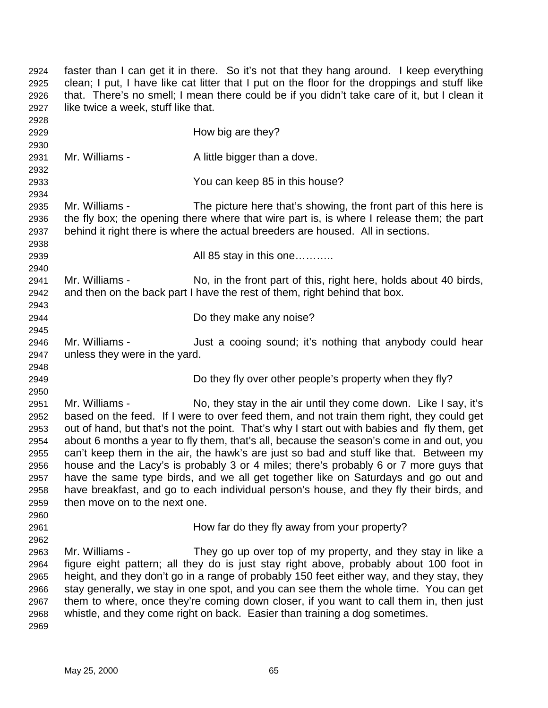| 2924<br>2925<br>2926<br>2927                                                 | faster than I can get it in there. So it's not that they hang around. I keep everything<br>clean; I put, I have like cat litter that I put on the floor for the droppings and stuff like<br>that. There's no smell; I mean there could be if you didn't take care of it, but I clean it<br>like twice a week, stuff like that.                                                                                                                                                                                                                                                                                                                                                                                                                                                |                                                                                                                                                                                                                                                                                                                                                                                                                                                                                                                      |  |
|------------------------------------------------------------------------------|-------------------------------------------------------------------------------------------------------------------------------------------------------------------------------------------------------------------------------------------------------------------------------------------------------------------------------------------------------------------------------------------------------------------------------------------------------------------------------------------------------------------------------------------------------------------------------------------------------------------------------------------------------------------------------------------------------------------------------------------------------------------------------|----------------------------------------------------------------------------------------------------------------------------------------------------------------------------------------------------------------------------------------------------------------------------------------------------------------------------------------------------------------------------------------------------------------------------------------------------------------------------------------------------------------------|--|
| 2928<br>2929<br>2930                                                         |                                                                                                                                                                                                                                                                                                                                                                                                                                                                                                                                                                                                                                                                                                                                                                               | How big are they?                                                                                                                                                                                                                                                                                                                                                                                                                                                                                                    |  |
| 2931<br>2932                                                                 | Mr. Williams -                                                                                                                                                                                                                                                                                                                                                                                                                                                                                                                                                                                                                                                                                                                                                                | A little bigger than a dove.                                                                                                                                                                                                                                                                                                                                                                                                                                                                                         |  |
| 2933<br>2934                                                                 |                                                                                                                                                                                                                                                                                                                                                                                                                                                                                                                                                                                                                                                                                                                                                                               | You can keep 85 in this house?                                                                                                                                                                                                                                                                                                                                                                                                                                                                                       |  |
| 2935<br>2936<br>2937<br>2938                                                 | Mr. Williams -<br>The picture here that's showing, the front part of this here is<br>the fly box; the opening there where that wire part is, is where I release them; the part<br>behind it right there is where the actual breeders are housed. All in sections.                                                                                                                                                                                                                                                                                                                                                                                                                                                                                                             |                                                                                                                                                                                                                                                                                                                                                                                                                                                                                                                      |  |
| 2939<br>2940                                                                 |                                                                                                                                                                                                                                                                                                                                                                                                                                                                                                                                                                                                                                                                                                                                                                               | All 85 stay in this one                                                                                                                                                                                                                                                                                                                                                                                                                                                                                              |  |
| 2941<br>2942<br>2943                                                         | Mr. Williams -                                                                                                                                                                                                                                                                                                                                                                                                                                                                                                                                                                                                                                                                                                                                                                | No, in the front part of this, right here, holds about 40 birds,<br>and then on the back part I have the rest of them, right behind that box.                                                                                                                                                                                                                                                                                                                                                                        |  |
| 2944<br>2945                                                                 |                                                                                                                                                                                                                                                                                                                                                                                                                                                                                                                                                                                                                                                                                                                                                                               | Do they make any noise?                                                                                                                                                                                                                                                                                                                                                                                                                                                                                              |  |
| 2946<br>2947<br>2948                                                         | Mr. Williams -<br>unless they were in the yard.                                                                                                                                                                                                                                                                                                                                                                                                                                                                                                                                                                                                                                                                                                                               | Just a cooing sound; it's nothing that anybody could hear                                                                                                                                                                                                                                                                                                                                                                                                                                                            |  |
| 2949<br>2950                                                                 |                                                                                                                                                                                                                                                                                                                                                                                                                                                                                                                                                                                                                                                                                                                                                                               | Do they fly over other people's property when they fly?                                                                                                                                                                                                                                                                                                                                                                                                                                                              |  |
| 2951<br>2952<br>2953<br>2954<br>2955<br>2956<br>2957<br>2958<br>2959<br>2960 | Mr. Williams -<br>No, they stay in the air until they come down. Like I say, it's<br>based on the feed. If I were to over feed them, and not train them right, they could get<br>out of hand, but that's not the point. That's why I start out with babies and fly them, get<br>about 6 months a year to fly them, that's all, because the season's come in and out, you<br>can't keep them in the air, the hawk's are just so bad and stuff like that. Between my<br>house and the Lacy's is probably 3 or 4 miles; there's probably 6 or 7 more guys that<br>have the same type birds, and we all get together like on Saturdays and go out and<br>have breakfast, and go to each individual person's house, and they fly their birds, and<br>then move on to the next one. |                                                                                                                                                                                                                                                                                                                                                                                                                                                                                                                      |  |
| 2961<br>2962                                                                 |                                                                                                                                                                                                                                                                                                                                                                                                                                                                                                                                                                                                                                                                                                                                                                               | How far do they fly away from your property?                                                                                                                                                                                                                                                                                                                                                                                                                                                                         |  |
| 2963<br>2964<br>2965<br>2966<br>2967<br>2968<br>2969                         | Mr. Williams -                                                                                                                                                                                                                                                                                                                                                                                                                                                                                                                                                                                                                                                                                                                                                                | They go up over top of my property, and they stay in like a<br>figure eight pattern; all they do is just stay right above, probably about 100 foot in<br>height, and they don't go in a range of probably 150 feet either way, and they stay, they<br>stay generally, we stay in one spot, and you can see them the whole time. You can get<br>them to where, once they're coming down closer, if you want to call them in, then just<br>whistle, and they come right on back. Easier than training a dog sometimes. |  |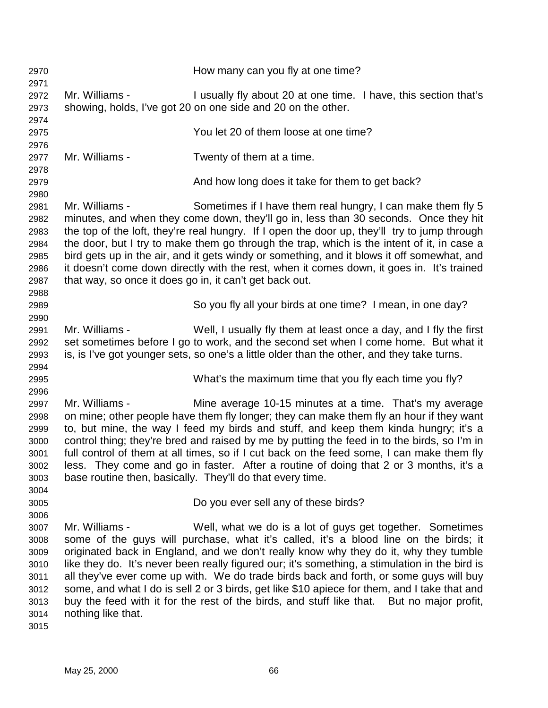| 2970<br>2971                                                                 |                                                                                                                                                                                                                                                                                                                                                                                                                                                                                                                                                                                                               | How many can you fly at one time?                                                                                                                                                                                                                                                                                                                                                                                                                                                                                                                                                                                                  |
|------------------------------------------------------------------------------|---------------------------------------------------------------------------------------------------------------------------------------------------------------------------------------------------------------------------------------------------------------------------------------------------------------------------------------------------------------------------------------------------------------------------------------------------------------------------------------------------------------------------------------------------------------------------------------------------------------|------------------------------------------------------------------------------------------------------------------------------------------------------------------------------------------------------------------------------------------------------------------------------------------------------------------------------------------------------------------------------------------------------------------------------------------------------------------------------------------------------------------------------------------------------------------------------------------------------------------------------------|
| 2972<br>2973<br>2974                                                         | Mr. Williams -                                                                                                                                                                                                                                                                                                                                                                                                                                                                                                                                                                                                | I usually fly about 20 at one time. I have, this section that's<br>showing, holds, I've got 20 on one side and 20 on the other.                                                                                                                                                                                                                                                                                                                                                                                                                                                                                                    |
| 2975<br>2976                                                                 |                                                                                                                                                                                                                                                                                                                                                                                                                                                                                                                                                                                                               | You let 20 of them loose at one time?                                                                                                                                                                                                                                                                                                                                                                                                                                                                                                                                                                                              |
| 2977<br>2978                                                                 | Mr. Williams -                                                                                                                                                                                                                                                                                                                                                                                                                                                                                                                                                                                                | Twenty of them at a time.                                                                                                                                                                                                                                                                                                                                                                                                                                                                                                                                                                                                          |
| 2979<br>2980                                                                 |                                                                                                                                                                                                                                                                                                                                                                                                                                                                                                                                                                                                               | And how long does it take for them to get back?                                                                                                                                                                                                                                                                                                                                                                                                                                                                                                                                                                                    |
| 2981<br>2982<br>2983<br>2984<br>2985<br>2986<br>2987<br>2988                 | Mr. Williams -<br>that way, so once it does go in, it can't get back out.                                                                                                                                                                                                                                                                                                                                                                                                                                                                                                                                     | Sometimes if I have them real hungry, I can make them fly 5<br>minutes, and when they come down, they'll go in, less than 30 seconds. Once they hit<br>the top of the loft, they're real hungry. If I open the door up, they'll try to jump through<br>the door, but I try to make them go through the trap, which is the intent of it, in case a<br>bird gets up in the air, and it gets windy or something, and it blows it off somewhat, and<br>it doesn't come down directly with the rest, when it comes down, it goes in. It's trained                                                                                       |
| 2989<br>2990                                                                 |                                                                                                                                                                                                                                                                                                                                                                                                                                                                                                                                                                                                               | So you fly all your birds at one time? I mean, in one day?                                                                                                                                                                                                                                                                                                                                                                                                                                                                                                                                                                         |
| 2991<br>2992<br>2993<br>2994                                                 | Mr. Williams -                                                                                                                                                                                                                                                                                                                                                                                                                                                                                                                                                                                                | Well, I usually fly them at least once a day, and I fly the first<br>set sometimes before I go to work, and the second set when I come home. But what it<br>is, is I've got younger sets, so one's a little older than the other, and they take turns.                                                                                                                                                                                                                                                                                                                                                                             |
| 2995<br>2996                                                                 |                                                                                                                                                                                                                                                                                                                                                                                                                                                                                                                                                                                                               | What's the maximum time that you fly each time you fly?                                                                                                                                                                                                                                                                                                                                                                                                                                                                                                                                                                            |
| 2997<br>2998<br>2999<br>3000<br>3001<br>3002<br>3003<br>3004                 | Mr. Williams -<br>Mine average 10-15 minutes at a time. That's my average<br>on mine; other people have them fly longer; they can make them fly an hour if they want<br>to, but mine, the way I feed my birds and stuff, and keep them kinda hungry; it's a<br>control thing; they're bred and raised by me by putting the feed in to the birds, so I'm in<br>full control of them at all times, so if I cut back on the feed some, I can make them fly<br>less. They come and go in faster. After a routine of doing that 2 or 3 months, it's a<br>base routine then, basically. They'll do that every time. |                                                                                                                                                                                                                                                                                                                                                                                                                                                                                                                                                                                                                                    |
| 3005                                                                         |                                                                                                                                                                                                                                                                                                                                                                                                                                                                                                                                                                                                               | Do you ever sell any of these birds?                                                                                                                                                                                                                                                                                                                                                                                                                                                                                                                                                                                               |
| 3006<br>3007<br>3008<br>3009<br>3010<br>3011<br>3012<br>3013<br>3014<br>3015 | Mr. Williams -<br>nothing like that.                                                                                                                                                                                                                                                                                                                                                                                                                                                                                                                                                                          | Well, what we do is a lot of guys get together. Sometimes<br>some of the guys will purchase, what it's called, it's a blood line on the birds; it<br>originated back in England, and we don't really know why they do it, why they tumble<br>like they do. It's never been really figured our; it's something, a stimulation in the bird is<br>all they've ever come up with. We do trade birds back and forth, or some guys will buy<br>some, and what I do is sell 2 or 3 birds, get like \$10 apiece for them, and I take that and<br>buy the feed with it for the rest of the birds, and stuff like that. But no major profit, |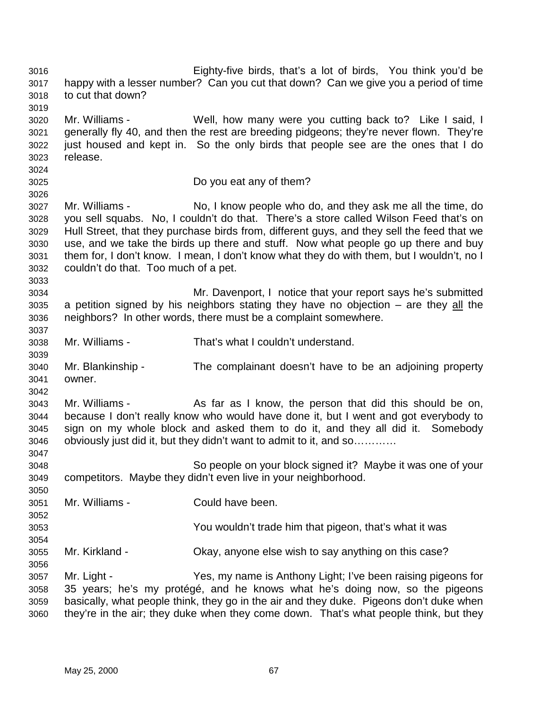3016 Eighty-five birds, that's a lot of birds, You think you'd be 3017 happy with a lesser number? Can you cut that down? Can we give you a period of time 3018 to cut that down? 3019 3020 Mr. Williams - Well, how many were you cutting back to? Like I said, I 3021 generally fly 40, and then the rest are breeding pidgeons; they're never flown. They're 3022 just housed and kept in. So the only birds that people see are the ones that I do 3023 release. 3024 3025 Do you eat any of them? 3026 3027 Mr. Williams - No, I know people who do, and they ask me all the time, do 3028 you sell squabs. No, I couldn't do that. There's a store called Wilson Feed that's on 3029 Hull Street, that they purchase birds from, different guys, and they sell the feed that we 3030 use, and we take the birds up there and stuff. Now what people go up there and buy 3031 them for, I don't know. I mean, I don't know what they do with them, but I wouldn't, no I 3032 couldn't do that. Too much of a pet. 3033 3034 Mr. Davenport, I notice that your report says he's submitted  $3035$  a petition signed by his neighbors stating they have no objection – are they all the 3036 neighbors? In other words, there must be a complaint somewhere. 3037 3038 Mr. Williams - That's what I couldn't understand. 3039 3040 Mr. Blankinship - The complainant doesn't have to be an adjoining property 3041 owner. 3042 3043 Mr. Williams - As far as I know, the person that did this should be on, 3044 because I don't really know who would have done it, but I went and got everybody to 3045 sign on my whole block and asked them to do it, and they all did it. Somebody 3046 obviously just did it, but they didn't want to admit to it, and so………… 3047 3048 So people on your block signed it? Maybe it was one of your 3049 competitors. Maybe they didn't even live in your neighborhood. 3050 3051 Mr. Williams - Could have been. 3052 3053 You wouldn't trade him that pigeon, that's what it was 3054 3055 Mr. Kirkland - Okay, anyone else wish to say anything on this case? 3056 3057 Mr. Light - Yes, my name is Anthony Light; I've been raising pigeons for 3058 35 years; he's my protégé, and he knows what he's doing now, so the pigeons 3059 basically, what people think, they go in the air and they duke. Pigeons don't duke when 3060 they're in the air; they duke when they come down. That's what people think, but they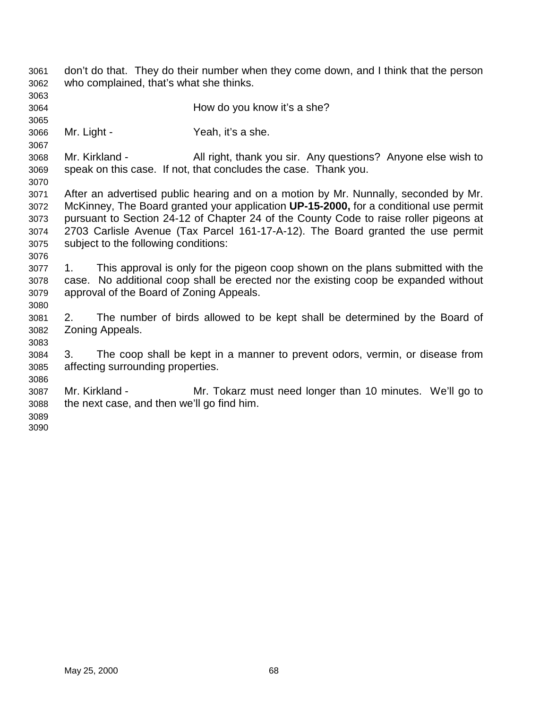| 3061                                 | don't do that. They do their number when they come down, and I think that the person                                                                                                                                          |  |  |
|--------------------------------------|-------------------------------------------------------------------------------------------------------------------------------------------------------------------------------------------------------------------------------|--|--|
| 3062                                 | who complained, that's what she thinks.                                                                                                                                                                                       |  |  |
| 3063<br>3064<br>3065                 | How do you know it's a she?                                                                                                                                                                                                   |  |  |
| 3066                                 | Mr. Light -                                                                                                                                                                                                                   |  |  |
| 3067                                 | Yeah, it's a she.                                                                                                                                                                                                             |  |  |
| 3068                                 | Mr. Kirkland -                                                                                                                                                                                                                |  |  |
| 3069                                 | All right, thank you sir. Any questions? Anyone else wish to                                                                                                                                                                  |  |  |
| 3070                                 | speak on this case. If not, that concludes the case. Thank you.                                                                                                                                                               |  |  |
| 3071                                 | After an advertised public hearing and on a motion by Mr. Nunnally, seconded by Mr.                                                                                                                                           |  |  |
| 3072                                 | McKinney, The Board granted your application UP-15-2000, for a conditional use permit                                                                                                                                         |  |  |
| 3073                                 | pursuant to Section 24-12 of Chapter 24 of the County Code to raise roller pigeons at                                                                                                                                         |  |  |
| 3074                                 | 2703 Carlisle Avenue (Tax Parcel 161-17-A-12). The Board granted the use permit                                                                                                                                               |  |  |
| 3075                                 | subject to the following conditions:                                                                                                                                                                                          |  |  |
| 3076<br>3077<br>3078<br>3079<br>3080 | This approval is only for the pigeon coop shown on the plans submitted with the<br>$1_{-}$<br>case. No additional coop shall be erected nor the existing coop be expanded without<br>approval of the Board of Zoning Appeals. |  |  |
| 3081                                 | 2.                                                                                                                                                                                                                            |  |  |
| 3082                                 | The number of birds allowed to be kept shall be determined by the Board of                                                                                                                                                    |  |  |
| 3083                                 | Zoning Appeals.                                                                                                                                                                                                               |  |  |
| 3084                                 | 3.                                                                                                                                                                                                                            |  |  |
| 3085                                 | The coop shall be kept in a manner to prevent odors, vermin, or disease from                                                                                                                                                  |  |  |
| 3086                                 | affecting surrounding properties.                                                                                                                                                                                             |  |  |
| 3087<br>3088<br>3089<br>3090         | Mr. Kirkland -<br>Mr. Tokarz must need longer than 10 minutes. We'll go to<br>the next case, and then we'll go find him.                                                                                                      |  |  |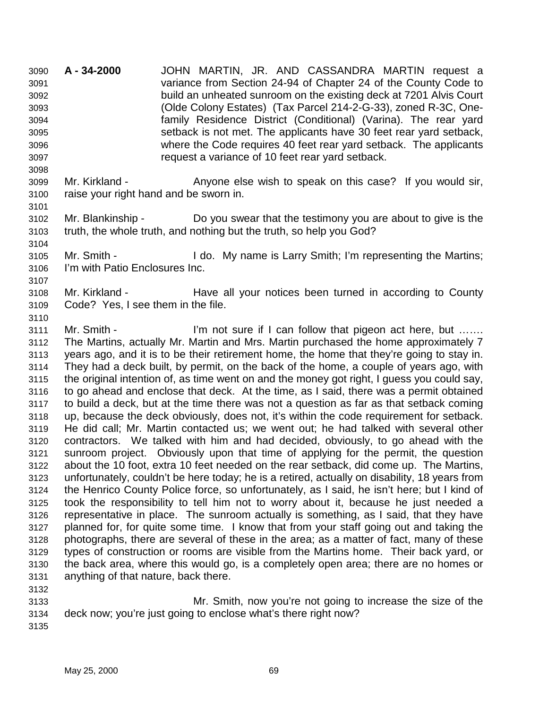3090 **A - 34-2000** JOHN MARTIN, JR. AND CASSANDRA MARTIN request a 3091 variance from Section 24-94 of Chapter 24 of the County Code to 3092 build an unheated sunroom on the existing deck at 7201 Alvis Court 3093 (Olde Colony Estates) (Tax Parcel 214-2-G-33), zoned R-3C, One-3094 family Residence District (Conditional) (Varina). The rear yard 3095 setback is not met. The applicants have 30 feet rear yard setback, 3096 where the Code requires 40 feet rear yard setback. The applicants 3097 request a variance of 10 feet rear yard setback.

3099 Mr. Kirkland - Anyone else wish to speak on this case? If you would sir, 3100 raise your right hand and be sworn in.

3102 Mr. Blankinship - Do you swear that the testimony you are about to give is the 3103 truth, the whole truth, and nothing but the truth, so help you God? 3104

3105 Mr. Smith - I do. My name is Larry Smith; I'm representing the Martins; 3106 I'm with Patio Enclosures Inc.

3108 Mr. Kirkland - Have all your notices been turned in according to County 3109 Code? Yes, I see them in the file.

3111 Mr. Smith - I'm not sure if I can follow that pigeon act here, but ...... 3112 The Martins, actually Mr. Martin and Mrs. Martin purchased the home approximately 7 3113 years ago, and it is to be their retirement home, the home that they're going to stay in. 3114 They had a deck built, by permit, on the back of the home, a couple of years ago, with 3115 the original intention of, as time went on and the money got right, I guess you could say, 3116 to go ahead and enclose that deck. At the time, as I said, there was a permit obtained 3117 to build a deck, but at the time there was not a question as far as that setback coming 3118 up, because the deck obviously, does not, it's within the code requirement for setback. 3119 He did call; Mr. Martin contacted us; we went out; he had talked with several other 3120 contractors. We talked with him and had decided, obviously, to go ahead with the 3121 sunroom project. Obviously upon that time of applying for the permit, the question 3122 about the 10 foot, extra 10 feet needed on the rear setback, did come up. The Martins, 3123 unfortunately, couldn't be here today; he is a retired, actually on disability, 18 years from 3124 the Henrico County Police force, so unfortunately, as I said, he isn't here; but I kind of 3125 took the responsibility to tell him not to worry about it, because he just needed a 3126 representative in place. The sunroom actually is something, as I said, that they have 3127 planned for, for quite some time. I know that from your staff going out and taking the 3128 photographs, there are several of these in the area; as a matter of fact, many of these 3129 types of construction or rooms are visible from the Martins home. Their back yard, or 3130 the back area, where this would go, is a completely open area; there are no homes or 3131 anything of that nature, back there.

3133 Mr. Smith, now you're not going to increase the size of the 3134 deck now; you're just going to enclose what's there right now?

3135

3132

3098

3101

3107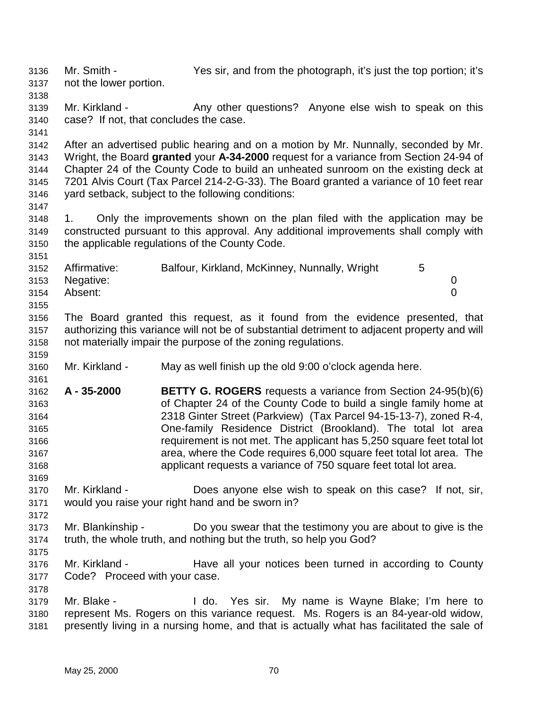3136 Mr. Smith - Yes sir, and from the photograph, it's just the top portion; it's 3137 not the lower portion. 3138 3139 Mr. Kirkland - Any other questions? Anyone else wish to speak on this 3140 case? If not, that concludes the case. 3141 3142 After an advertised public hearing and on a motion by Mr. Nunnally, seconded by Mr. 3143 Wright, the Board **granted** your **A-34-2000** request for a variance from Section 24-94 of 3144 Chapter 24 of the County Code to build an unheated sunroom on the existing deck at 3145 7201 Alvis Court (Tax Parcel 214-2-G-33). The Board granted a variance of 10 feet rear 3146 yard setback, subject to the following conditions: 3147 3148 1. Only the improvements shown on the plan filed with the application may be 3149 constructed pursuant to this approval. Any additional improvements shall comply with 3150 the applicable regulations of the County Code. 3151 3152 Affirmative: Balfour, Kirkland, McKinney, Nunnally, Wright 5 3153 Negative: 0 3154 Absent: 0 3155 3156 The Board granted this request, as it found from the evidence presented, that 3157 authorizing this variance will not be of substantial detriment to adjacent property and will 3158 not materially impair the purpose of the zoning regulations. 3159 3160 Mr. Kirkland - May as well finish up the old 9:00 o'clock agenda here. 3161 3162 **A - 35-2000 BETTY G. ROGERS** requests a variance from Section 24-95(b)(6) 3163 of Chapter 24 of the County Code to build a single family home at 3164 2318 Ginter Street (Parkview) (Tax Parcel 94-15-13-7), zoned R-4, 3165 One-family Residence District (Brookland). The total lot area 3166 requirement is not met. The applicant has 5,250 square feet total lot 3167 area, where the Code requires 6,000 square feet total lot area. The 3168 applicant requests a variance of 750 square feet total lot area. 3169 3170 Mr. Kirkland - Does anyone else wish to speak on this case? If not, sir, 3171 would you raise your right hand and be sworn in? 3172 3173 Mr. Blankinship - Do you swear that the testimony you are about to give is the 3174 truth, the whole truth, and nothing but the truth, so help you God? 3175 3176 Mr. Kirkland - Have all your notices been turned in according to County 3177 Code? Proceed with your case. 3178 3179 Mr. Blake - I do. Yes sir. My name is Wayne Blake; I'm here to 3180 represent Ms. Rogers on this variance request. Ms. Rogers is an 84-year-old widow, 3181 presently living in a nursing home, and that is actually what has facilitated the sale of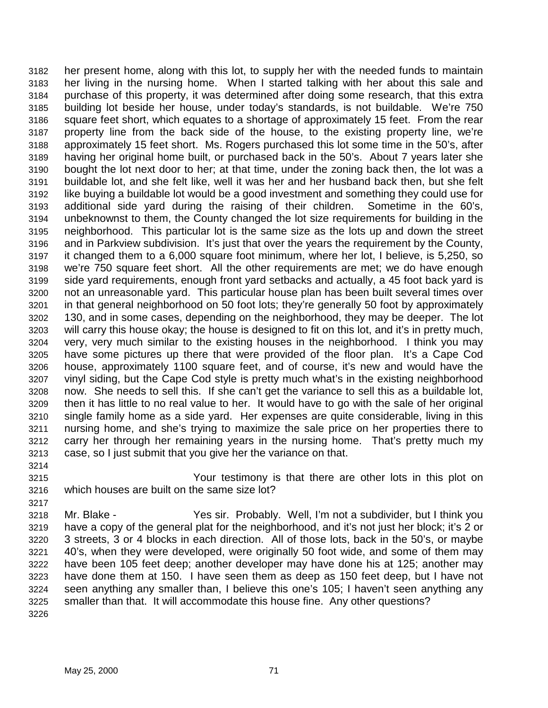3182 her present home, along with this lot, to supply her with the needed funds to maintain 3183 her living in the nursing home. When I started talking with her about this sale and 3184 purchase of this property, it was determined after doing some research, that this extra 3185 building lot beside her house, under today's standards, is not buildable. We're 750 3186 square feet short, which equates to a shortage of approximately 15 feet. From the rear 3187 property line from the back side of the house, to the existing property line, we're 3188 approximately 15 feet short. Ms. Rogers purchased this lot some time in the 50's, after 3189 having her original home built, or purchased back in the 50's. About 7 years later she 3190 bought the lot next door to her; at that time, under the zoning back then, the lot was a 3191 buildable lot, and she felt like, well it was her and her husband back then, but she felt 3192 like buying a buildable lot would be a good investment and something they could use for 3193 additional side yard during the raising of their children. Sometime in the 60's, 3194 unbeknownst to them, the County changed the lot size requirements for building in the 3195 neighborhood. This particular lot is the same size as the lots up and down the street 3196 and in Parkview subdivision. It's just that over the years the requirement by the County, 3197 it changed them to a 6,000 square foot minimum, where her lot, I believe, is 5,250, so 3198 we're 750 square feet short. All the other requirements are met; we do have enough 3199 side yard requirements, enough front yard setbacks and actually, a 45 foot back yard is 3200 not an unreasonable yard. This particular house plan has been built several times over 3201 in that general neighborhood on 50 foot lots; they're generally 50 foot by approximately 3202 130, and in some cases, depending on the neighborhood, they may be deeper. The lot 3203 will carry this house okay; the house is designed to fit on this lot, and it's in pretty much, 3204 very, very much similar to the existing houses in the neighborhood. I think you may 3205 have some pictures up there that were provided of the floor plan. It's a Cape Cod 3206 house, approximately 1100 square feet, and of course, it's new and would have the 3207 vinyl siding, but the Cape Cod style is pretty much what's in the existing neighborhood 3208 now. She needs to sell this. If she can't get the variance to sell this as a buildable lot, 3209 then it has little to no real value to her. It would have to go with the sale of her original 3210 single family home as a side yard. Her expenses are quite considerable, living in this 3211 nursing home, and she's trying to maximize the sale price on her properties there to 3212 carry her through her remaining years in the nursing home. That's pretty much my 3213 case, so I just submit that you give her the variance on that.

3214

- 3215 Your testimony is that there are other lots in this plot on 3216 which houses are built on the same size lot?
- 3218 Mr. Blake Yes sir. Probably. Well, I'm not a subdivider, but I think you 3219 have a copy of the general plat for the neighborhood, and it's not just her block; it's 2 or 3220 3 streets, 3 or 4 blocks in each direction. All of those lots, back in the 50's, or maybe 3221 40's, when they were developed, were originally 50 foot wide, and some of them may 3222 have been 105 feet deep; another developer may have done his at 125; another may 3223 have done them at 150. I have seen them as deep as 150 feet deep, but I have not 3224 seen anything any smaller than, I believe this one's 105; I haven't seen anything any 3225 smaller than that. It will accommodate this house fine. Any other questions? 3226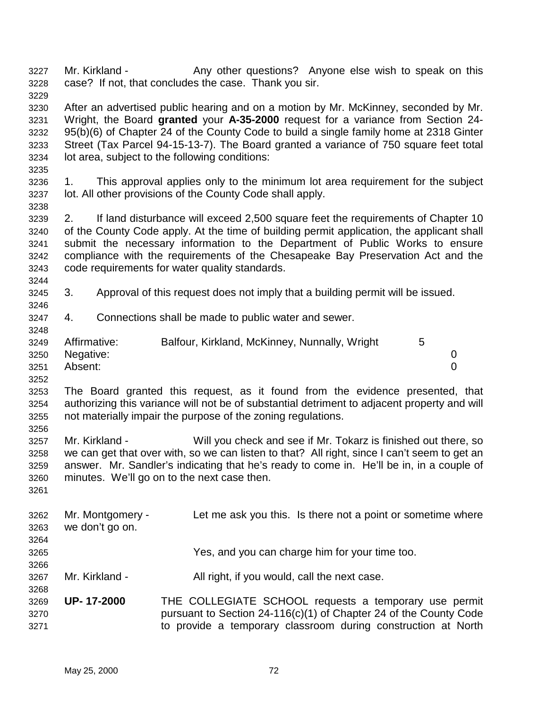3227 Mr. Kirkland - Any other questions? Anyone else wish to speak on this 3228 case? If not, that concludes the case. Thank you sir. 3229 3230 After an advertised public hearing and on a motion by Mr. McKinney, seconded by Mr. 3231 Wright, the Board **granted** your **A-35-2000** request for a variance from Section 24- 3232 95(b)(6) of Chapter 24 of the County Code to build a single family home at 2318 Ginter 3233 Street (Tax Parcel 94-15-13-7). The Board granted a variance of 750 square feet total 3234 lot area, subject to the following conditions: 3235 3236 1. This approval applies only to the minimum lot area requirement for the subject 3237 lot. All other provisions of the County Code shall apply. 3238 3239 2. If land disturbance will exceed 2,500 square feet the requirements of Chapter 10 3240 of the County Code apply. At the time of building permit application, the applicant shall 3241 submit the necessary information to the Department of Public Works to ensure 3242 compliance with the requirements of the Chesapeake Bay Preservation Act and the 3243 code requirements for water quality standards. 3244 3245 3. Approval of this request does not imply that a building permit will be issued. 3246 3247 4. Connections shall be made to public water and sewer. 3248 3249 Affirmative: Balfour, Kirkland, McKinney, Nunnally, Wright 5 3250 Negative: 0 3251 Absent: 0 3252 3253 The Board granted this request, as it found from the evidence presented, that 3254 authorizing this variance will not be of substantial detriment to adjacent property and will 3255 not materially impair the purpose of the zoning regulations. 3256 3257 Mr. Kirkland - Will you check and see if Mr. Tokarz is finished out there, so 3258 we can get that over with, so we can listen to that? All right, since I can't seem to get an 3259 answer. Mr. Sandler's indicating that he's ready to come in. He'll be in, in a couple of 3260 minutes. We'll go on to the next case then. 3261 3262 Mr. Montgomery - Let me ask you this. Is there not a point or sometime where 3263 we don't go on. 3264 3265 Yes, and you can charge him for your time too. 3266 3267 Mr. Kirkland - All right, if you would, call the next case. 3268 3269 **UP- 17-2000** THE COLLEGIATE SCHOOL requests a temporary use permit 3270 pursuant to Section 24-116(c)(1) of Chapter 24 of the County Code 3271 to provide a temporary classroom during construction at North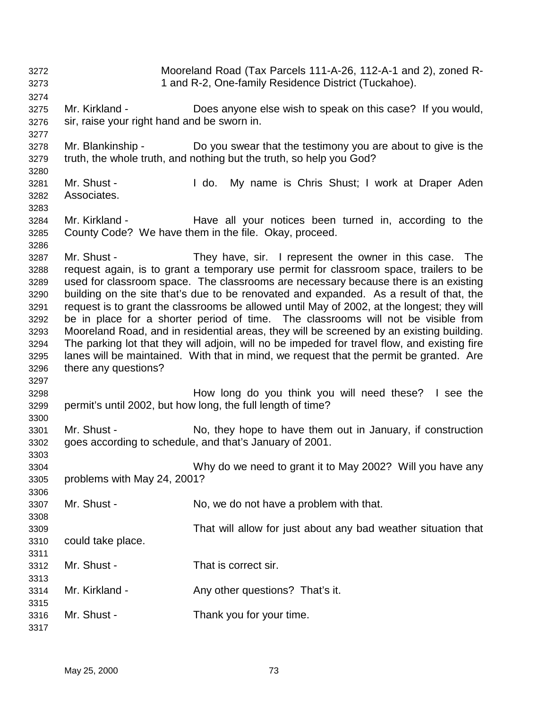| 3272<br>3273                                                                                 | Mooreland Road (Tax Parcels 111-A-26, 112-A-1 and 2), zoned R-<br>1 and R-2, One-family Residence District (Tuckahoe).                                                                                                                                                                                                                                                                                                                                                                                                                                                                                                                                                                                                                                                                                                                             |                                                                                                                                     |
|----------------------------------------------------------------------------------------------|----------------------------------------------------------------------------------------------------------------------------------------------------------------------------------------------------------------------------------------------------------------------------------------------------------------------------------------------------------------------------------------------------------------------------------------------------------------------------------------------------------------------------------------------------------------------------------------------------------------------------------------------------------------------------------------------------------------------------------------------------------------------------------------------------------------------------------------------------|-------------------------------------------------------------------------------------------------------------------------------------|
| 3274<br>3275<br>3276<br>3277                                                                 | Mr. Kirkland -<br>sir, raise your right hand and be sworn in.                                                                                                                                                                                                                                                                                                                                                                                                                                                                                                                                                                                                                                                                                                                                                                                      | Does anyone else wish to speak on this case? If you would,                                                                          |
| 3278<br>3279<br>3280                                                                         | Mr. Blankinship -                                                                                                                                                                                                                                                                                                                                                                                                                                                                                                                                                                                                                                                                                                                                                                                                                                  | Do you swear that the testimony you are about to give is the<br>truth, the whole truth, and nothing but the truth, so help you God? |
| 3281<br>3282                                                                                 | Mr. Shust -<br>Associates.                                                                                                                                                                                                                                                                                                                                                                                                                                                                                                                                                                                                                                                                                                                                                                                                                         | $\mathsf I$ do.<br>My name is Chris Shust; I work at Draper Aden                                                                    |
| 3283<br>3284<br>3285                                                                         | Mr. Kirkland -                                                                                                                                                                                                                                                                                                                                                                                                                                                                                                                                                                                                                                                                                                                                                                                                                                     | Have all your notices been turned in, according to the<br>County Code? We have them in the file. Okay, proceed.                     |
| 3286<br>3287<br>3288<br>3289<br>3290<br>3291<br>3292<br>3293<br>3294<br>3295<br>3296<br>3297 | Mr. Shust -<br>They have, sir. I represent the owner in this case. The<br>request again, is to grant a temporary use permit for classroom space, trailers to be<br>used for classroom space. The classrooms are necessary because there is an existing<br>building on the site that's due to be renovated and expanded. As a result of that, the<br>request is to grant the classrooms be allowed until May of 2002, at the longest; they will<br>be in place for a shorter period of time. The classrooms will not be visible from<br>Mooreland Road, and in residential areas, they will be screened by an existing building.<br>The parking lot that they will adjoin, will no be impeded for travel flow, and existing fire<br>lanes will be maintained. With that in mind, we request that the permit be granted. Are<br>there any questions? |                                                                                                                                     |
| 3298<br>3299                                                                                 |                                                                                                                                                                                                                                                                                                                                                                                                                                                                                                                                                                                                                                                                                                                                                                                                                                                    | How long do you think you will need these? I see the<br>permit's until 2002, but how long, the full length of time?                 |
| 3300<br>3301<br>3302                                                                         | Mr. Shust -                                                                                                                                                                                                                                                                                                                                                                                                                                                                                                                                                                                                                                                                                                                                                                                                                                        | No, they hope to have them out in January, if construction<br>goes according to schedule, and that's January of 2001.               |
| 3303<br>3304<br>3305                                                                         | Why do we need to grant it to May 2002? Will you have any<br>problems with May 24, 2001?                                                                                                                                                                                                                                                                                                                                                                                                                                                                                                                                                                                                                                                                                                                                                           |                                                                                                                                     |
| 3306<br>3307<br>3308                                                                         | Mr. Shust -                                                                                                                                                                                                                                                                                                                                                                                                                                                                                                                                                                                                                                                                                                                                                                                                                                        | No, we do not have a problem with that.                                                                                             |
| 3309<br>3310<br>3311                                                                         | could take place.                                                                                                                                                                                                                                                                                                                                                                                                                                                                                                                                                                                                                                                                                                                                                                                                                                  | That will allow for just about any bad weather situation that                                                                       |
| 3312<br>3313                                                                                 | Mr. Shust -                                                                                                                                                                                                                                                                                                                                                                                                                                                                                                                                                                                                                                                                                                                                                                                                                                        | That is correct sir.                                                                                                                |
| 3314<br>3315                                                                                 | Mr. Kirkland -                                                                                                                                                                                                                                                                                                                                                                                                                                                                                                                                                                                                                                                                                                                                                                                                                                     | Any other questions? That's it.                                                                                                     |
| 3316<br>3317                                                                                 | Mr. Shust -                                                                                                                                                                                                                                                                                                                                                                                                                                                                                                                                                                                                                                                                                                                                                                                                                                        | Thank you for your time.                                                                                                            |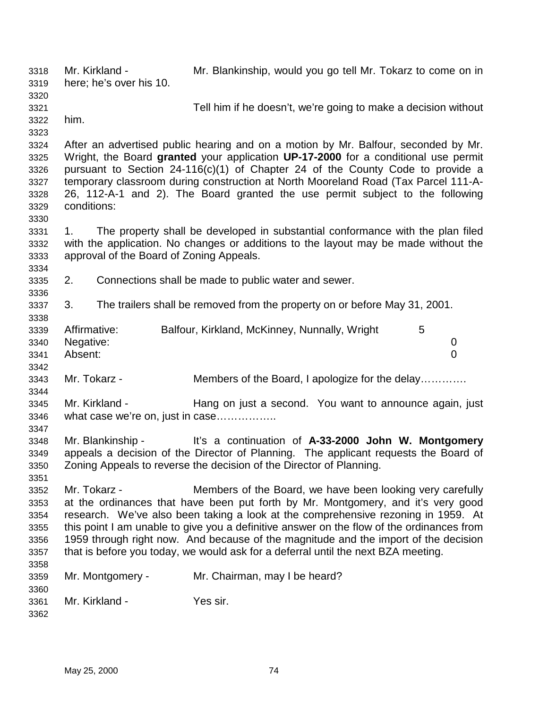3318 Mr. Kirkland - Mr. Blankinship, would you go tell Mr. Tokarz to come on in 3319 here; he's over his 10. 3320 3321 Tell him if he doesn't, we're going to make a decision without 3322 him. 3323 3324 After an advertised public hearing and on a motion by Mr. Balfour, seconded by Mr. 3325 Wright, the Board **granted** your application **UP-17-2000** for a conditional use permit 3326 pursuant to Section 24-116(c)(1) of Chapter 24 of the County Code to provide a 3327 temporary classroom during construction at North Mooreland Road (Tax Parcel 111-A-3328 26, 112-A-1 and 2). The Board granted the use permit subject to the following 3329 conditions: 3330 3331 1. The property shall be developed in substantial conformance with the plan filed 3332 with the application. No changes or additions to the layout may be made without the 3333 approval of the Board of Zoning Appeals. 3334 3335 2. Connections shall be made to public water and sewer. 3336 3337 3. The trailers shall be removed from the property on or before May 31, 2001. 3338 3339 Affirmative: Balfour, Kirkland, McKinney, Nunnally, Wright 5 3340 Negative: 0 3341 Absent: 0 3342 3343 Mr. Tokarz - Members of the Board, I apologize for the delay…………. 3344 3345 Mr. Kirkland - Hang on just a second. You want to announce again, just 3346 what case we're on, just in case…………….. 3347 3348 Mr. Blankinship - It's a continuation of **A-33-2000 John W. Montgomery** 3349 appeals a decision of the Director of Planning. The applicant requests the Board of 3350 Zoning Appeals to reverse the decision of the Director of Planning. 3351 3352 Mr. Tokarz - Members of the Board, we have been looking very carefully 3353 at the ordinances that have been put forth by Mr. Montgomery, and it's very good 3354 research. We've also been taking a look at the comprehensive rezoning in 1959. At 3355 this point I am unable to give you a definitive answer on the flow of the ordinances from 3356 1959 through right now. And because of the magnitude and the import of the decision 3357 that is before you today, we would ask for a deferral until the next BZA meeting. 3358 3359 Mr. Montgomery - Mr. Chairman, may I be heard? 3360 3361 Mr. Kirkland - Yes sir. 3362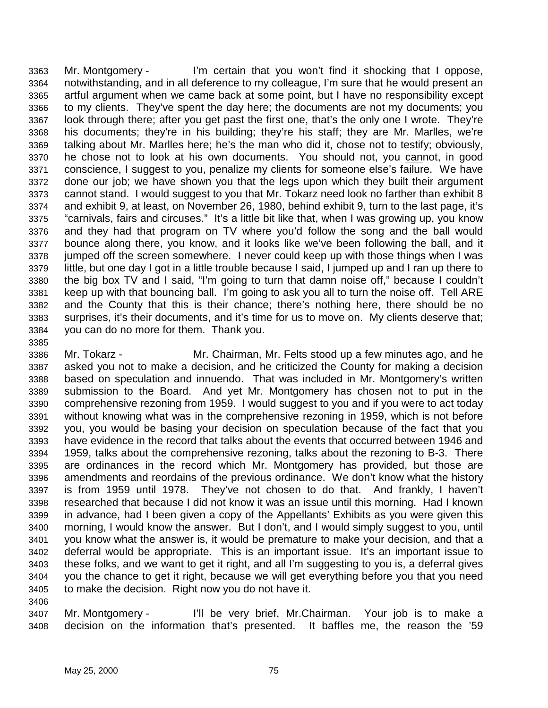3363 Mr. Montgomery - I'm certain that you won't find it shocking that I oppose, 3364 notwithstanding, and in all deference to my colleague, I'm sure that he would present an 3365 artful argument when we came back at some point, but I have no responsibility except 3366 to my clients. They've spent the day here; the documents are not my documents; you 3367 look through there; after you get past the first one, that's the only one I wrote. They're 3368 his documents; they're in his building; they're his staff; they are Mr. Marlles, we're 3369 talking about Mr. Marlles here; he's the man who did it, chose not to testify; obviously, 3370 he chose not to look at his own documents. You should not, you cannot, in good 3371 conscience, I suggest to you, penalize my clients for someone else's failure. We have 3372 done our job; we have shown you that the legs upon which they built their argument 3373 cannot stand. I would suggest to you that Mr. Tokarz need look no farther than exhibit 8 3374 and exhibit 9, at least, on November 26, 1980, behind exhibit 9, turn to the last page, it's 3375 "carnivals, fairs and circuses." It's a little bit like that, when I was growing up, you know 3376 and they had that program on TV where you'd follow the song and the ball would 3377 bounce along there, you know, and it looks like we've been following the ball, and it 3378 jumped off the screen somewhere. I never could keep up with those things when I was 3379 little, but one day I got in a little trouble because I said, I jumped up and I ran up there to 3380 the big box TV and I said, "I'm going to turn that damn noise off," because I couldn't 3381 keep up with that bouncing ball. I'm going to ask you all to turn the noise off. Tell ARE 3382 and the County that this is their chance; there's nothing here, there should be no 3383 surprises, it's their documents, and it's time for us to move on. My clients deserve that; 3384 you can do no more for them. Thank you.

3386 Mr. Tokarz - Mr. Chairman, Mr. Felts stood up a few minutes ago, and he 3387 asked you not to make a decision, and he criticized the County for making a decision 3388 based on speculation and innuendo. That was included in Mr. Montgomery's written 3389 submission to the Board. And yet Mr. Montgomery has chosen not to put in the 3390 comprehensive rezoning from 1959. I would suggest to you and if you were to act today 3391 without knowing what was in the comprehensive rezoning in 1959, which is not before 3392 you, you would be basing your decision on speculation because of the fact that you 3393 have evidence in the record that talks about the events that occurred between 1946 and 3394 1959, talks about the comprehensive rezoning, talks about the rezoning to B-3. There 3395 are ordinances in the record which Mr. Montgomery has provided, but those are 3396 amendments and reordains of the previous ordinance. We don't know what the history 3397 is from 1959 until 1978. They've not chosen to do that. And frankly, I haven't 3398 researched that because I did not know it was an issue until this morning. Had I known 3399 in advance, had I been given a copy of the Appellants' Exhibits as you were given this 3400 morning, I would know the answer. But I don't, and I would simply suggest to you, until 3401 you know what the answer is, it would be premature to make your decision, and that a 3402 deferral would be appropriate. This is an important issue. It's an important issue to 3403 these folks, and we want to get it right, and all I'm suggesting to you is, a deferral gives 3404 you the chance to get it right, because we will get everything before you that you need 3405 to make the decision. Right now you do not have it. 3406

3407 Mr. Montgomery - I'll be very brief, Mr.Chairman. Your job is to make a 3408 decision on the information that's presented. It baffles me, the reason the '59

3385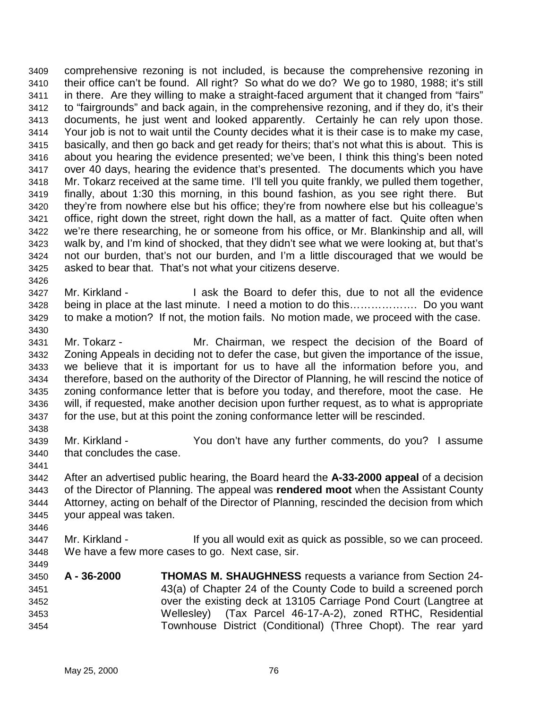3409 comprehensive rezoning is not included, is because the comprehensive rezoning in 3410 their office can't be found. All right? So what do we do? We go to 1980, 1988; it's still 3411 in there. Are they willing to make a straight-faced argument that it changed from "fairs" 3412 to "fairgrounds" and back again, in the comprehensive rezoning, and if they do, it's their 3413 documents, he just went and looked apparently. Certainly he can rely upon those. 3414 Your job is not to wait until the County decides what it is their case is to make my case, 3415 basically, and then go back and get ready for theirs; that's not what this is about. This is 3416 about you hearing the evidence presented; we've been, I think this thing's been noted 3417 over 40 days, hearing the evidence that's presented. The documents which you have 3418 Mr. Tokarz received at the same time. I'll tell you quite frankly, we pulled them together, 3419 finally, about 1:30 this morning, in this bound fashion, as you see right there. But 3420 they're from nowhere else but his office; they're from nowhere else but his colleague's 3421 office, right down the street, right down the hall, as a matter of fact. Quite often when 3422 we're there researching, he or someone from his office, or Mr. Blankinship and all, will 3423 walk by, and I'm kind of shocked, that they didn't see what we were looking at, but that's 3424 not our burden, that's not our burden, and I'm a little discouraged that we would be 3425 asked to bear that. That's not what your citizens deserve.

- 3427 Mr. Kirkland I ask the Board to defer this, due to not all the evidence 3428 being in place at the last minute. I need a motion to do this………………. Do you want 3429 to make a motion? If not, the motion fails. No motion made, we proceed with the case. 3430
- 3431 Mr. Tokarz Mr. Chairman, we respect the decision of the Board of 3432 Zoning Appeals in deciding not to defer the case, but given the importance of the issue, 3433 we believe that it is important for us to have all the information before you, and 3434 therefore, based on the authority of the Director of Planning, he will rescind the notice of 3435 zoning conformance letter that is before you today, and therefore, moot the case. He 3436 will, if requested, make another decision upon further request, as to what is appropriate 3437 for the use, but at this point the zoning conformance letter will be rescinded.
- 3439 Mr. Kirkland You don't have any further comments, do you? I assume 3440 that concludes the case.
- 3441

3446

3449

3438

3426

- 3442 After an advertised public hearing, the Board heard the **A-33-2000 appeal** of a decision 3443 of the Director of Planning. The appeal was **rendered moot** when the Assistant County 3444 Attorney, acting on behalf of the Director of Planning, rescinded the decision from which 3445 your appeal was taken.
- 3447 Mr. Kirkland If you all would exit as quick as possible, so we can proceed. 3448 We have a few more cases to go. Next case, sir.
- 3450 **A 36-2000 THOMAS M. SHAUGHNESS** requests a variance from Section 24- 3451 43(a) of Chapter 24 of the County Code to build a screened porch 3452 over the existing deck at 13105 Carriage Pond Court (Langtree at 3453 Wellesley) (Tax Parcel 46-17-A-2), zoned RTHC, Residential 3454 Townhouse District (Conditional) (Three Chopt). The rear yard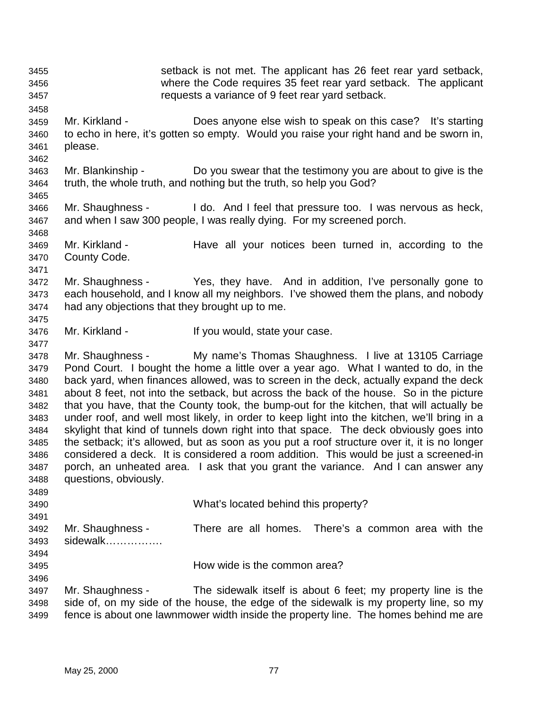3455 setback is not met. The applicant has 26 feet rear yard setback, 3456 where the Code requires 35 feet rear yard setback. The applicant 3457 requests a variance of 9 feet rear yard setback. 3458 3459 Mr. Kirkland - Does anyone else wish to speak on this case? It's starting 3460 to echo in here, it's gotten so empty. Would you raise your right hand and be sworn in, 3461 please. 3462 3463 Mr. Blankinship - Do you swear that the testimony you are about to give is the 3464 truth, the whole truth, and nothing but the truth, so help you God? 3465 3466 Mr. Shaughness - I do. And I feel that pressure too. I was nervous as heck, 3467 and when I saw 300 people, I was really dying. For my screened porch. 3468 3469 Mr. Kirkland - Have all your notices been turned in, according to the 3470 County Code. 3471 3472 Mr. Shaughness - Yes, they have. And in addition, I've personally gone to 3473 each household, and I know all my neighbors. I've showed them the plans, and nobody 3474 had any objections that they brought up to me. 3475 3476 Mr. Kirkland - If you would, state your case. 3477 3478 Mr. Shaughness - My name's Thomas Shaughness. I live at 13105 Carriage 3479 Pond Court. I bought the home a little over a year ago. What I wanted to do, in the 3480 back yard, when finances allowed, was to screen in the deck, actually expand the deck 3481 about 8 feet, not into the setback, but across the back of the house. So in the picture 3482 that you have, that the County took, the bump-out for the kitchen, that will actually be 3483 under roof, and well most likely, in order to keep light into the kitchen, we'll bring in a 3484 skylight that kind of tunnels down right into that space. The deck obviously goes into 3485 the setback; it's allowed, but as soon as you put a roof structure over it, it is no longer 3486 considered a deck. It is considered a room addition. This would be just a screened-in 3487 porch, an unheated area. I ask that you grant the variance. And I can answer any 3488 questions, obviously. 3489 3490 What's located behind this property? 3491 3492 Mr. Shaughness - There are all homes. There's a common area with the 3493 sidewalk……………. 3494 3495 How wide is the common area? 3496 3497 Mr. Shaughness - The sidewalk itself is about 6 feet; my property line is the 3498 side of, on my side of the house, the edge of the sidewalk is my property line, so my 3499 fence is about one lawnmower width inside the property line. The homes behind me are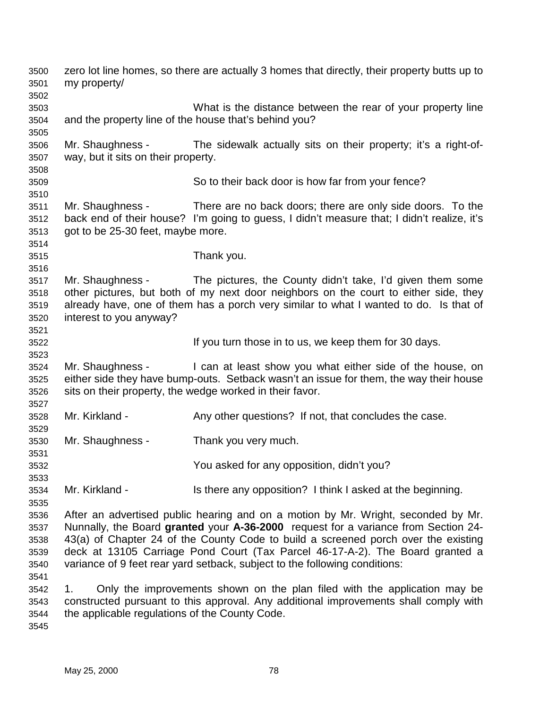3500 zero lot line homes, so there are actually 3 homes that directly, their property butts up to 3501 my property/ 3502 3503 What is the distance between the rear of your property line 3504 and the property line of the house that's behind you? 3505 3506 Mr. Shaughness - The sidewalk actually sits on their property; it's a right-of-3507 way, but it sits on their property. 3508 3509 So to their back door is how far from your fence? 3510 3511 Mr. Shaughness - There are no back doors; there are only side doors. To the 3512 back end of their house? I'm going to guess, I didn't measure that; I didn't realize, it's 3513 got to be 25-30 feet, maybe more. 3514 3515 Thank you. 3516 3517 Mr. Shaughness - The pictures, the County didn't take, I'd given them some 3518 other pictures, but both of my next door neighbors on the court to either side, they 3519 already have, one of them has a porch very similar to what I wanted to do. Is that of 3520 interest to you anyway? 3521 3522 **If you turn those in to us, we keep them for 30 days.** 3523 3524 Mr. Shaughness - I can at least show you what either side of the house, on 3525 either side they have bump-outs. Setback wasn't an issue for them, the way their house 3526 sits on their property, the wedge worked in their favor. 3527 3528 Mr. Kirkland - Any other questions? If not, that concludes the case. 3529 3530 Mr. Shaughness - Thank you very much. 3531 3532 You asked for any opposition, didn't you? 3533 3534 Mr. Kirkland - Is there any opposition? I think I asked at the beginning. 3535 3536 After an advertised public hearing and on a motion by Mr. Wright, seconded by Mr. 3537 Nunnally, the Board **granted** your **A-36-2000** request for a variance from Section 24- 3538 43(a) of Chapter 24 of the County Code to build a screened porch over the existing 3539 deck at 13105 Carriage Pond Court (Tax Parcel 46-17-A-2). The Board granted a 3540 variance of 9 feet rear yard setback, subject to the following conditions: 3541 3542 1. Only the improvements shown on the plan filed with the application may be 3543 constructed pursuant to this approval. Any additional improvements shall comply with 3544 the applicable regulations of the County Code. 3545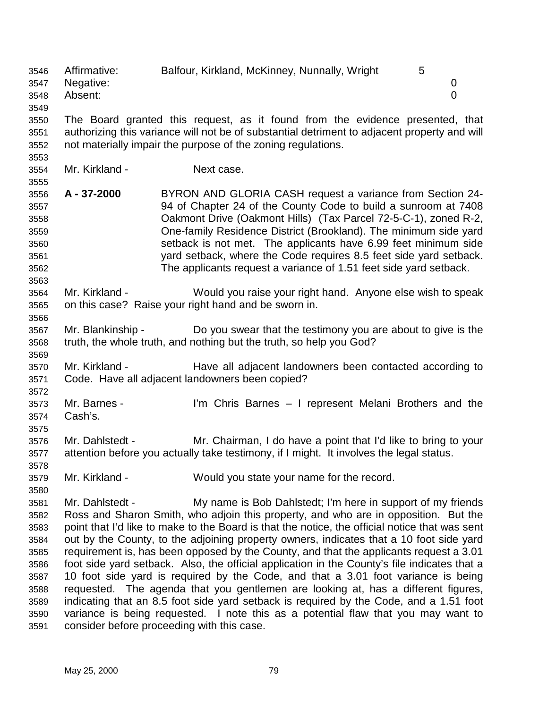3546 Affirmative: Balfour, Kirkland, McKinney, Nunnally, Wright 5 3547 Negative: 0 3548 Absent: 0 3549 3550 The Board granted this request, as it found from the evidence presented, that 3551 authorizing this variance will not be of substantial detriment to adjacent property and will 3552 not materially impair the purpose of the zoning regulations. 3553 3554 Mr. Kirkland - Next case. 3555 3556 **A - 37-2000** BYRON AND GLORIA CASH request a variance from Section 24- 3557 94 of Chapter 24 of the County Code to build a sunroom at 7408 3558 Oakmont Drive (Oakmont Hills) (Tax Parcel 72-5-C-1), zoned R-2, 3559 One-family Residence District (Brookland). The minimum side yard 3560 setback is not met. The applicants have 6.99 feet minimum side 3561 yard setback, where the Code requires 8.5 feet side yard setback. 3562 The applicants request a variance of 1.51 feet side yard setback. 3563 3564 Mr. Kirkland - Would you raise your right hand. Anyone else wish to speak 3565 on this case? Raise your right hand and be sworn in. 3566 3567 Mr. Blankinship - Do you swear that the testimony you are about to give is the 3568 truth, the whole truth, and nothing but the truth, so help you God? 3569 3570 Mr. Kirkland - Have all adjacent landowners been contacted according to 3571 Code. Have all adjacent landowners been copied? 3572 3573 Mr. Barnes - I'm Chris Barnes – I represent Melani Brothers and the 3574 Cash's. 3575 3576 Mr. Dahlstedt - Mr. Chairman, I do have a point that I'd like to bring to your 3577 attention before you actually take testimony, if I might. It involves the legal status. 3578 3579 Mr. Kirkland - Would you state your name for the record. 3580 3581 Mr. Dahlstedt - My name is Bob Dahlstedt; I'm here in support of my friends 3582 Ross and Sharon Smith, who adjoin this property, and who are in opposition. But the 3583 point that I'd like to make to the Board is that the notice, the official notice that was sent 3584 out by the County, to the adjoining property owners, indicates that a 10 foot side yard 3585 requirement is, has been opposed by the County, and that the applicants request a 3.01 3586 foot side yard setback. Also, the official application in the County's file indicates that a 3587 10 foot side yard is required by the Code, and that a 3.01 foot variance is being 3588 requested. The agenda that you gentlemen are looking at, has a different figures, 3589 indicating that an 8.5 foot side yard setback is required by the Code, and a 1.51 foot 3590 variance is being requested. I note this as a potential flaw that you may want to 3591 consider before proceeding with this case.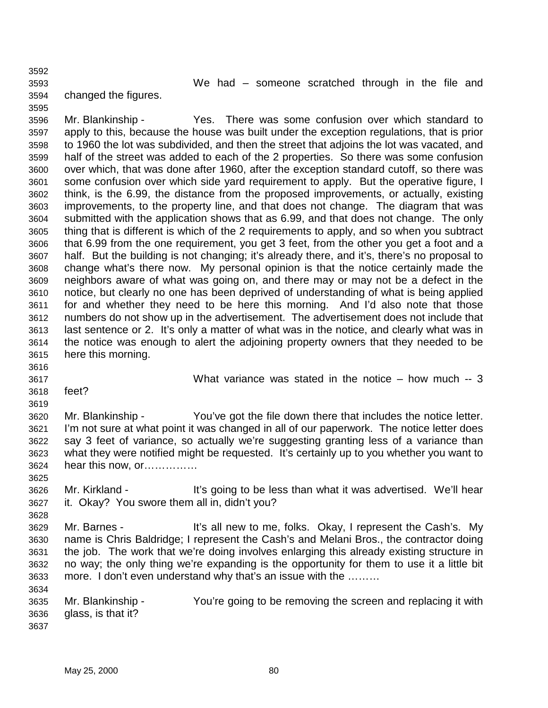3592 3593 We had – someone scratched through in the file and 3594 changed the figures.

3595 3596 Mr. Blankinship - Yes. There was some confusion over which standard to 3597 apply to this, because the house was built under the exception regulations, that is prior 3598 to 1960 the lot was subdivided, and then the street that adjoins the lot was vacated, and 3599 half of the street was added to each of the 2 properties. So there was some confusion 3600 over which, that was done after 1960, after the exception standard cutoff, so there was 3601 some confusion over which side yard requirement to apply. But the operative figure, I 3602 think, is the 6.99, the distance from the proposed improvements, or actually, existing 3603 improvements, to the property line, and that does not change. The diagram that was 3604 submitted with the application shows that as 6.99, and that does not change. The only 3605 thing that is different is which of the 2 requirements to apply, and so when you subtract 3606 that 6.99 from the one requirement, you get 3 feet, from the other you get a foot and a 3607 half. But the building is not changing; it's already there, and it's, there's no proposal to 3608 change what's there now. My personal opinion is that the notice certainly made the 3609 neighbors aware of what was going on, and there may or may not be a defect in the 3610 notice, but clearly no one has been deprived of understanding of what is being applied 3611 for and whether they need to be here this morning. And I'd also note that those 3612 numbers do not show up in the advertisement. The advertisement does not include that 3613 last sentence or 2. It's only a matter of what was in the notice, and clearly what was in 3614 the notice was enough to alert the adjoining property owners that they needed to be 3615 here this morning.

3616

3625

3628

3634

3617 What variance was stated in the notice – how much -- 3

3618 feet?

3619 3620 Mr. Blankinship - You've got the file down there that includes the notice letter. 3621 I'm not sure at what point it was changed in all of our paperwork. The notice letter does 3622 say 3 feet of variance, so actually we're suggesting granting less of a variance than 3623 what they were notified might be requested. It's certainly up to you whether you want to 3624 hear this now, or……………

3626 Mr. Kirkland - It's going to be less than what it was advertised. We'll hear 3627 it. Okay? You swore them all in, didn't you?

3629 Mr. Barnes - It's all new to me, folks. Okay, I represent the Cash's. My 3630 name is Chris Baldridge; I represent the Cash's and Melani Bros., the contractor doing 3631 the job. The work that we're doing involves enlarging this already existing structure in 3632 no way; the only thing we're expanding is the opportunity for them to use it a little bit 3633 more. I don't even understand why that's an issue with the ………

3635 Mr. Blankinship - You're going to be removing the screen and replacing it with 3636 glass, is that it? 3637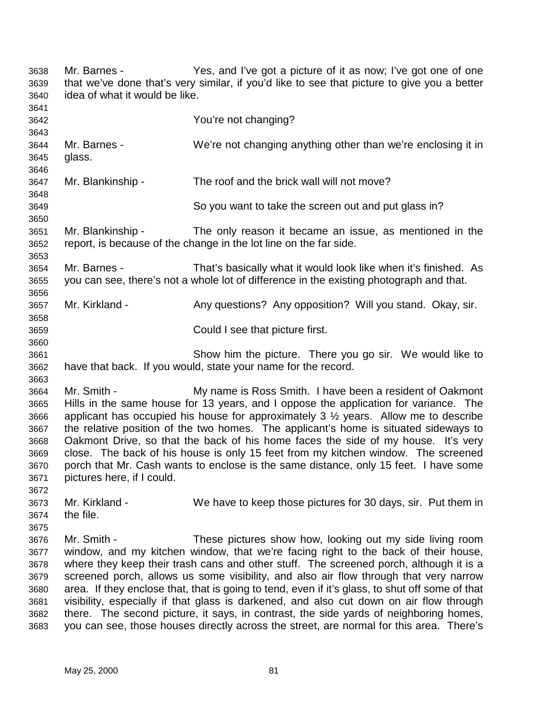3638 Mr. Barnes - Yes, and I've got a picture of it as now; I've got one of one 3639 that we've done that's very similar, if you'd like to see that picture to give you a better 3640 idea of what it would be like. 3641 3642 You're not changing? 3643 3644 Mr. Barnes - We're not changing anything other than we're enclosing it in 3645 glass. 3646 3647 Mr. Blankinship - The roof and the brick wall will not move? 3648 3649 So you want to take the screen out and put glass in? 3650 3651 Mr. Blankinship - The only reason it became an issue, as mentioned in the 3652 report, is because of the change in the lot line on the far side. 3653 3654 Mr. Barnes - That's basically what it would look like when it's finished. As 3655 you can see, there's not a whole lot of difference in the existing photograph and that. 3656 3657 Mr. Kirkland - Any questions? Any opposition? Will you stand. Okay, sir. 3658 3659 Could I see that picture first. 3660 3661 Show him the picture. There you go sir. We would like to 3662 have that back. If you would, state your name for the record. 3663 3664 Mr. Smith - My name is Ross Smith. I have been a resident of Oakmont 3665 Hills in the same house for 13 years, and I oppose the application for variance. The 3666 applicant has occupied his house for approximately 3 ½ years. Allow me to describe 3667 the relative position of the two homes. The applicant's home is situated sideways to 3668 Oakmont Drive, so that the back of his home faces the side of my house. It's very 3669 close. The back of his house is only 15 feet from my kitchen window. The screened 3670 porch that Mr. Cash wants to enclose is the same distance, only 15 feet. I have some 3671 pictures here, if I could. 3672 3673 Mr. Kirkland - We have to keep those pictures for 30 days, sir. Put them in 3674 the file. 3675 3676 Mr. Smith - These pictures show how, looking out my side living room 3677 window, and my kitchen window, that we're facing right to the back of their house, 3678 where they keep their trash cans and other stuff. The screened porch, although it is a 3679 screened porch, allows us some visibility, and also air flow through that very narrow 3680 area. If they enclose that, that is going to tend, even if it's glass, to shut off some of that 3681 visibility, especially if that glass is darkened, and also cut down on air flow through 3682 there. The second picture, it says, in contrast, the side yards of neighboring homes, 3683 you can see, those houses directly across the street, are normal for this area. There's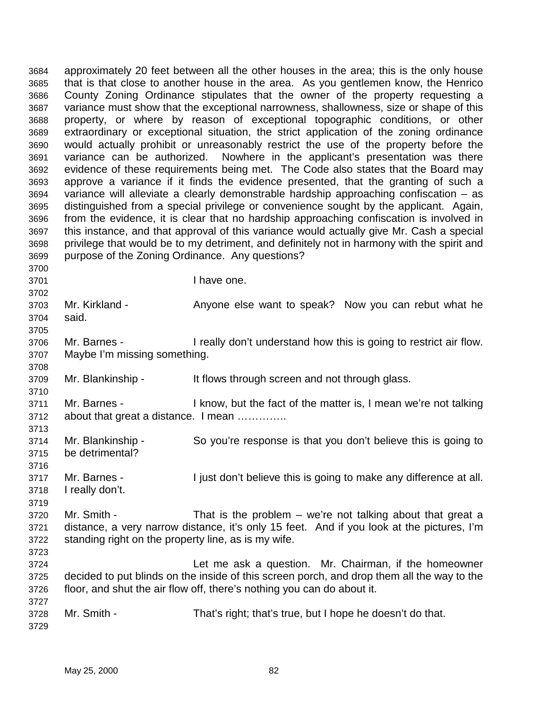3684 approximately 20 feet between all the other houses in the area; this is the only house 3685 that is that close to another house in the area. As you gentlemen know, the Henrico 3686 County Zoning Ordinance stipulates that the owner of the property requesting a 3687 variance must show that the exceptional narrowness, shallowness, size or shape of this 3688 property, or where by reason of exceptional topographic conditions, or other 3689 extraordinary or exceptional situation, the strict application of the zoning ordinance 3690 would actually prohibit or unreasonably restrict the use of the property before the 3691 variance can be authorized. Nowhere in the applicant's presentation was there 3692 evidence of these requirements being met. The Code also states that the Board may 3693 approve a variance if it finds the evidence presented, that the granting of such a 3694 variance will alleviate a clearly demonstrable hardship approaching confiscation – as 3695 distinguished from a special privilege or convenience sought by the applicant. Again, 3696 from the evidence, it is clear that no hardship approaching confiscation is involved in 3697 this instance, and that approval of this variance would actually give Mr. Cash a special 3698 privilege that would be to my detriment, and definitely not in harmony with the spirit and 3699 purpose of the Zoning Ordinance. Any questions? 3700 3701 I have one. 3702 3703 Mr. Kirkland - Anyone else want to speak? Now you can rebut what he 3704 said. 3705 3706 Mr. Barnes - I really don't understand how this is going to restrict air flow. 3707 Maybe I'm missing something. 3708 3709 Mr. Blankinship - It flows through screen and not through glass. 3710 3711 Mr. Barnes - I know, but the fact of the matter is, I mean we're not talking 3712 about that great a distance. I mean ………….. 3713 3714 Mr. Blankinship - So you're response is that you don't believe this is going to 3715 be detrimental? 3716 3717 Mr. Barnes - I just don't believe this is going to make any difference at all. 3718 I really don't. 3719 3720 Mr. Smith - That is the problem – we're not talking about that great a 3721 distance, a very narrow distance, it's only 15 feet. And if you look at the pictures, I'm 3722 standing right on the property line, as is my wife. 3723 3724 Let me ask a question. Mr. Chairman, if the homeowner 3725 decided to put blinds on the inside of this screen porch, and drop them all the way to the 3726 floor, and shut the air flow off, there's nothing you can do about it. 3727 3728 Mr. Smith - That's right; that's true, but I hope he doesn't do that. 3729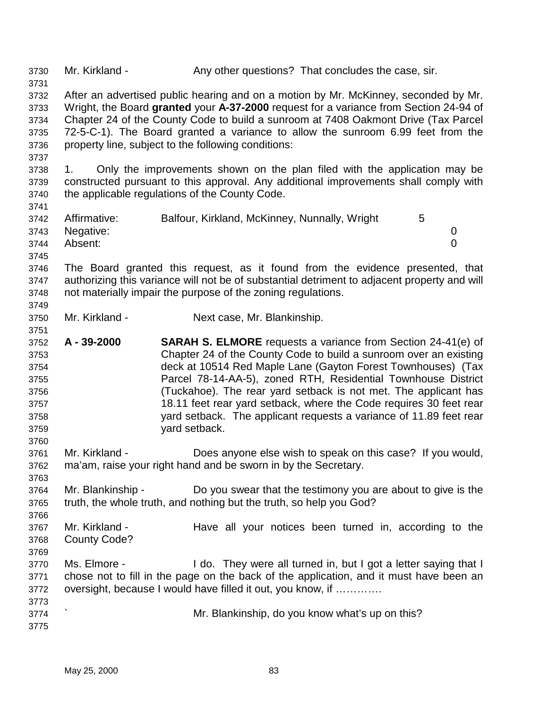3730 Mr. Kirkland - Any other questions? That concludes the case, sir. 3731 3732 After an advertised public hearing and on a motion by Mr. McKinney, seconded by Mr. 3733 Wright, the Board **granted** your **A-37-2000** request for a variance from Section 24-94 of 3734 Chapter 24 of the County Code to build a sunroom at 7408 Oakmont Drive (Tax Parcel 3735 72-5-C-1). The Board granted a variance to allow the sunroom 6.99 feet from the 3736 property line, subject to the following conditions: 3737 3738 1. Only the improvements shown on the plan filed with the application may be 3739 constructed pursuant to this approval. Any additional improvements shall comply with 3740 the applicable regulations of the County Code. 3741 3742 Affirmative: Balfour, Kirkland, McKinney, Nunnally, Wright 5 3743 Negative: 0 3744 Absent: 0 3745 3746 The Board granted this request, as it found from the evidence presented, that 3747 authorizing this variance will not be of substantial detriment to adjacent property and will 3748 not materially impair the purpose of the zoning regulations. 3749 3750 Mr. Kirkland - Next case, Mr. Blankinship. 3751 3752 **A - 39-2000 SARAH S. ELMORE** requests a variance from Section 24-41(e) of 3753 Chapter 24 of the County Code to build a sunroom over an existing 3754 deck at 10514 Red Maple Lane (Gayton Forest Townhouses) (Tax 3755 Parcel 78-14-AA-5), zoned RTH, Residential Townhouse District 3756 (Tuckahoe). The rear yard setback is not met. The applicant has 3757 18.11 feet rear yard setback, where the Code requires 30 feet rear 3758 yard setback. The applicant requests a variance of 11.89 feet rear 3759 yard setback. 3760 3761 Mr. Kirkland - Does anyone else wish to speak on this case? If you would, 3762 ma'am, raise your right hand and be sworn in by the Secretary. 3763 3764 Mr. Blankinship - Do you swear that the testimony you are about to give is the 3765 truth, the whole truth, and nothing but the truth, so help you God? 3766 3767 Mr. Kirkland - Have all your notices been turned in, according to the 3768 County Code? 3769 3770 Ms. Elmore - I do. They were all turned in, but I got a letter saying that I 3771 chose not to fill in the page on the back of the application, and it must have been an 3772 oversight, because I would have filled it out, you know, if …………. 3773 3774 ` Mr. Blankinship, do you know what's up on this? 3775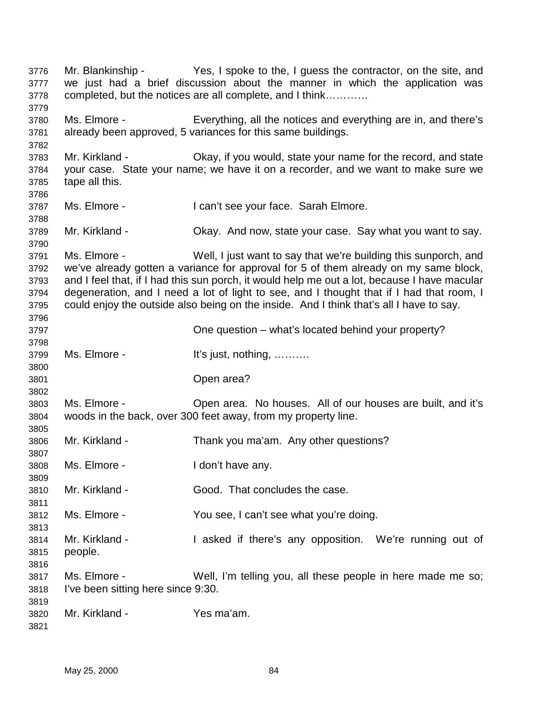3776 Mr. Blankinship - Yes, I spoke to the, I guess the contractor, on the site, and 3777 we just had a brief discussion about the manner in which the application was 3778 completed, but the notices are all complete, and I think………… 3779 3780 Ms. Elmore - Everything, all the notices and everything are in, and there's 3781 already been approved, 5 variances for this same buildings. 3782 3783 Mr. Kirkland - Okay, if you would, state your name for the record, and state 3784 your case. State your name; we have it on a recorder, and we want to make sure we 3785 tape all this. 3786 3787 Ms. Elmore - I can't see your face. Sarah Elmore. 3788 3789 Mr. Kirkland - Okay. And now, state your case. Say what you want to say. 3790 3791 Ms. Elmore - Well, I just want to say that we're building this sunporch, and 3792 we've already gotten a variance for approval for 5 of them already on my same block, 3793 and I feel that, if I had this sun porch, it would help me out a lot, because I have macular 3794 degeneration, and I need a lot of light to see, and I thought that if I had that room, I 3795 could enjoy the outside also being on the inside. And I think that's all I have to say. 3796 3797 One question – what's located behind your property? 3798 3799 Ms. Elmore - It's just, nothing, ………. 3800 3801 Open area? 3802 3803 Ms. Elmore - Open area. No houses. All of our houses are built, and it's 3804 woods in the back, over 300 feet away, from my property line. 3805 3806 Mr. Kirkland - Thank you ma'am. Any other questions? 3807 3808 Ms. Elmore - I don't have any. 3809 3810 Mr. Kirkland - Good. That concludes the case. 3811 3812 Ms. Elmore - You see, I can't see what you're doing. 3813 3814 Mr. Kirkland - I asked if there's any opposition. We're running out of 3815 people. 3816 3817 Ms. Elmore - Well, I'm telling you, all these people in here made me so; 3818 I've been sitting here since 9:30. 3819 3820 Mr. Kirkland - Yes ma'am. 3821